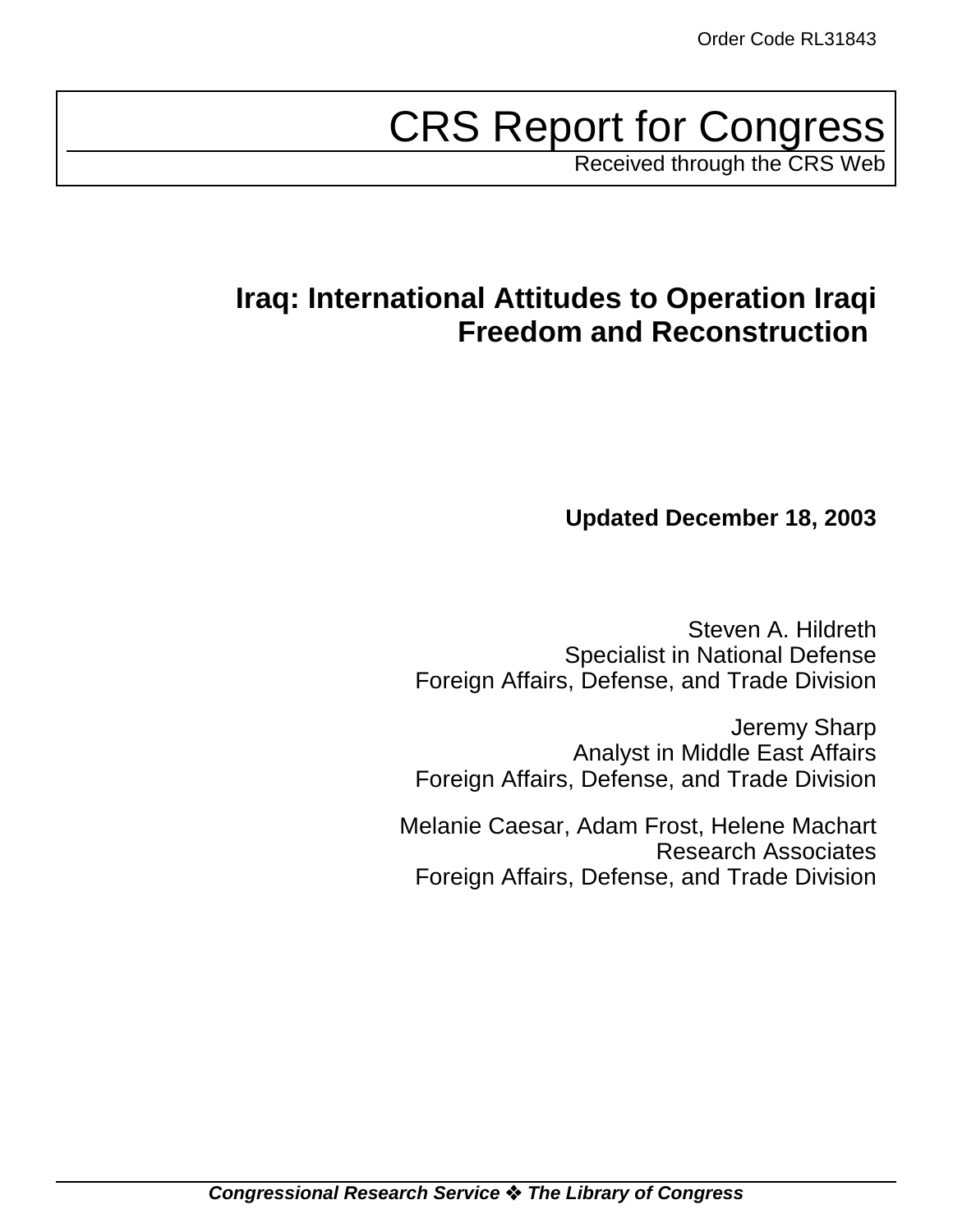# CRS Report for Congress

Received through the CRS Web

# **Iraq: International Attitudes to Operation Iraqi Freedom and Reconstruction**

# **Updated December 18, 2003**

Steven A. Hildreth Specialist in National Defense Foreign Affairs, Defense, and Trade Division

Jeremy Sharp Analyst in Middle East Affairs Foreign Affairs, Defense, and Trade Division

Melanie Caesar, Adam Frost, Helene Machart Research Associates Foreign Affairs, Defense, and Trade Division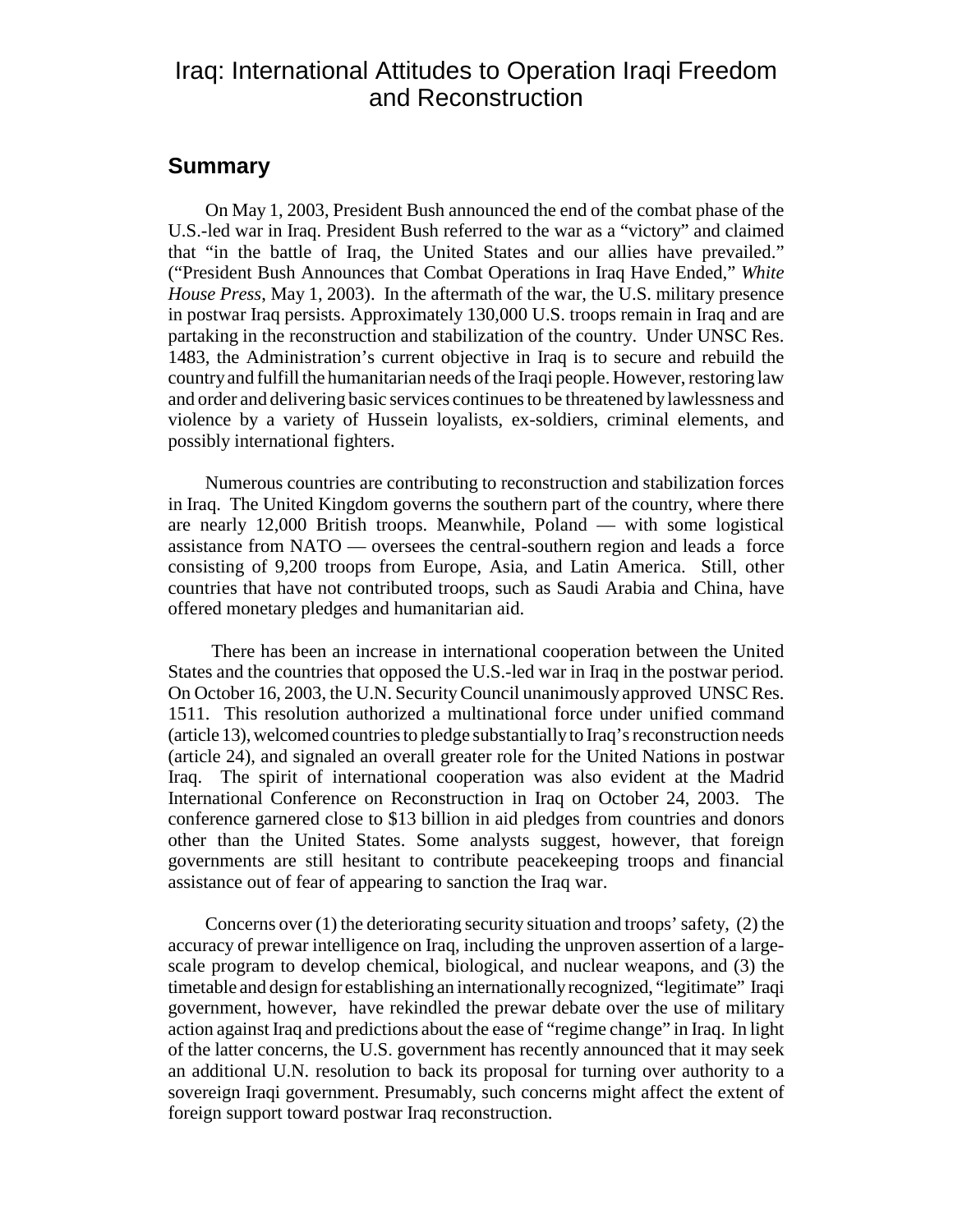# Iraq: International Attitudes to Operation Iraqi Freedom and Reconstruction

## **Summary**

On May 1, 2003, President Bush announced the end of the combat phase of the U.S.-led war in Iraq. President Bush referred to the war as a "victory" and claimed that "in the battle of Iraq, the United States and our allies have prevailed." ("President Bush Announces that Combat Operations in Iraq Have Ended," *White House Press*, May 1, 2003). In the aftermath of the war, the U.S. military presence in postwar Iraq persists. Approximately 130,000 U.S. troops remain in Iraq and are partaking in the reconstruction and stabilization of the country. Under UNSC Res. 1483, the Administration's current objective in Iraq is to secure and rebuild the country and fulfill the humanitarian needs of the Iraqi people. However, restoring law and order and delivering basic services continues to be threatened by lawlessness and violence by a variety of Hussein loyalists, ex-soldiers, criminal elements, and possibly international fighters.

Numerous countries are contributing to reconstruction and stabilization forces in Iraq. The United Kingdom governs the southern part of the country, where there are nearly 12,000 British troops. Meanwhile, Poland — with some logistical assistance from NATO — oversees the central-southern region and leads a force consisting of 9,200 troops from Europe, Asia, and Latin America. Still, other countries that have not contributed troops, such as Saudi Arabia and China, have offered monetary pledges and humanitarian aid.

 There has been an increase in international cooperation between the United States and the countries that opposed the U.S.-led war in Iraq in the postwar period. On October 16, 2003, the U.N. Security Council unanimously approved UNSC Res. 1511. This resolution authorized a multinational force under unified command (article 13), welcomed countries to pledge substantially to Iraq's reconstruction needs (article 24), and signaled an overall greater role for the United Nations in postwar Iraq. The spirit of international cooperation was also evident at the Madrid International Conference on Reconstruction in Iraq on October 24, 2003. The conference garnered close to \$13 billion in aid pledges from countries and donors other than the United States. Some analysts suggest, however, that foreign governments are still hesitant to contribute peacekeeping troops and financial assistance out of fear of appearing to sanction the Iraq war.

Concerns over (1) the deteriorating security situation and troops' safety, (2) the accuracy of prewar intelligence on Iraq, including the unproven assertion of a largescale program to develop chemical, biological, and nuclear weapons, and (3) the timetable and design for establishing an internationally recognized, "legitimate" Iraqi government, however, have rekindled the prewar debate over the use of military action against Iraq and predictions about the ease of "regime change" in Iraq. In light of the latter concerns, the U.S. government has recently announced that it may seek an additional U.N. resolution to back its proposal for turning over authority to a sovereign Iraqi government. Presumably, such concerns might affect the extent of foreign support toward postwar Iraq reconstruction.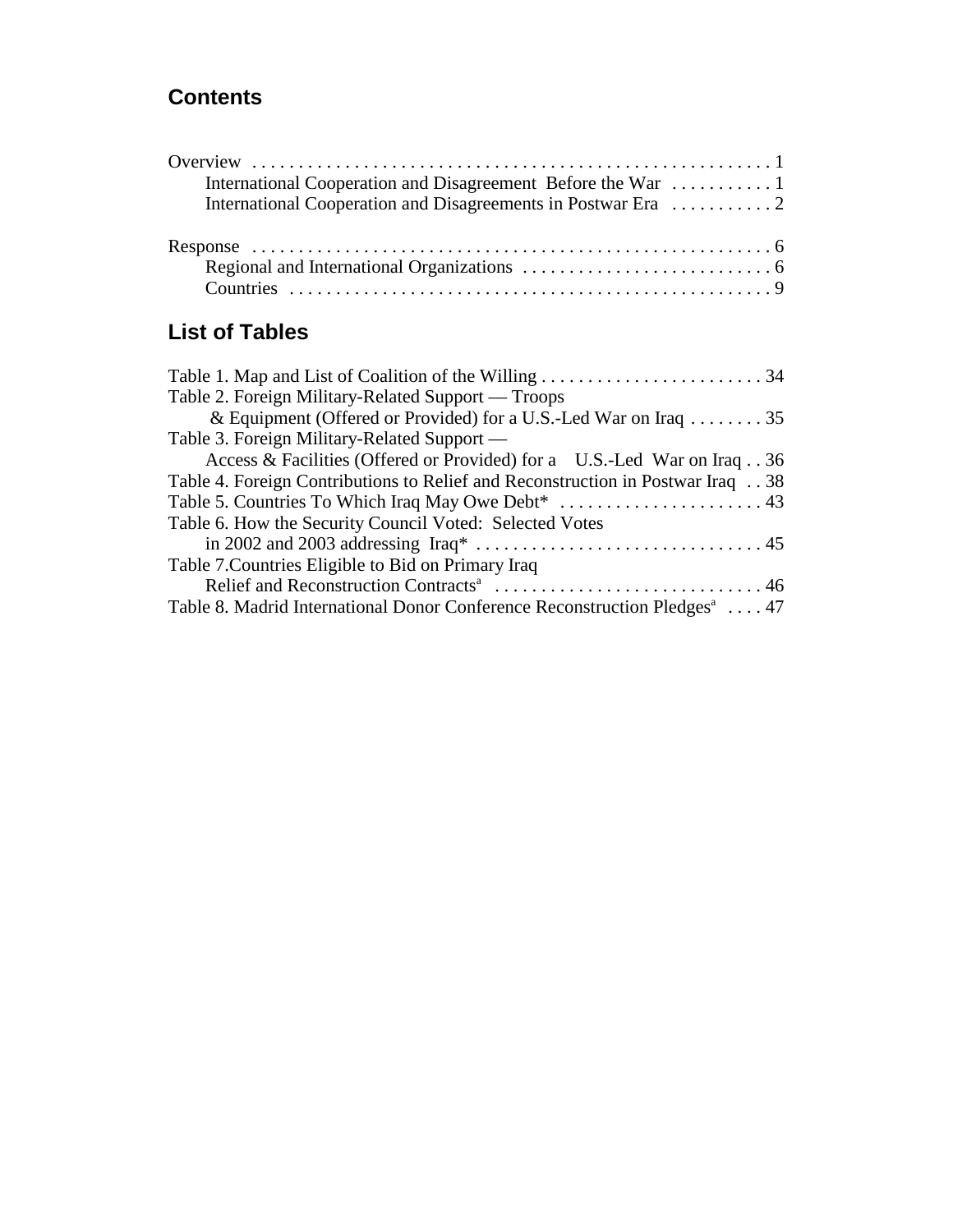# **Contents**

# **List of Tables**

| Table 2. Foreign Military-Related Support — Troops                                                             |
|----------------------------------------------------------------------------------------------------------------|
| & Equipment (Offered or Provided) for a U.S.-Led War on Iraq 35                                                |
| Table 3. Foreign Military-Related Support —                                                                    |
| Access & Facilities (Offered or Provided) for a U.S.-Led War on Iraq. . 36                                     |
| Table 4. Foreign Contributions to Relief and Reconstruction in Postwar Iraq. 38                                |
|                                                                                                                |
| Table 6. How the Security Council Voted: Selected Votes                                                        |
| in 2002 and 2003 addressing Iraq* $\dots \dots \dots \dots \dots \dots \dots \dots \dots \dots \dots \dots 45$ |
| Table 7. Countries Eligible to Bid on Primary Iraq                                                             |
|                                                                                                                |
| Table 8. Madrid International Donor Conference Reconstruction Pledges <sup>a</sup> 47                          |
|                                                                                                                |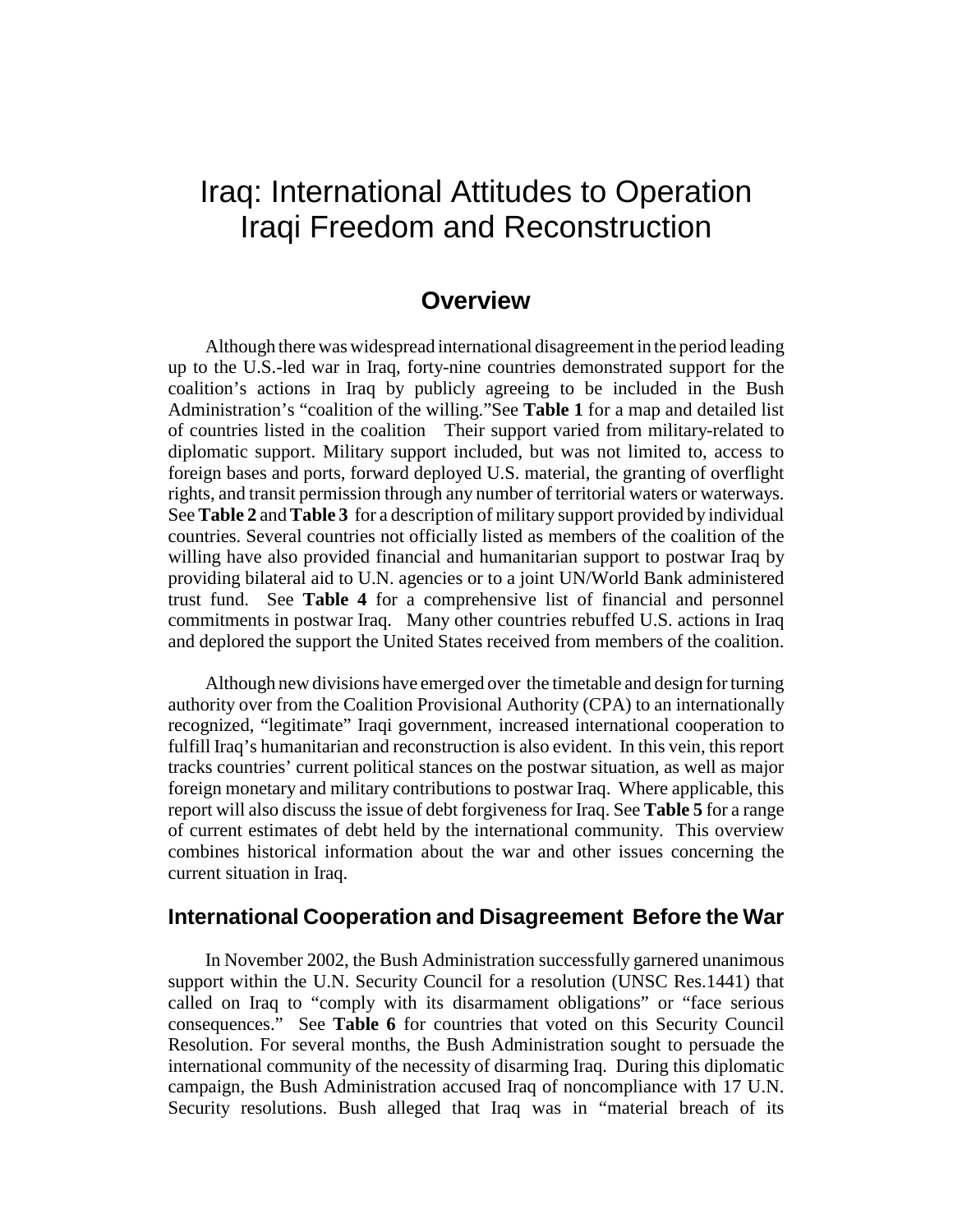# Iraq: International Attitudes to Operation Iraqi Freedom and Reconstruction

# **Overview**

Although there was widespread international disagreement in the period leading up to the U.S.-led war in Iraq, forty-nine countries demonstrated support for the coalition's actions in Iraq by publicly agreeing to be included in the Bush Administration's "coalition of the willing."See **Table 1** for a map and detailed list of countries listed in the coalition Their support varied from military-related to diplomatic support. Military support included, but was not limited to, access to foreign bases and ports, forward deployed U.S. material, the granting of overflight rights, and transit permission through any number of territorial waters or waterways. See **Table 2** and **Table 3** for a description of military support provided by individual countries. Several countries not officially listed as members of the coalition of the willing have also provided financial and humanitarian support to postwar Iraq by providing bilateral aid to U.N. agencies or to a joint UN/World Bank administered trust fund. See **Table 4** for a comprehensive list of financial and personnel commitments in postwar Iraq. Many other countries rebuffed U.S. actions in Iraq and deplored the support the United States received from members of the coalition.

Although new divisions have emerged over the timetable and design for turning authority over from the Coalition Provisional Authority (CPA) to an internationally recognized, "legitimate" Iraqi government, increased international cooperation to fulfill Iraq's humanitarian and reconstruction is also evident. In this vein, this report tracks countries' current political stances on the postwar situation, as well as major foreign monetary and military contributions to postwar Iraq. Where applicable, this report will also discuss the issue of debt forgiveness for Iraq. See **Table 5** for a range of current estimates of debt held by the international community. This overview combines historical information about the war and other issues concerning the current situation in Iraq.

### **International Cooperation and Disagreement Before the War**

In November 2002, the Bush Administration successfully garnered unanimous support within the U.N. Security Council for a resolution (UNSC Res.1441) that called on Iraq to "comply with its disarmament obligations" or "face serious consequences." See **Table 6** for countries that voted on this Security Council Resolution. For several months, the Bush Administration sought to persuade the international community of the necessity of disarming Iraq. During this diplomatic campaign, the Bush Administration accused Iraq of noncompliance with 17 U.N. Security resolutions. Bush alleged that Iraq was in "material breach of its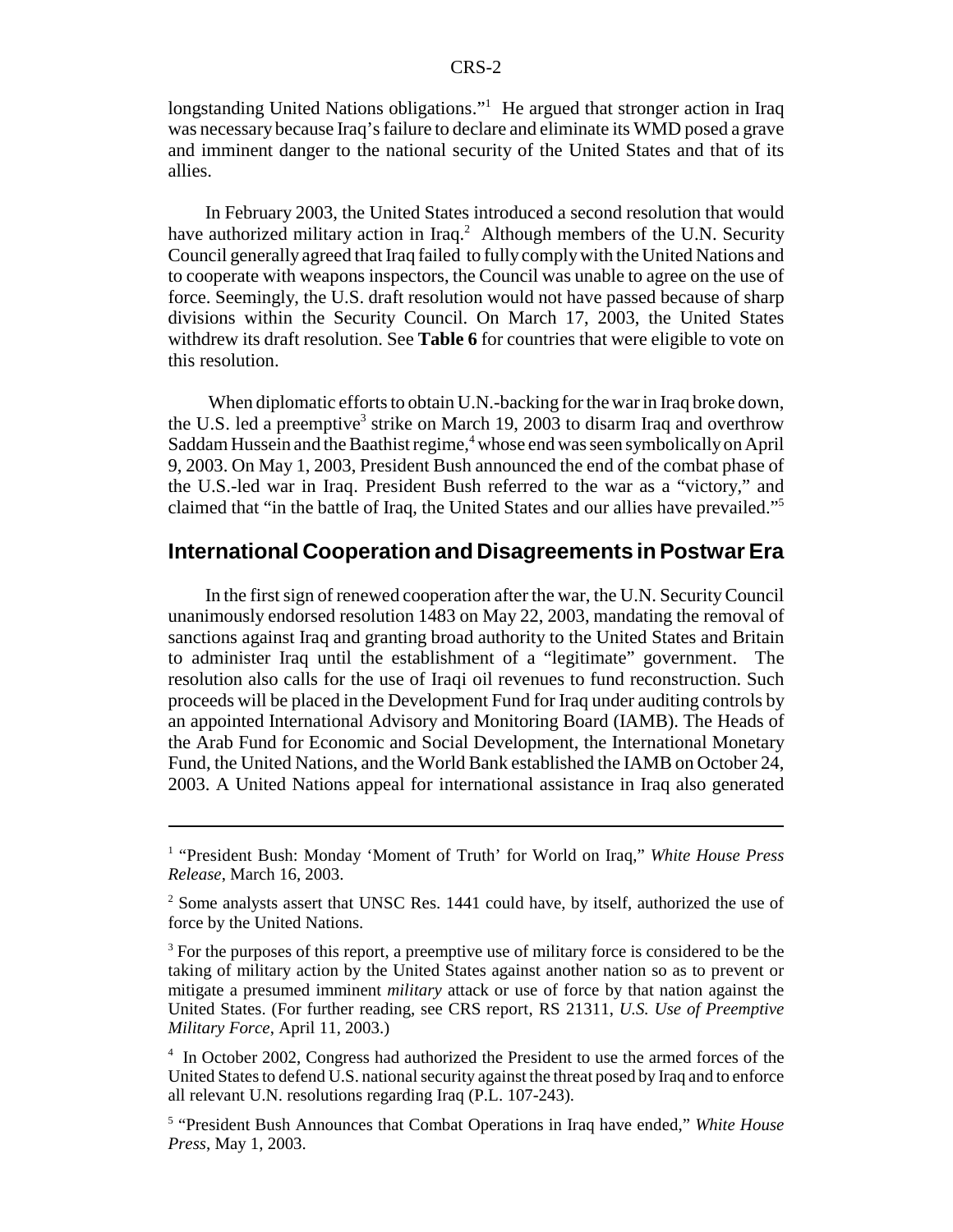longstanding United Nations obligations."<sup>1</sup> He argued that stronger action in Iraq was necessary because Iraq's failure to declare and eliminate its WMD posed a grave and imminent danger to the national security of the United States and that of its allies.

In February 2003, the United States introduced a second resolution that would have authorized military action in Iraq.<sup>2</sup> Although members of the U.N. Security Council generally agreed that Iraq failed to fully comply with the United Nations and to cooperate with weapons inspectors, the Council was unable to agree on the use of force. Seemingly, the U.S. draft resolution would not have passed because of sharp divisions within the Security Council. On March 17, 2003, the United States withdrew its draft resolution. See **Table 6** for countries that were eligible to vote on this resolution.

 When diplomatic efforts to obtain U.N.-backing for the war in Iraq broke down, the U.S. led a preemptive<sup>3</sup> strike on March 19, 2003 to disarm Iraq and overthrow Saddam Hussein and the Baathist regime,<sup>4</sup> whose end was seen symbolically on April 9, 2003. On May 1, 2003, President Bush announced the end of the combat phase of the U.S.-led war in Iraq. President Bush referred to the war as a "victory," and claimed that "in the battle of Iraq, the United States and our allies have prevailed."5

### **International Cooperation and Disagreements in Postwar Era**

In the first sign of renewed cooperation after the war, the U.N. Security Council unanimously endorsed resolution 1483 on May 22, 2003, mandating the removal of sanctions against Iraq and granting broad authority to the United States and Britain to administer Iraq until the establishment of a "legitimate" government. The resolution also calls for the use of Iraqi oil revenues to fund reconstruction. Such proceeds will be placed in the Development Fund for Iraq under auditing controls by an appointed International Advisory and Monitoring Board (IAMB). The Heads of the Arab Fund for Economic and Social Development, the International Monetary Fund, the United Nations, and the World Bank established the IAMB on October 24, 2003. A United Nations appeal for international assistance in Iraq also generated

<sup>&</sup>lt;sup>1</sup> "President Bush: Monday 'Moment of Truth' for World on Iraq," White House Press *Release*, March 16, 2003.

 $2^2$  Some analysts assert that UNSC Res. 1441 could have, by itself, authorized the use of force by the United Nations.

 $3$  For the purposes of this report, a preemptive use of military force is considered to be the taking of military action by the United States against another nation so as to prevent or mitigate a presumed imminent *military* attack or use of force by that nation against the United States. (For further reading, see CRS report, RS 21311, *U.S. Use of Preemptive Military Force*, April 11, 2003.)

<sup>&</sup>lt;sup>4</sup> In October 2002, Congress had authorized the President to use the armed forces of the United States to defend U.S. national security against the threat posed by Iraq and to enforce all relevant U.N. resolutions regarding Iraq (P.L. 107-243).

<sup>5</sup> "President Bush Announces that Combat Operations in Iraq have ended," *White House Press*, May 1, 2003.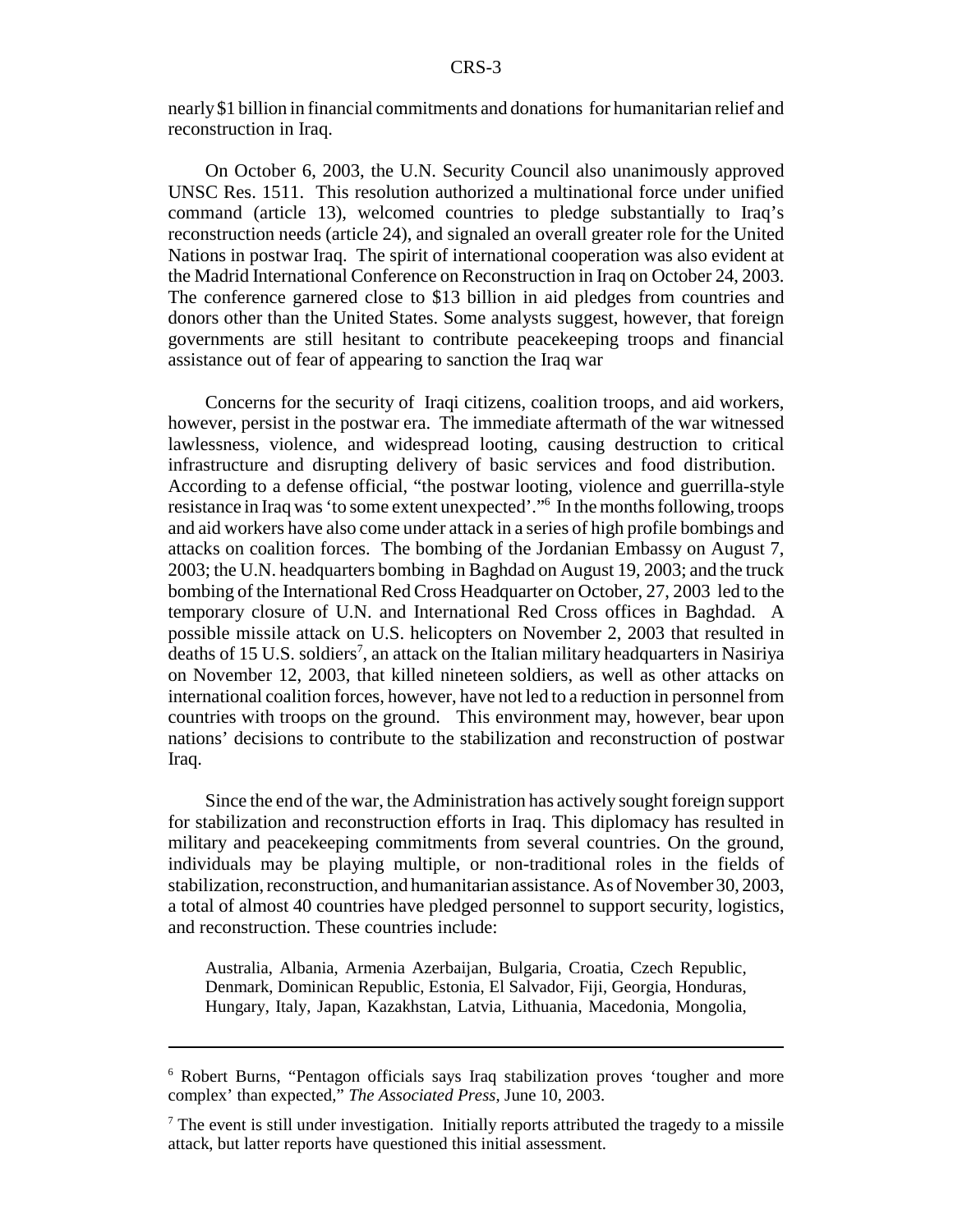nearly \$1 billion in financial commitments and donations for humanitarian relief and reconstruction in Iraq.

On October 6, 2003, the U.N. Security Council also unanimously approved UNSC Res. 1511. This resolution authorized a multinational force under unified command (article 13), welcomed countries to pledge substantially to Iraq's reconstruction needs (article 24), and signaled an overall greater role for the United Nations in postwar Iraq. The spirit of international cooperation was also evident at the Madrid International Conference on Reconstruction in Iraq on October 24, 2003. The conference garnered close to \$13 billion in aid pledges from countries and donors other than the United States. Some analysts suggest, however, that foreign governments are still hesitant to contribute peacekeeping troops and financial assistance out of fear of appearing to sanction the Iraq war

Concerns for the security of Iraqi citizens, coalition troops, and aid workers, however, persist in the postwar era. The immediate aftermath of the war witnessed lawlessness, violence, and widespread looting, causing destruction to critical infrastructure and disrupting delivery of basic services and food distribution. According to a defense official, "the postwar looting, violence and guerrilla-style resistance in Iraq was 'to some extent unexpected'."6 In the months following, troops and aid workers have also come under attack in a series of high profile bombings and attacks on coalition forces. The bombing of the Jordanian Embassy on August 7, 2003; the U.N. headquarters bombing in Baghdad on August 19, 2003; and the truck bombing of the International Red Cross Headquarter on October, 27, 2003 led to the temporary closure of U.N. and International Red Cross offices in Baghdad. A possible missile attack on U.S. helicopters on November 2, 2003 that resulted in deaths of 15 U.S. soldiers<sup>7</sup>, an attack on the Italian military headquarters in Nasiriya on November 12, 2003, that killed nineteen soldiers, as well as other attacks on international coalition forces, however, have not led to a reduction in personnel from countries with troops on the ground. This environment may, however, bear upon nations' decisions to contribute to the stabilization and reconstruction of postwar Iraq.

Since the end of the war, the Administration has actively sought foreign support for stabilization and reconstruction efforts in Iraq. This diplomacy has resulted in military and peacekeeping commitments from several countries. On the ground, individuals may be playing multiple, or non-traditional roles in the fields of stabilization, reconstruction, and humanitarian assistance. As of November 30, 2003, a total of almost 40 countries have pledged personnel to support security, logistics, and reconstruction. These countries include:

Australia, Albania, Armenia Azerbaijan, Bulgaria, Croatia, Czech Republic, Denmark, Dominican Republic, Estonia, El Salvador, Fiji, Georgia, Honduras, Hungary, Italy, Japan, Kazakhstan, Latvia, Lithuania, Macedonia, Mongolia,

<sup>6</sup> Robert Burns, "Pentagon officials says Iraq stabilization proves 'tougher and more complex' than expected," *The Associated Press*, June 10, 2003.

 $<sup>7</sup>$  The event is still under investigation. Initially reports attributed the tragedy to a missile</sup> attack, but latter reports have questioned this initial assessment.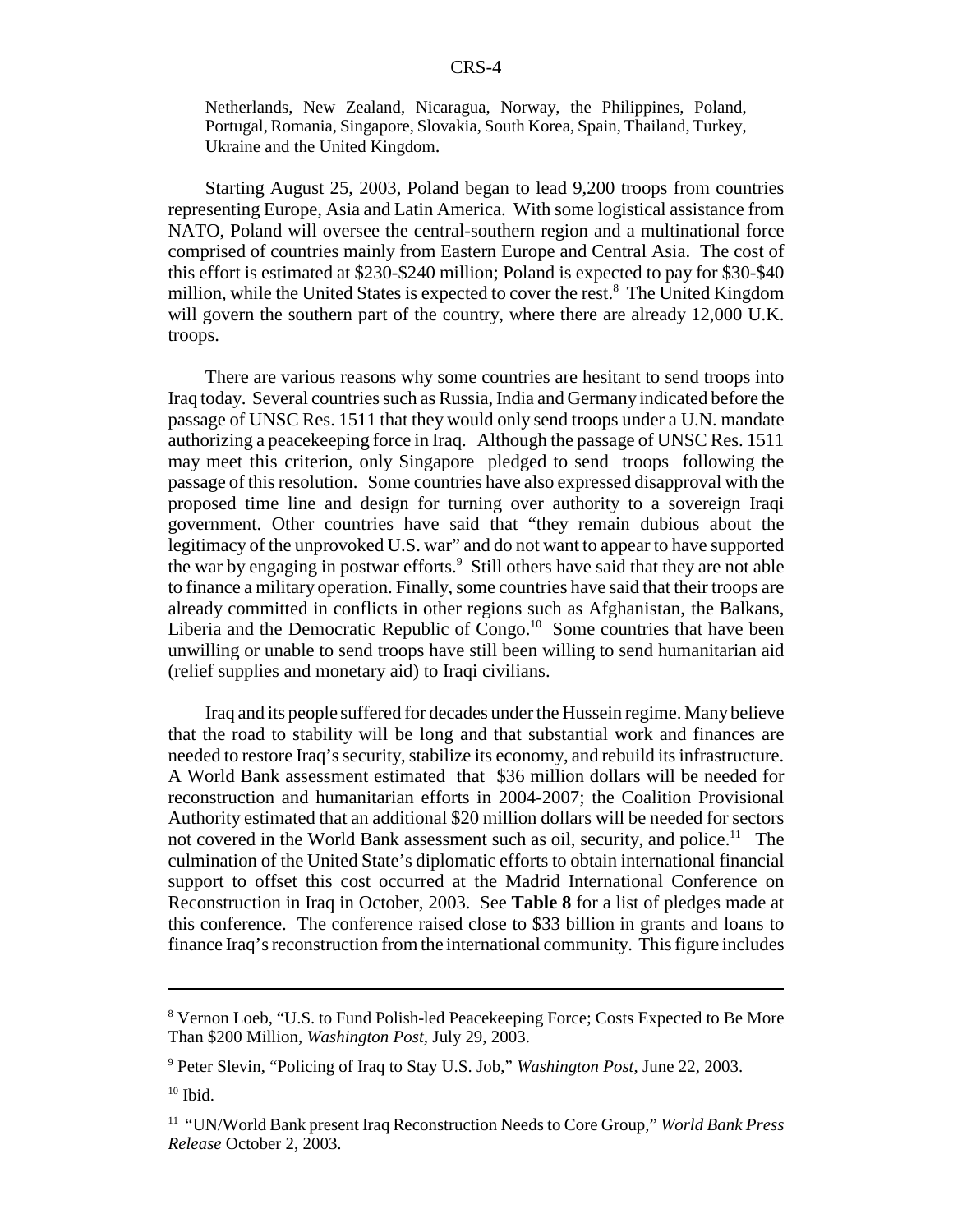Netherlands, New Zealand, Nicaragua, Norway, the Philippines, Poland, Portugal, Romania, Singapore, Slovakia, South Korea, Spain, Thailand, Turkey, Ukraine and the United Kingdom.

Starting August 25, 2003, Poland began to lead 9,200 troops from countries representing Europe, Asia and Latin America. With some logistical assistance from NATO, Poland will oversee the central-southern region and a multinational force comprised of countries mainly from Eastern Europe and Central Asia. The cost of this effort is estimated at \$230-\$240 million; Poland is expected to pay for \$30-\$40 million, while the United States is expected to cover the rest.<sup>8</sup> The United Kingdom will govern the southern part of the country, where there are already 12,000 U.K. troops.

There are various reasons why some countries are hesitant to send troops into Iraq today. Several countries such as Russia, India and Germany indicated before the passage of UNSC Res. 1511 that they would only send troops under a U.N. mandate authorizing a peacekeeping force in Iraq. Although the passage of UNSC Res. 1511 may meet this criterion, only Singapore pledged to send troops following the passage of this resolution. Some countries have also expressed disapproval with the proposed time line and design for turning over authority to a sovereign Iraqi government. Other countries have said that "they remain dubious about the legitimacy of the unprovoked U.S. war" and do not want to appear to have supported the war by engaging in postwar efforts.<sup>9</sup> Still others have said that they are not able to finance a military operation. Finally, some countries have said that their troops are already committed in conflicts in other regions such as Afghanistan, the Balkans, Liberia and the Democratic Republic of Congo.<sup>10</sup> Some countries that have been unwilling or unable to send troops have still been willing to send humanitarian aid (relief supplies and monetary aid) to Iraqi civilians.

Iraq and its people suffered for decades under the Hussein regime. Many believe that the road to stability will be long and that substantial work and finances are needed to restore Iraq's security, stabilize its economy, and rebuild its infrastructure. A World Bank assessment estimated that \$36 million dollars will be needed for reconstruction and humanitarian efforts in 2004-2007; the Coalition Provisional Authority estimated that an additional \$20 million dollars will be needed for sectors not covered in the World Bank assessment such as oil, security, and police.<sup>11</sup> The culmination of the United State's diplomatic efforts to obtain international financial support to offset this cost occurred at the Madrid International Conference on Reconstruction in Iraq in October, 2003. See **Table 8** for a list of pledges made at this conference. The conference raised close to \$33 billion in grants and loans to finance Iraq's reconstruction from the international community. This figure includes

<sup>&</sup>lt;sup>8</sup> Vernon Loeb, "U.S. to Fund Polish-led Peacekeeping Force; Costs Expected to Be More Than \$200 Million, *Washington Post*, July 29, 2003.

<sup>9</sup> Peter Slevin, "Policing of Iraq to Stay U.S. Job," *Washington Post*, June 22, 2003.

 $10$  Ibid.

<sup>11 &</sup>quot;UN/World Bank present Iraq Reconstruction Needs to Core Group," *World Bank Press Release* October 2, 2003.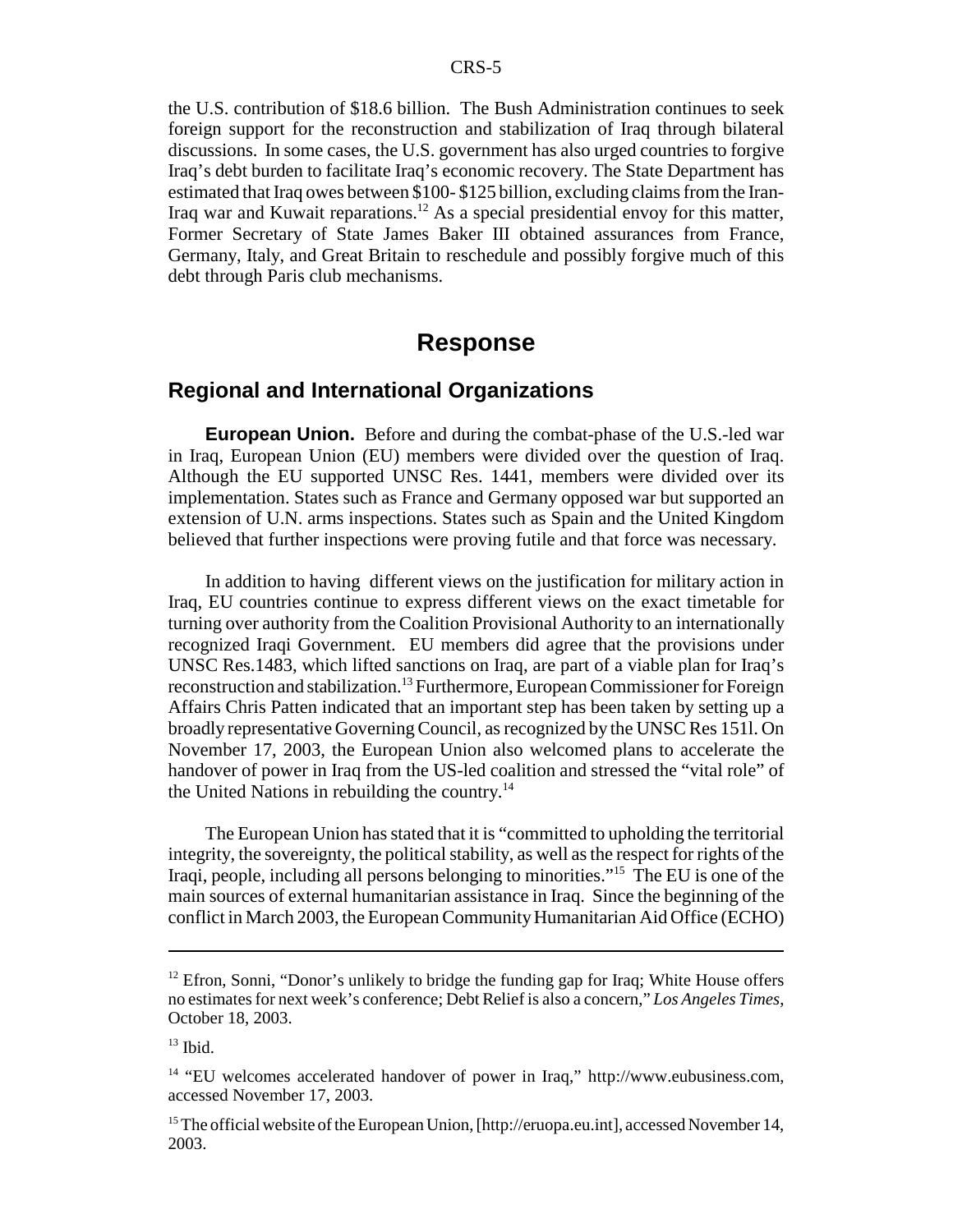the U.S. contribution of \$18.6 billion. The Bush Administration continues to seek foreign support for the reconstruction and stabilization of Iraq through bilateral discussions. In some cases, the U.S. government has also urged countries to forgive Iraq's debt burden to facilitate Iraq's economic recovery. The State Department has estimated that Iraq owes between \$100- \$125 billion, excluding claims from the Iran-Iraq war and Kuwait reparations.12 As a special presidential envoy for this matter, Former Secretary of State James Baker III obtained assurances from France, Germany, Italy, and Great Britain to reschedule and possibly forgive much of this debt through Paris club mechanisms.

# **Response**

### **Regional and International Organizations**

**European Union.** Before and during the combat-phase of the U.S.-led war in Iraq, European Union (EU) members were divided over the question of Iraq. Although the EU supported UNSC Res. 1441, members were divided over its implementation. States such as France and Germany opposed war but supported an extension of U.N. arms inspections. States such as Spain and the United Kingdom believed that further inspections were proving futile and that force was necessary.

In addition to having different views on the justification for military action in Iraq, EU countries continue to express different views on the exact timetable for turning over authority from the Coalition Provisional Authority to an internationally recognized Iraqi Government. EU members did agree that the provisions under UNSC Res.1483, which lifted sanctions on Iraq, are part of a viable plan for Iraq's reconstruction and stabilization.<sup>13</sup> Furthermore, European Commissioner for Foreign Affairs Chris Patten indicated that an important step has been taken by setting up a broadly representative Governing Council, as recognized by the UNSC Res 151l. On November 17, 2003, the European Union also welcomed plans to accelerate the handover of power in Iraq from the US-led coalition and stressed the "vital role" of the United Nations in rebuilding the country. $14$ 

The European Union has stated that it is "committed to upholding the territorial integrity, the sovereignty, the political stability, as well as the respect for rights of the Iraqi, people, including all persons belonging to minorities."15 The EU is one of the main sources of external humanitarian assistance in Iraq. Since the beginning of the conflict in March 2003, the European Community Humanitarian Aid Office (ECHO)

<sup>&</sup>lt;sup>12</sup> Efron, Sonni, "Donor's unlikely to bridge the funding gap for Iraq; White House offers no estimates for next week's conference; Debt Relief is also a concern," *Los Angeles Times*, October 18, 2003.

 $13$  Ibid.

<sup>&</sup>lt;sup>14</sup> "EU welcomes accelerated handover of power in Iraq," http://www.eubusiness.com, accessed November 17, 2003.

<sup>&</sup>lt;sup>15</sup> The official website of the European Union, [http://eruopa.eu.int], accessed November 14, 2003.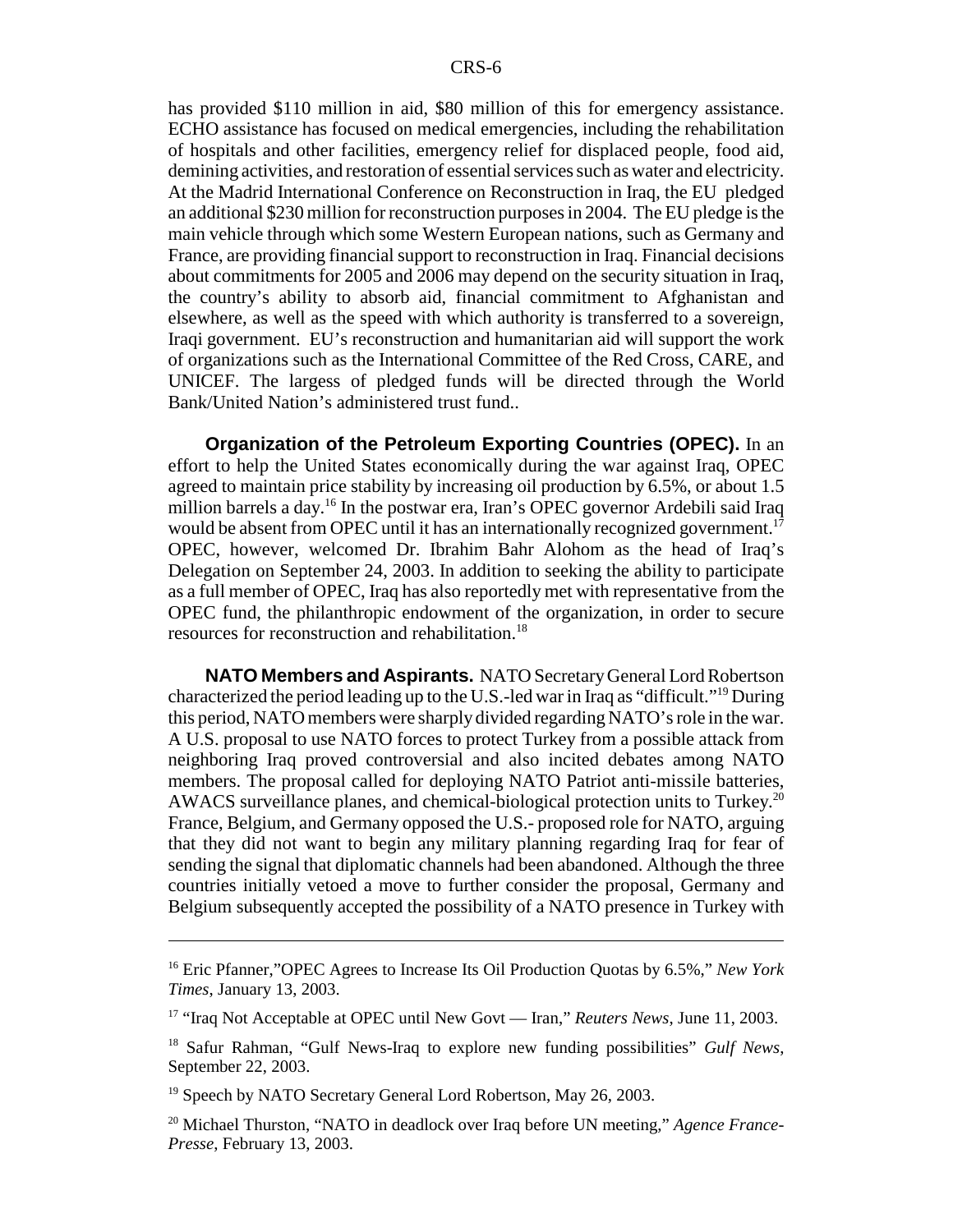has provided \$110 million in aid, \$80 million of this for emergency assistance. ECHO assistance has focused on medical emergencies, including the rehabilitation of hospitals and other facilities, emergency relief for displaced people, food aid, demining activities, and restoration of essential services such as water and electricity. At the Madrid International Conference on Reconstruction in Iraq, the EU pledged an additional \$230 million for reconstruction purposes in 2004. The EU pledge is the main vehicle through which some Western European nations, such as Germany and France, are providing financial support to reconstruction in Iraq. Financial decisions about commitments for 2005 and 2006 may depend on the security situation in Iraq, the country's ability to absorb aid, financial commitment to Afghanistan and elsewhere, as well as the speed with which authority is transferred to a sovereign, Iraqi government. EU's reconstruction and humanitarian aid will support the work of organizations such as the International Committee of the Red Cross, CARE, and UNICEF. The largess of pledged funds will be directed through the World Bank/United Nation's administered trust fund..

**Organization of the Petroleum Exporting Countries (OPEC).** In an effort to help the United States economically during the war against Iraq, OPEC agreed to maintain price stability by increasing oil production by 6.5%, or about 1.5 million barrels a day.16 In the postwar era, Iran's OPEC governor Ardebili said Iraq would be absent from OPEC until it has an internationally recognized government.<sup>17</sup> OPEC, however, welcomed Dr. Ibrahim Bahr Alohom as the head of Iraq's Delegation on September 24, 2003. In addition to seeking the ability to participate as a full member of OPEC, Iraq has also reportedly met with representative from the OPEC fund, the philanthropic endowment of the organization, in order to secure resources for reconstruction and rehabilitation.18

**NATO Members and Aspirants.** NATO Secretary General Lord Robertson characterized the period leading up to the U.S.-led war in Iraq as "difficult."19 During this period, NATO members were sharply divided regarding NATO's role in the war. A U.S. proposal to use NATO forces to protect Turkey from a possible attack from neighboring Iraq proved controversial and also incited debates among NATO members. The proposal called for deploying NATO Patriot anti-missile batteries, AWACS surveillance planes, and chemical-biological protection units to Turkey.<sup>20</sup> France, Belgium, and Germany opposed the U.S.- proposed role for NATO, arguing that they did not want to begin any military planning regarding Iraq for fear of sending the signal that diplomatic channels had been abandoned. Although the three countries initially vetoed a move to further consider the proposal, Germany and Belgium subsequently accepted the possibility of a NATO presence in Turkey with

<sup>16</sup> Eric Pfanner,"OPEC Agrees to Increase Its Oil Production Quotas by 6.5%," *New York Times*, January 13, 2003.

<sup>&</sup>lt;sup>17</sup> "Iraq Not Acceptable at OPEC until New Govt — Iran," *Reuters News*, June 11, 2003.

<sup>18</sup> Safur Rahman, "Gulf News-Iraq to explore new funding possibilities" *Gulf News*, September 22, 2003.

<sup>&</sup>lt;sup>19</sup> Speech by NATO Secretary General Lord Robertson, May 26, 2003.

<sup>20</sup> Michael Thurston, "NATO in deadlock over Iraq before UN meeting," *Agence France-Presse*, February 13, 2003.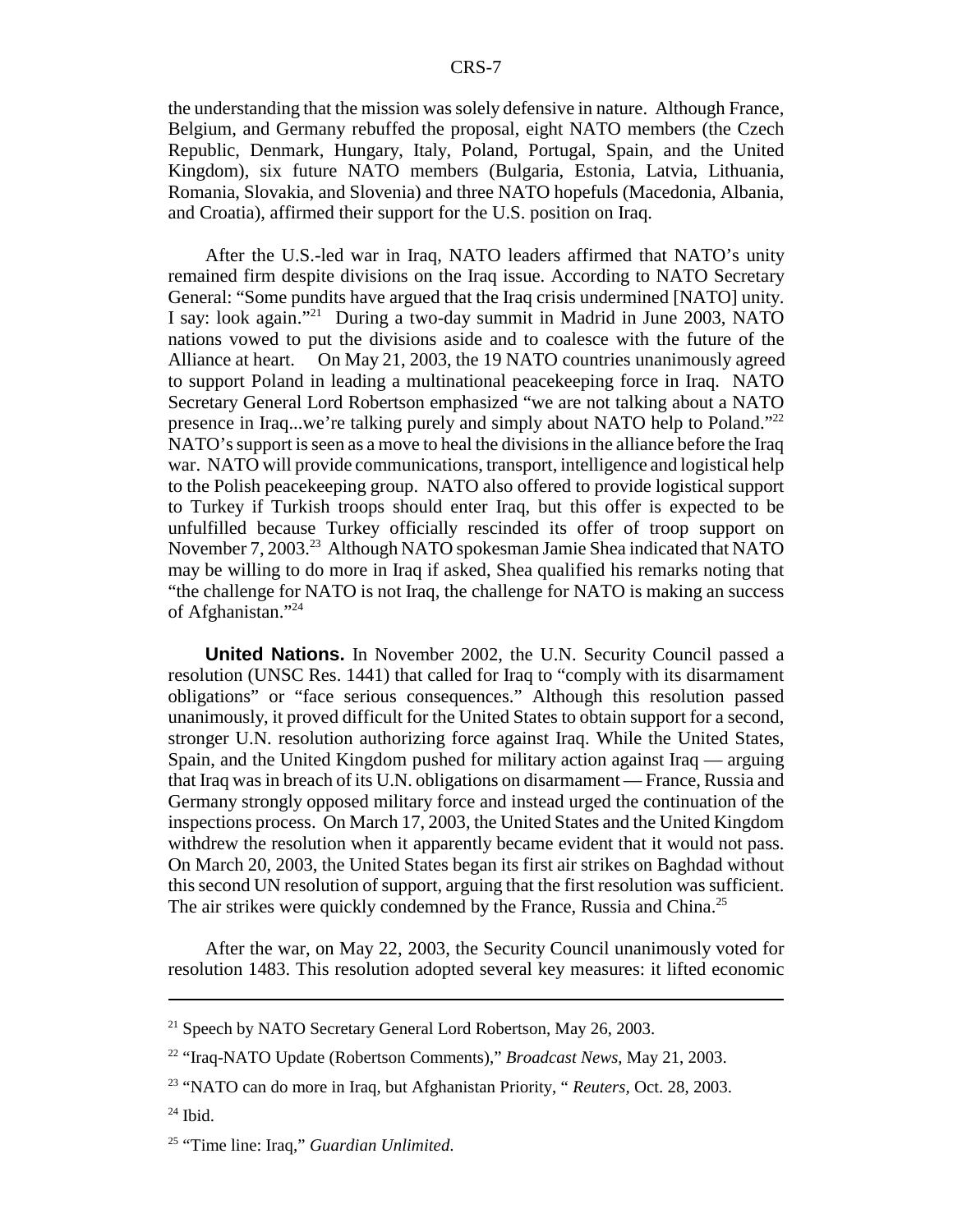the understanding that the mission was solely defensive in nature. Although France, Belgium, and Germany rebuffed the proposal, eight NATO members (the Czech Republic, Denmark, Hungary, Italy, Poland, Portugal, Spain, and the United Kingdom), six future NATO members (Bulgaria, Estonia, Latvia, Lithuania, Romania, Slovakia, and Slovenia) and three NATO hopefuls (Macedonia, Albania, and Croatia), affirmed their support for the U.S. position on Iraq.

After the U.S.-led war in Iraq, NATO leaders affirmed that NATO's unity remained firm despite divisions on the Iraq issue. According to NATO Secretary General: "Some pundits have argued that the Iraq crisis undermined [NATO] unity. I say: look again."21 During a two-day summit in Madrid in June 2003, NATO nations vowed to put the divisions aside and to coalesce with the future of the Alliance at heart. On May 21, 2003, the 19 NATO countries unanimously agreed to support Poland in leading a multinational peacekeeping force in Iraq. NATO Secretary General Lord Robertson emphasized "we are not talking about a NATO presence in Iraq...we're talking purely and simply about NATO help to Poland."<sup>22</sup> NATO's support is seen as a move to heal the divisions in the alliance before the Iraq war. NATO will provide communications, transport, intelligence and logistical help to the Polish peacekeeping group. NATO also offered to provide logistical support to Turkey if Turkish troops should enter Iraq, but this offer is expected to be unfulfilled because Turkey officially rescinded its offer of troop support on November 7, 2003.<sup>23</sup> Although NATO spokesman Jamie Shea indicated that NATO may be willing to do more in Iraq if asked, Shea qualified his remarks noting that "the challenge for NATO is not Iraq, the challenge for NATO is making an success of Afghanistan."24

**United Nations.** In November 2002, the U.N. Security Council passed a resolution (UNSC Res. 1441) that called for Iraq to "comply with its disarmament obligations" or "face serious consequences." Although this resolution passed unanimously, it proved difficult for the United States to obtain support for a second, stronger U.N. resolution authorizing force against Iraq. While the United States, Spain, and the United Kingdom pushed for military action against Iraq — arguing that Iraq was in breach of its U.N. obligations on disarmament — France, Russia and Germany strongly opposed military force and instead urged the continuation of the inspections process. On March 17, 2003, the United States and the United Kingdom withdrew the resolution when it apparently became evident that it would not pass. On March 20, 2003, the United States began its first air strikes on Baghdad without this second UN resolution of support, arguing that the first resolution was sufficient. The air strikes were quickly condemned by the France, Russia and China.<sup>25</sup>

After the war, on May 22, 2003, the Security Council unanimously voted for resolution 1483. This resolution adopted several key measures: it lifted economic

 $^{24}$  Ibid.

<sup>&</sup>lt;sup>21</sup> Speech by NATO Secretary General Lord Robertson, May 26, 2003.

<sup>22 &</sup>quot;Iraq-NATO Update (Robertson Comments)," *Broadcast News*, May 21, 2003.

<sup>23 &</sup>quot;NATO can do more in Iraq, but Afghanistan Priority, " *Reuters,* Oct. 28, 2003.

<sup>25 &</sup>quot;Time line: Iraq," *Guardian Unlimited*.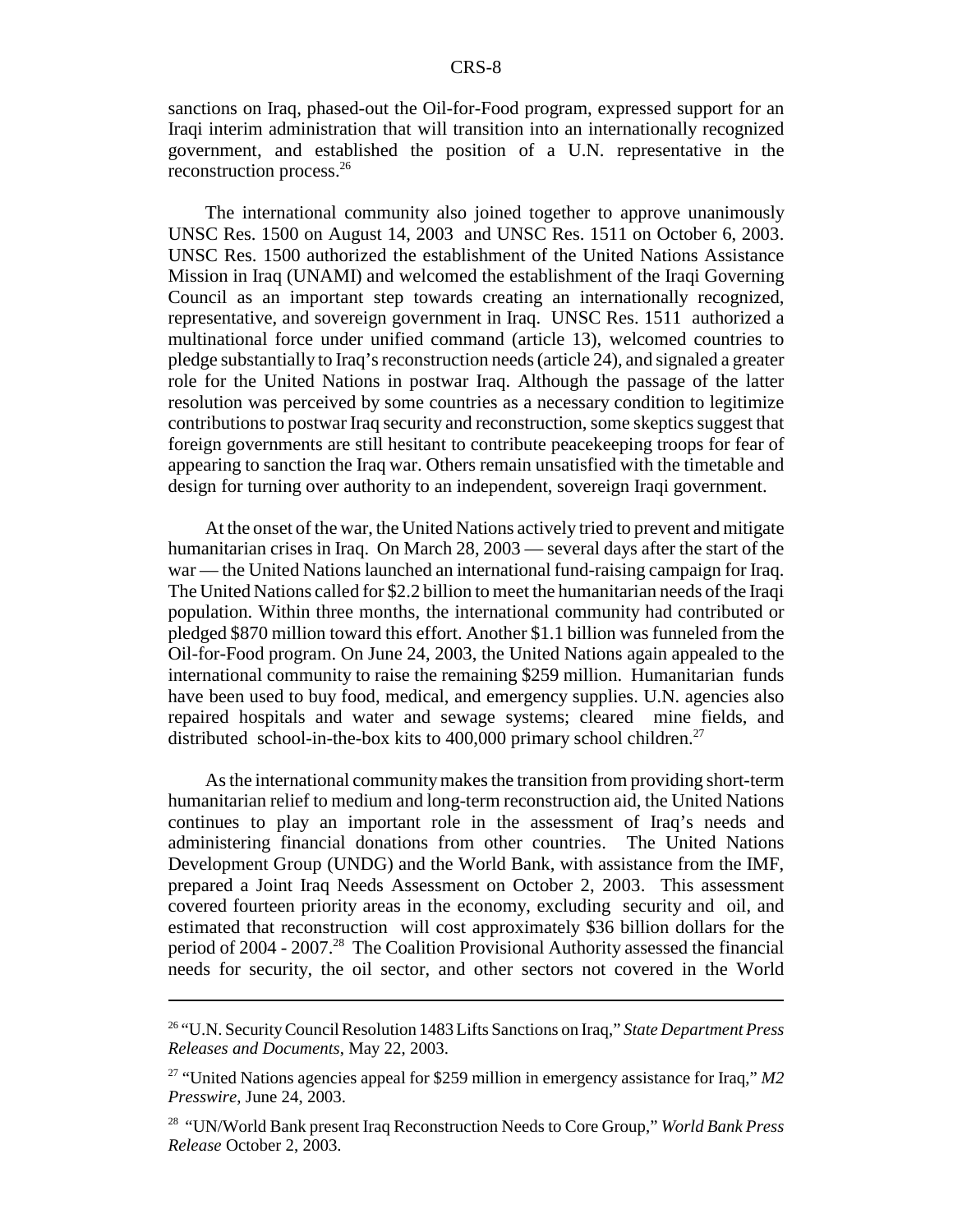sanctions on Iraq, phased-out the Oil-for-Food program, expressed support for an Iraqi interim administration that will transition into an internationally recognized government, and established the position of a U.N. representative in the reconstruction process.26

The international community also joined together to approve unanimously UNSC Res. 1500 on August 14, 2003 and UNSC Res. 1511 on October 6, 2003. UNSC Res. 1500 authorized the establishment of the United Nations Assistance Mission in Iraq (UNAMI) and welcomed the establishment of the Iraqi Governing Council as an important step towards creating an internationally recognized, representative, and sovereign government in Iraq. UNSC Res. 1511 authorized a multinational force under unified command (article 13), welcomed countries to pledge substantially to Iraq's reconstruction needs (article 24), and signaled a greater role for the United Nations in postwar Iraq. Although the passage of the latter resolution was perceived by some countries as a necessary condition to legitimize contributions to postwar Iraq security and reconstruction, some skeptics suggest that foreign governments are still hesitant to contribute peacekeeping troops for fear of appearing to sanction the Iraq war. Others remain unsatisfied with the timetable and design for turning over authority to an independent, sovereign Iraqi government.

At the onset of the war, the United Nations actively tried to prevent and mitigate humanitarian crises in Iraq. On March 28, 2003 — several days after the start of the war — the United Nations launched an international fund-raising campaign for Iraq. The United Nations called for \$2.2 billion to meet the humanitarian needs of the Iraqi population. Within three months, the international community had contributed or pledged \$870 million toward this effort. Another \$1.1 billion was funneled from the Oil-for-Food program. On June 24, 2003, the United Nations again appealed to the international community to raise the remaining \$259 million. Humanitarian funds have been used to buy food, medical, and emergency supplies. U.N. agencies also repaired hospitals and water and sewage systems; cleared mine fields, and distributed school-in-the-box kits to  $400,000$  primary school children.<sup>27</sup>

As the international community makes the transition from providing short-term humanitarian relief to medium and long-term reconstruction aid, the United Nations continues to play an important role in the assessment of Iraq's needs and administering financial donations from other countries. The United Nations Development Group (UNDG) and the World Bank, with assistance from the IMF, prepared a Joint Iraq Needs Assessment on October 2, 2003. This assessment covered fourteen priority areas in the economy, excluding security and oil, and estimated that reconstruction will cost approximately \$36 billion dollars for the period of 2004 - 2007.<sup>28</sup> The Coalition Provisional Authority assessed the financial needs for security, the oil sector, and other sectors not covered in the World

<sup>26 &</sup>quot;U.N. Security Council Resolution 1483 Lifts Sanctions on Iraq," *State Department Press Releases and Documents*, May 22, 2003.

<sup>27 &</sup>quot;United Nations agencies appeal for \$259 million in emergency assistance for Iraq," *M2 Presswire*, June 24, 2003.

<sup>28 &</sup>quot;UN/World Bank present Iraq Reconstruction Needs to Core Group," *World Bank Press Release* October 2, 2003.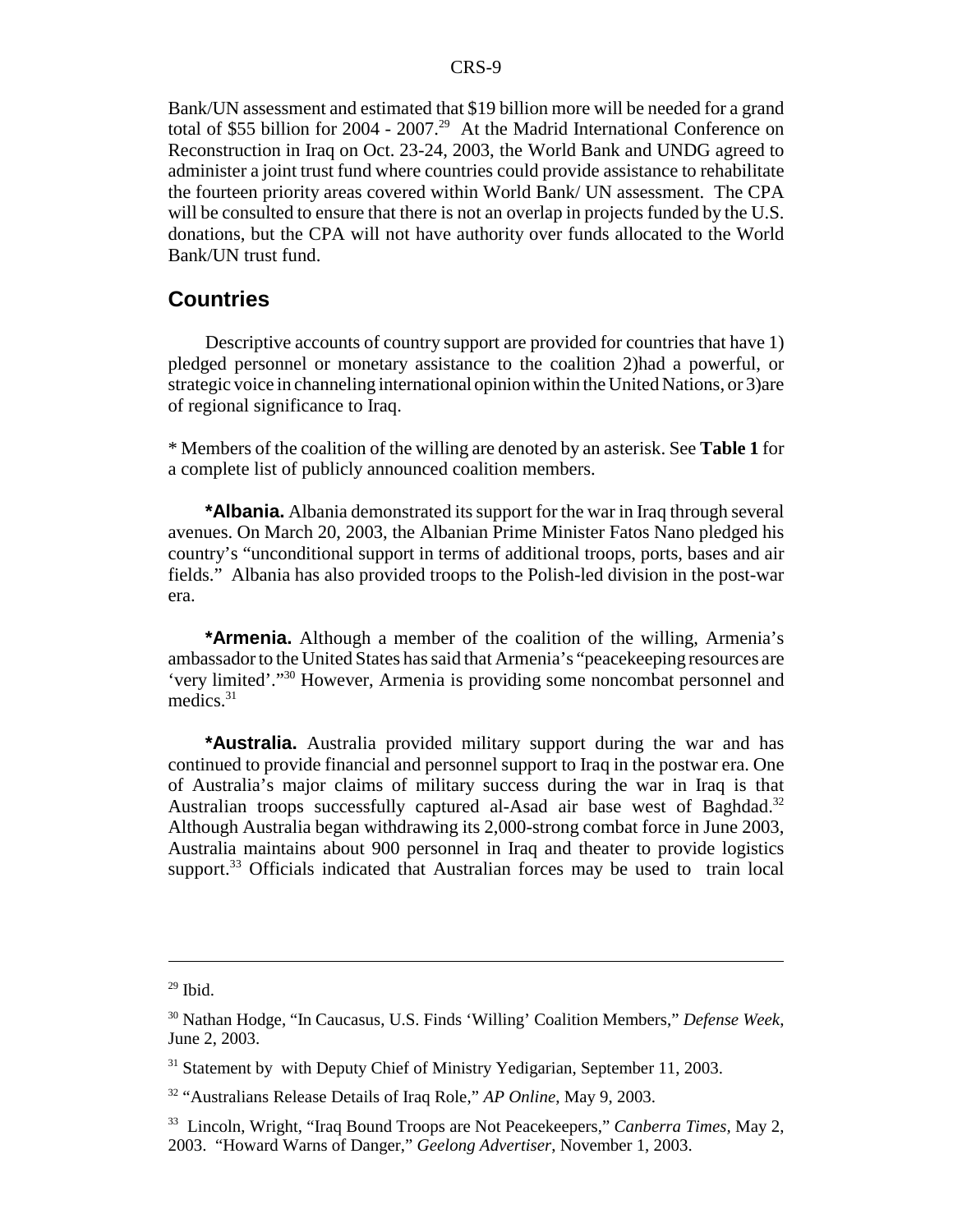Bank/UN assessment and estimated that \$19 billion more will be needed for a grand total of \$55 billion for 2004 - 2007.<sup>29</sup> At the Madrid International Conference on Reconstruction in Iraq on Oct. 23-24, 2003, the World Bank and UNDG agreed to administer a joint trust fund where countries could provide assistance to rehabilitate the fourteen priority areas covered within World Bank/ UN assessment. The CPA will be consulted to ensure that there is not an overlap in projects funded by the U.S. donations, but the CPA will not have authority over funds allocated to the World Bank/UN trust fund.

### **Countries**

Descriptive accounts of country support are provided for countries that have 1) pledged personnel or monetary assistance to the coalition 2)had a powerful, or strategic voice in channeling international opinion within the United Nations, or 3)are of regional significance to Iraq.

\* Members of the coalition of the willing are denoted by an asterisk. See **Table 1** for a complete list of publicly announced coalition members.

**\*Albania.** Albania demonstrated its support for the war in Iraq through several avenues. On March 20, 2003, the Albanian Prime Minister Fatos Nano pledged his country's "unconditional support in terms of additional troops, ports, bases and air fields." Albania has also provided troops to the Polish-led division in the post-war era.

**\*Armenia.** Although a member of the coalition of the willing, Armenia's ambassador to the United States has said that Armenia's "peacekeeping resources are 'very limited'."30 However, Armenia is providing some noncombat personnel and medics. $31$ 

**\*Australia.** Australia provided military support during the war and has continued to provide financial and personnel support to Iraq in the postwar era. One of Australia's major claims of military success during the war in Iraq is that Australian troops successfully captured al-Asad air base west of Baghdad.<sup>32</sup> Although Australia began withdrawing its 2,000-strong combat force in June 2003, Australia maintains about 900 personnel in Iraq and theater to provide logistics support. $33$  Officials indicated that Australian forces may be used to train local

 $29$  Ibid.

<sup>30</sup> Nathan Hodge, "In Caucasus, U.S. Finds 'Willing' Coalition Members," *Defense Week*, June 2, 2003.

<sup>&</sup>lt;sup>31</sup> Statement by with Deputy Chief of Ministry Yedigarian, September 11, 2003.

<sup>32 &</sup>quot;Australians Release Details of Iraq Role," *AP Online*, May 9, 2003.

<sup>33</sup> Lincoln, Wright, "Iraq Bound Troops are Not Peacekeepers," *Canberra Times,* May 2, 2003. "Howard Warns of Danger," *Geelong Advertiser*, November 1, 2003.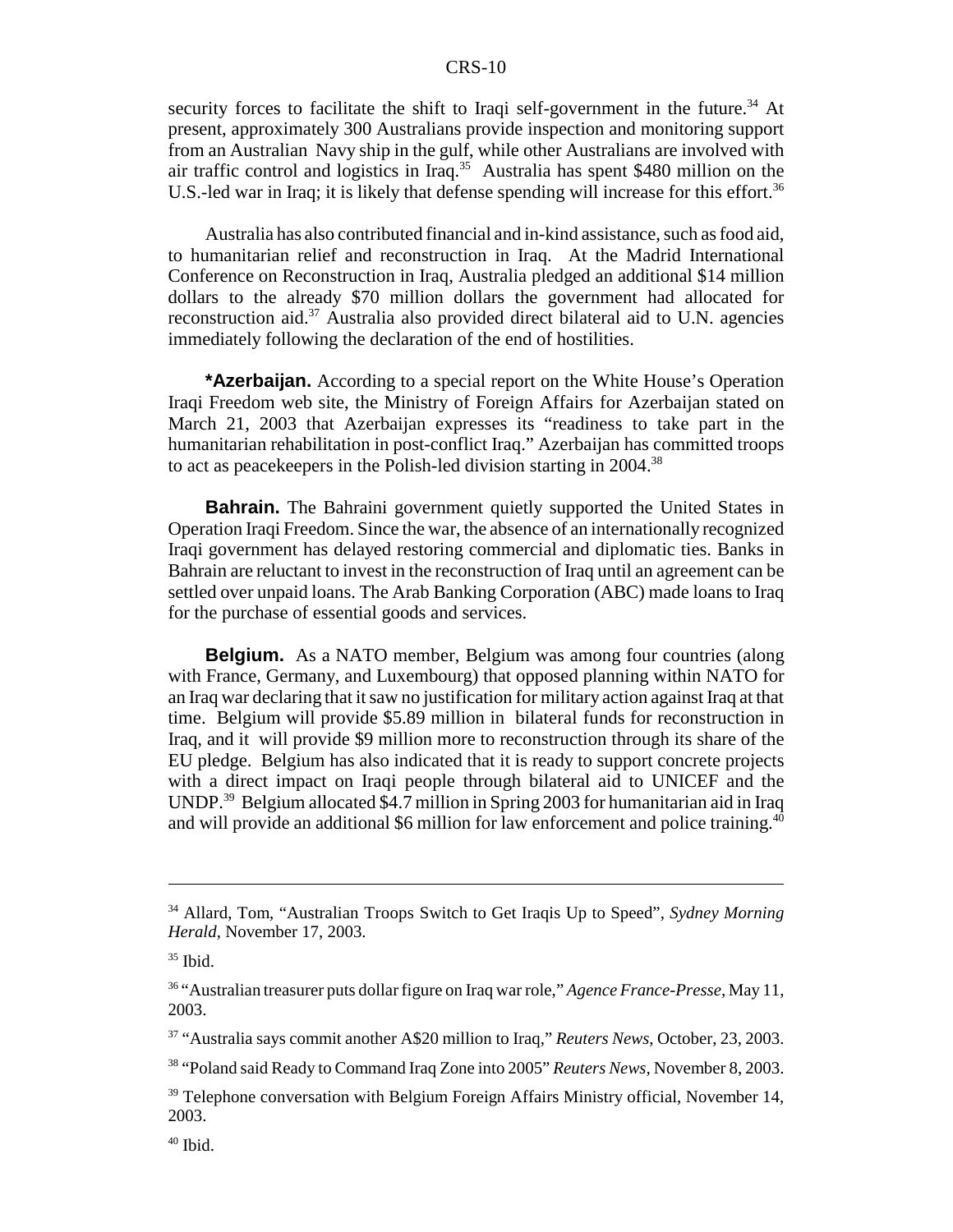security forces to facilitate the shift to Iraqi self-government in the future.<sup>34</sup> At present, approximately 300 Australians provide inspection and monitoring support from an Australian Navy ship in the gulf, while other Australians are involved with air traffic control and logistics in Iraq.35 Australia has spent \$480 million on the U.S.-led war in Iraq; it is likely that defense spending will increase for this effort.<sup>36</sup>

Australia has also contributed financial and in-kind assistance, such as food aid, to humanitarian relief and reconstruction in Iraq. At the Madrid International Conference on Reconstruction in Iraq, Australia pledged an additional \$14 million dollars to the already \$70 million dollars the government had allocated for reconstruction aid.37 Australia also provided direct bilateral aid to U.N. agencies immediately following the declaration of the end of hostilities.

**\*Azerbaijan.** According to a special report on the White House's Operation Iraqi Freedom web site, the Ministry of Foreign Affairs for Azerbaijan stated on March 21, 2003 that Azerbaijan expresses its "readiness to take part in the humanitarian rehabilitation in post-conflict Iraq." Azerbaijan has committed troops to act as peacekeepers in the Polish-led division starting in 2004.38

**Bahrain.** The Bahraini government quietly supported the United States in Operation Iraqi Freedom. Since the war, the absence of an internationally recognized Iraqi government has delayed restoring commercial and diplomatic ties. Banks in Bahrain are reluctant to invest in the reconstruction of Iraq until an agreement can be settled over unpaid loans. The Arab Banking Corporation (ABC) made loans to Iraq for the purchase of essential goods and services.

**Belgium.** As a NATO member, Belgium was among four countries (along with France, Germany, and Luxembourg) that opposed planning within NATO for an Iraq war declaring that it saw no justification for military action against Iraq at that time. Belgium will provide \$5.89 million in bilateral funds for reconstruction in Iraq, and it will provide \$9 million more to reconstruction through its share of the EU pledge. Belgium has also indicated that it is ready to support concrete projects with a direct impact on Iraqi people through bilateral aid to UNICEF and the UNDP.39 Belgium allocated \$4.7 million in Spring 2003 for humanitarian aid in Iraq and will provide an additional \$6 million for law enforcement and police training.<sup>40</sup>

<sup>34</sup> Allard, Tom, "Australian Troops Switch to Get Iraqis Up to Speed", *Sydney Morning Herald*, November 17, 2003.

 $35$  Ibid.

<sup>36 &</sup>quot;Australian treasurer puts dollar figure on Iraq war role," *Agence France-Presse,* May 11, 2003.

<sup>37 &</sup>quot;Australia says commit another A\$20 million to Iraq," *Reuters News*, October, 23, 2003.

<sup>38 &</sup>quot;Poland said Ready to Command Iraq Zone into 2005" *Reuters News,* November 8, 2003.

<sup>&</sup>lt;sup>39</sup> Telephone conversation with Belgium Foreign Affairs Ministry official, November 14, 2003.

 $40$  Ibid.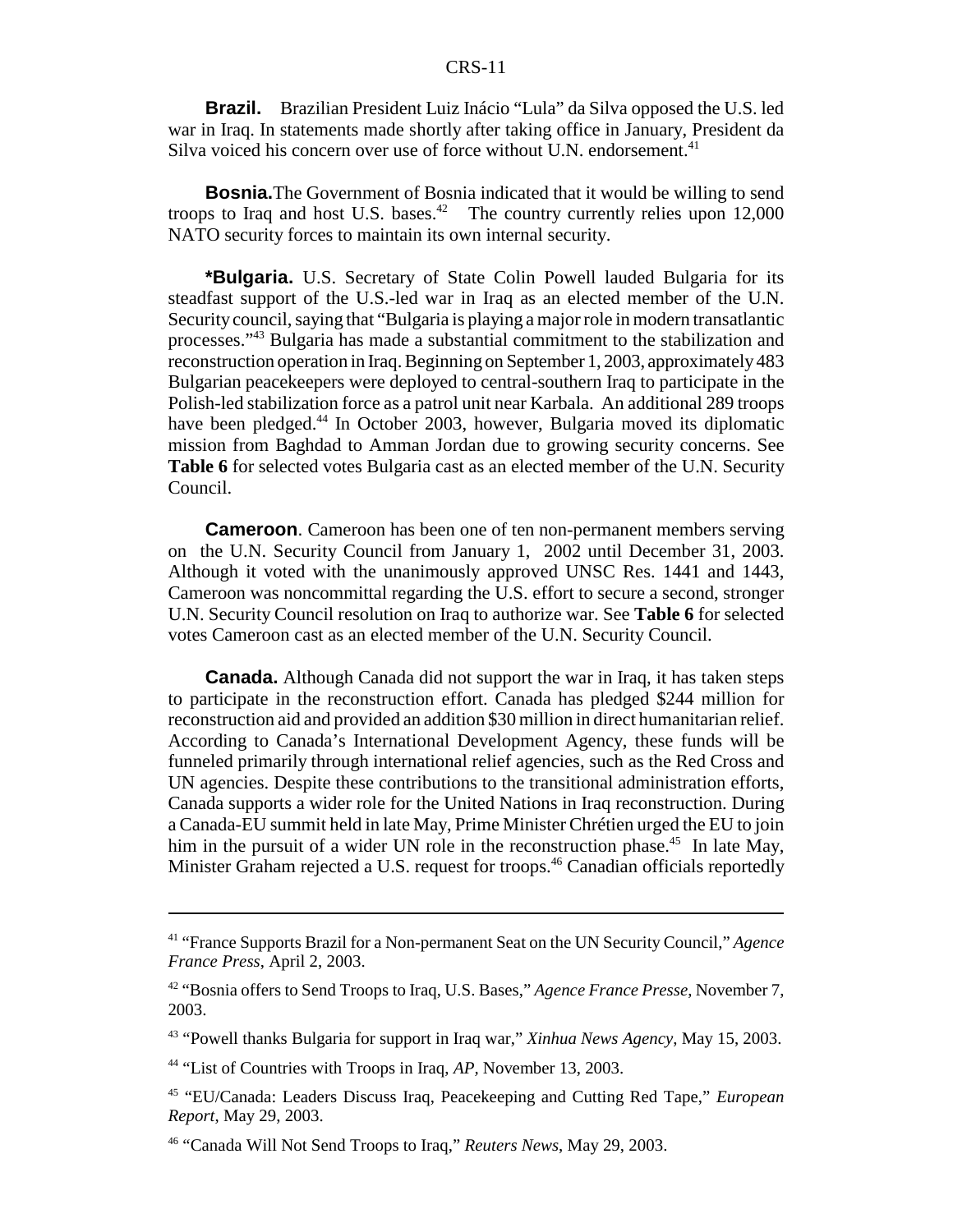**Brazil.** Brazilian President Luiz Inácio "Lula" da Silva opposed the U.S. led war in Iraq. In statements made shortly after taking office in January, President da Silva voiced his concern over use of force without U.N. endorsement.<sup>41</sup>

**Bosnia.**The Government of Bosnia indicated that it would be willing to send troops to Iraq and host U.S. bases.<sup>42</sup> The country currently relies upon  $12,000$ NATO security forces to maintain its own internal security.

**\*Bulgaria.** U.S. Secretary of State Colin Powell lauded Bulgaria for its steadfast support of the U.S.-led war in Iraq as an elected member of the U.N. Security council, saying that "Bulgaria is playing a major role in modern transatlantic processes."43 Bulgaria has made a substantial commitment to the stabilization and reconstruction operation in Iraq. Beginning on September 1, 2003, approximately 483 Bulgarian peacekeepers were deployed to central-southern Iraq to participate in the Polish-led stabilization force as a patrol unit near Karbala. An additional 289 troops have been pledged.<sup>44</sup> In October 2003, however, Bulgaria moved its diplomatic mission from Baghdad to Amman Jordan due to growing security concerns. See **Table 6** for selected votes Bulgaria cast as an elected member of the U.N. Security Council.

**Cameroon**. Cameroon has been one of ten non-permanent members serving on the U.N. Security Council from January 1, 2002 until December 31, 2003. Although it voted with the unanimously approved UNSC Res. 1441 and 1443, Cameroon was noncommittal regarding the U.S. effort to secure a second, stronger U.N. Security Council resolution on Iraq to authorize war. See **Table 6** for selected votes Cameroon cast as an elected member of the U.N. Security Council.

**Canada.** Although Canada did not support the war in Iraq, it has taken steps to participate in the reconstruction effort. Canada has pledged \$244 million for reconstruction aid and provided an addition \$30 million in direct humanitarian relief. According to Canada's International Development Agency, these funds will be funneled primarily through international relief agencies, such as the Red Cross and UN agencies. Despite these contributions to the transitional administration efforts, Canada supports a wider role for the United Nations in Iraq reconstruction. During a Canada-EU summit held in late May, Prime Minister Chrétien urged the EU to join him in the pursuit of a wider UN role in the reconstruction phase.<sup>45</sup> In late May, Minister Graham rejected a U.S. request for troops.<sup>46</sup> Canadian officials reportedly

<sup>41 &</sup>quot;France Supports Brazil for a Non-permanent Seat on the UN Security Council," *Agence France Press*, April 2, 2003.

<sup>42 &</sup>quot;Bosnia offers to Send Troops to Iraq, U.S. Bases," *Agence France Presse*, November 7, 2003.

<sup>43 &</sup>quot;Powell thanks Bulgaria for support in Iraq war," *Xinhua News Agency*, May 15, 2003.

<sup>44 &</sup>quot;List of Countries with Troops in Iraq, *AP,* November 13, 2003.

<sup>45 &</sup>quot;EU/Canada: Leaders Discuss Iraq, Peacekeeping and Cutting Red Tape," *European Report*, May 29, 2003.

<sup>46 &</sup>quot;Canada Will Not Send Troops to Iraq," *Reuters News*, May 29, 2003.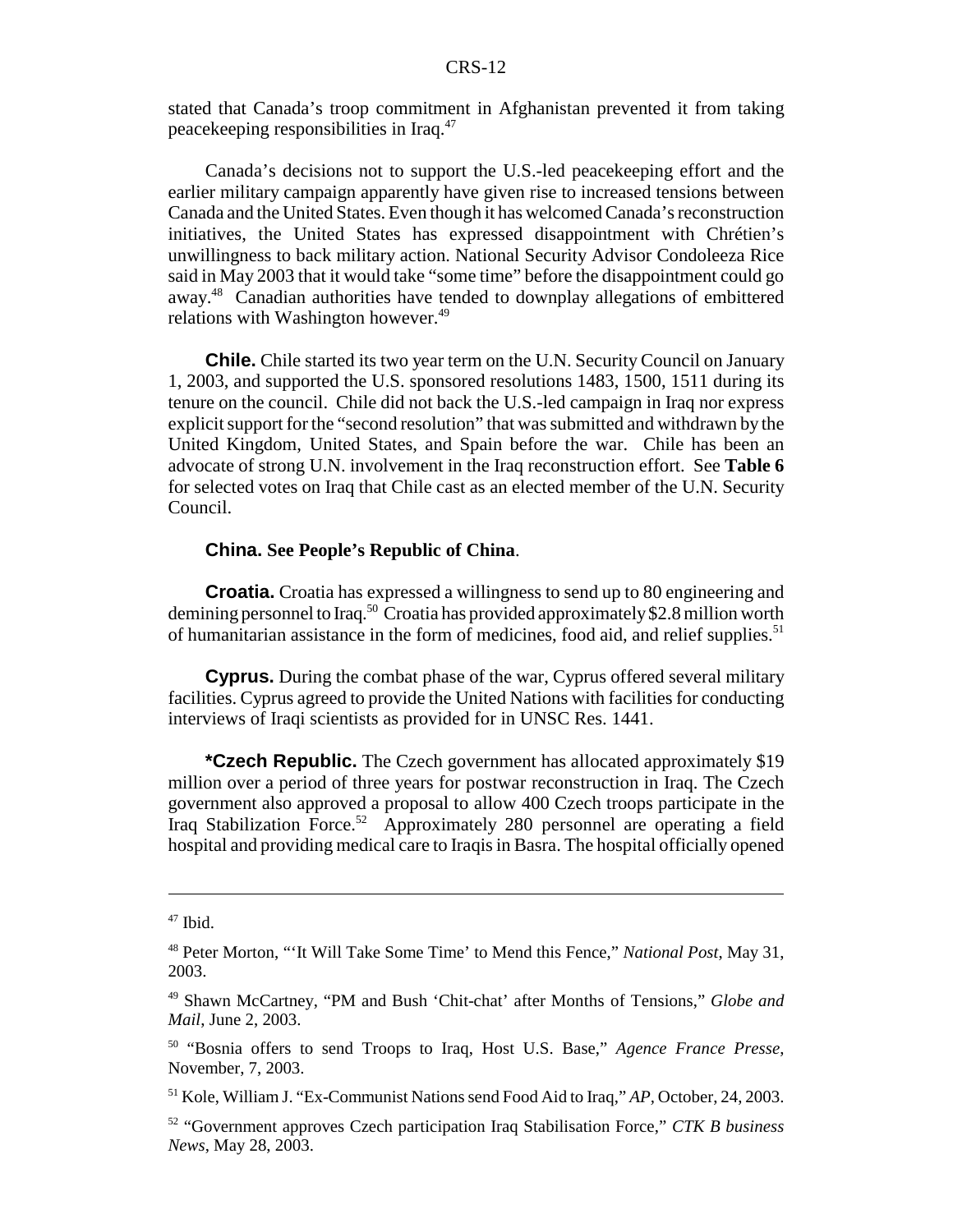stated that Canada's troop commitment in Afghanistan prevented it from taking peacekeeping responsibilities in Iraq.47

Canada's decisions not to support the U.S.-led peacekeeping effort and the earlier military campaign apparently have given rise to increased tensions between Canada and the United States. Even though it has welcomed Canada's reconstruction initiatives, the United States has expressed disappointment with Chrétien's unwillingness to back military action. National Security Advisor Condoleeza Rice said in May 2003 that it would take "some time" before the disappointment could go away.48 Canadian authorities have tended to downplay allegations of embittered relations with Washington however.<sup>49</sup>

**Chile.** Chile started its two year term on the U.N. Security Council on January 1, 2003, and supported the U.S. sponsored resolutions 1483, 1500, 1511 during its tenure on the council. Chile did not back the U.S.-led campaign in Iraq nor express explicit support for the "second resolution" that was submitted and withdrawn by the United Kingdom, United States, and Spain before the war. Chile has been an advocate of strong U.N. involvement in the Iraq reconstruction effort. See **Table 6** for selected votes on Iraq that Chile cast as an elected member of the U.N. Security Council.

#### **China. See People's Republic of China**.

**Croatia.** Croatia has expressed a willingness to send up to 80 engineering and demining personnel to Iraq.<sup>50</sup> Croatia has provided approximately \$2.8 million worth of humanitarian assistance in the form of medicines, food aid, and relief supplies.<sup>51</sup>

**Cyprus.** During the combat phase of the war, Cyprus offered several military facilities. Cyprus agreed to provide the United Nations with facilities for conducting interviews of Iraqi scientists as provided for in UNSC Res. 1441.

**\*Czech Republic.** The Czech government has allocated approximately \$19 million over a period of three years for postwar reconstruction in Iraq. The Czech government also approved a proposal to allow 400 Czech troops participate in the Iraq Stabilization Force.<sup>52</sup> Approximately 280 personnel are operating a field hospital and providing medical care to Iraqis in Basra. The hospital officially opened

 $47$  Ibid.

<sup>48</sup> Peter Morton, "'It Will Take Some Time' to Mend this Fence," *National Post*, May 31, 2003.

<sup>49</sup> Shawn McCartney, "PM and Bush 'Chit-chat' after Months of Tensions," *Globe and Mail*, June 2, 2003.

<sup>50 &</sup>quot;Bosnia offers to send Troops to Iraq, Host U.S. Base," *Agence France Presse*, November, 7, 2003.

<sup>51</sup> Kole, William J. "Ex-Communist Nations send Food Aid to Iraq," *AP,* October, 24, 2003.

<sup>52 &</sup>quot;Government approves Czech participation Iraq Stabilisation Force," *CTK B business News*, May 28, 2003.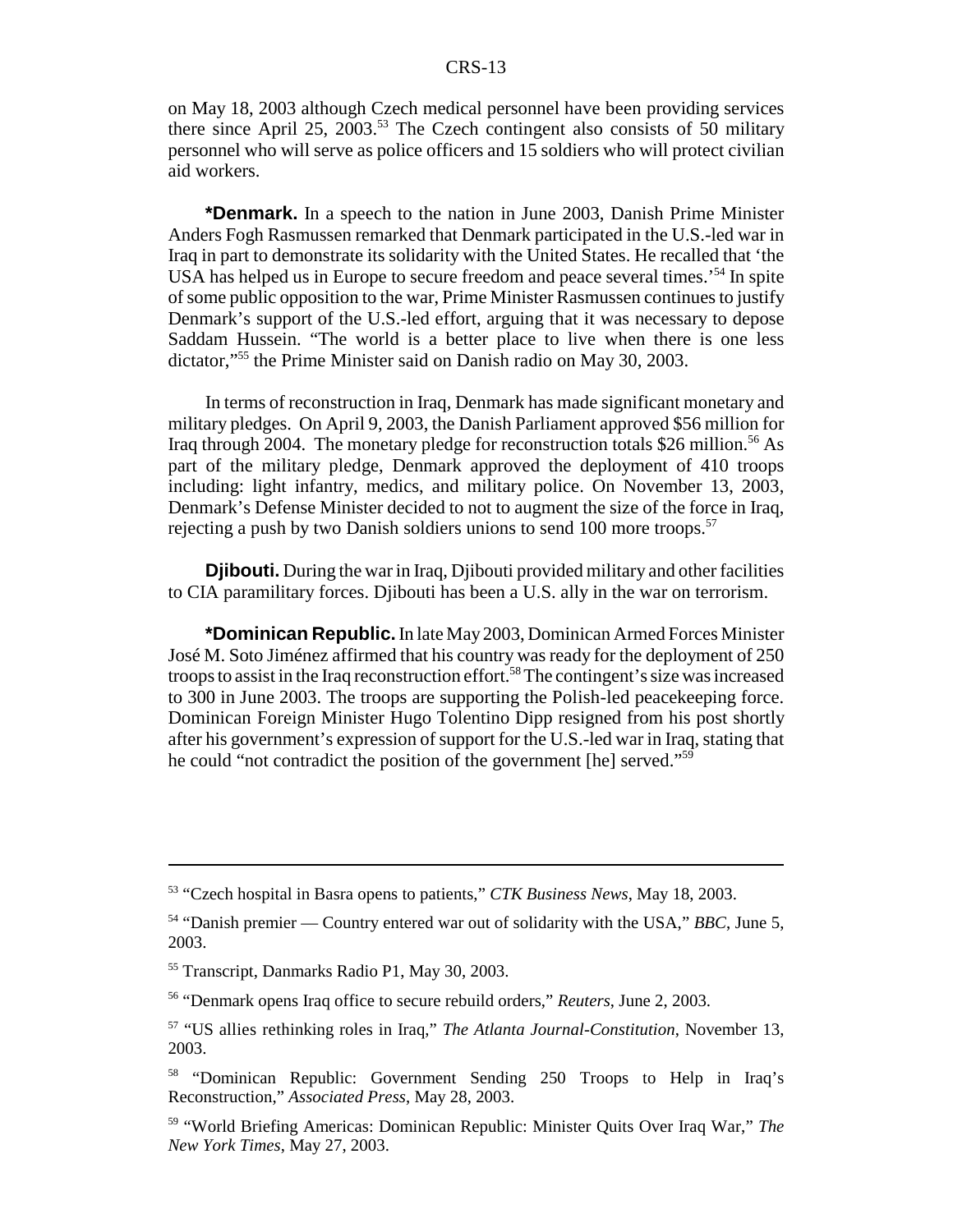on May 18, 2003 although Czech medical personnel have been providing services there since April 25, 2003.<sup>53</sup> The Czech contingent also consists of 50 military personnel who will serve as police officers and 15 soldiers who will protect civilian aid workers.

**\*Denmark.** In a speech to the nation in June 2003, Danish Prime Minister Anders Fogh Rasmussen remarked that Denmark participated in the U.S.-led war in Iraq in part to demonstrate its solidarity with the United States. He recalled that 'the USA has helped us in Europe to secure freedom and peace several times.<sup>54</sup> In spite of some public opposition to the war, Prime Minister Rasmussen continues to justify Denmark's support of the U.S.-led effort, arguing that it was necessary to depose Saddam Hussein. "The world is a better place to live when there is one less dictator,"55 the Prime Minister said on Danish radio on May 30, 2003.

In terms of reconstruction in Iraq, Denmark has made significant monetary and military pledges. On April 9, 2003, the Danish Parliament approved \$56 million for Iraq through 2004. The monetary pledge for reconstruction totals \$26 million.<sup>56</sup> As part of the military pledge, Denmark approved the deployment of 410 troops including: light infantry, medics, and military police. On November 13, 2003, Denmark's Defense Minister decided to not to augment the size of the force in Iraq, rejecting a push by two Danish soldiers unions to send 100 more troops.<sup>57</sup>

**Djibouti.** During the war in Iraq, Djibouti provided military and other facilities to CIA paramilitary forces. Djibouti has been a U.S. ally in the war on terrorism.

**\*Dominican Republic.** In late May 2003, Dominican Armed Forces Minister José M. Soto Jiménez affirmed that his country was ready for the deployment of 250 troops to assist in the Iraq reconstruction effort.<sup>58</sup> The contingent's size was increased to 300 in June 2003. The troops are supporting the Polish-led peacekeeping force. Dominican Foreign Minister Hugo Tolentino Dipp resigned from his post shortly after his government's expression of support for the U.S.-led war in Iraq, stating that he could "not contradict the position of the government [he] served."59

<sup>53 &</sup>quot;Czech hospital in Basra opens to patients," *CTK Business News*, May 18, 2003.

<sup>54 &</sup>quot;Danish premier — Country entered war out of solidarity with the USA," *BBC*, June 5, 2003.

<sup>55</sup> Transcript, Danmarks Radio P1, May 30, 2003.

<sup>56 &</sup>quot;Denmark opens Iraq office to secure rebuild orders," *Reuters*, June 2, 2003.

<sup>57 &</sup>quot;US allies rethinking roles in Iraq," *The Atlanta Journal-Constitution*, November 13, 2003.

<sup>58 &</sup>quot;Dominican Republic: Government Sending 250 Troops to Help in Iraq's Reconstruction," *Associated Press*, May 28, 2003.

<sup>59 &</sup>quot;World Briefing Americas: Dominican Republic: Minister Quits Over Iraq War," *The New York Times*, May 27, 2003.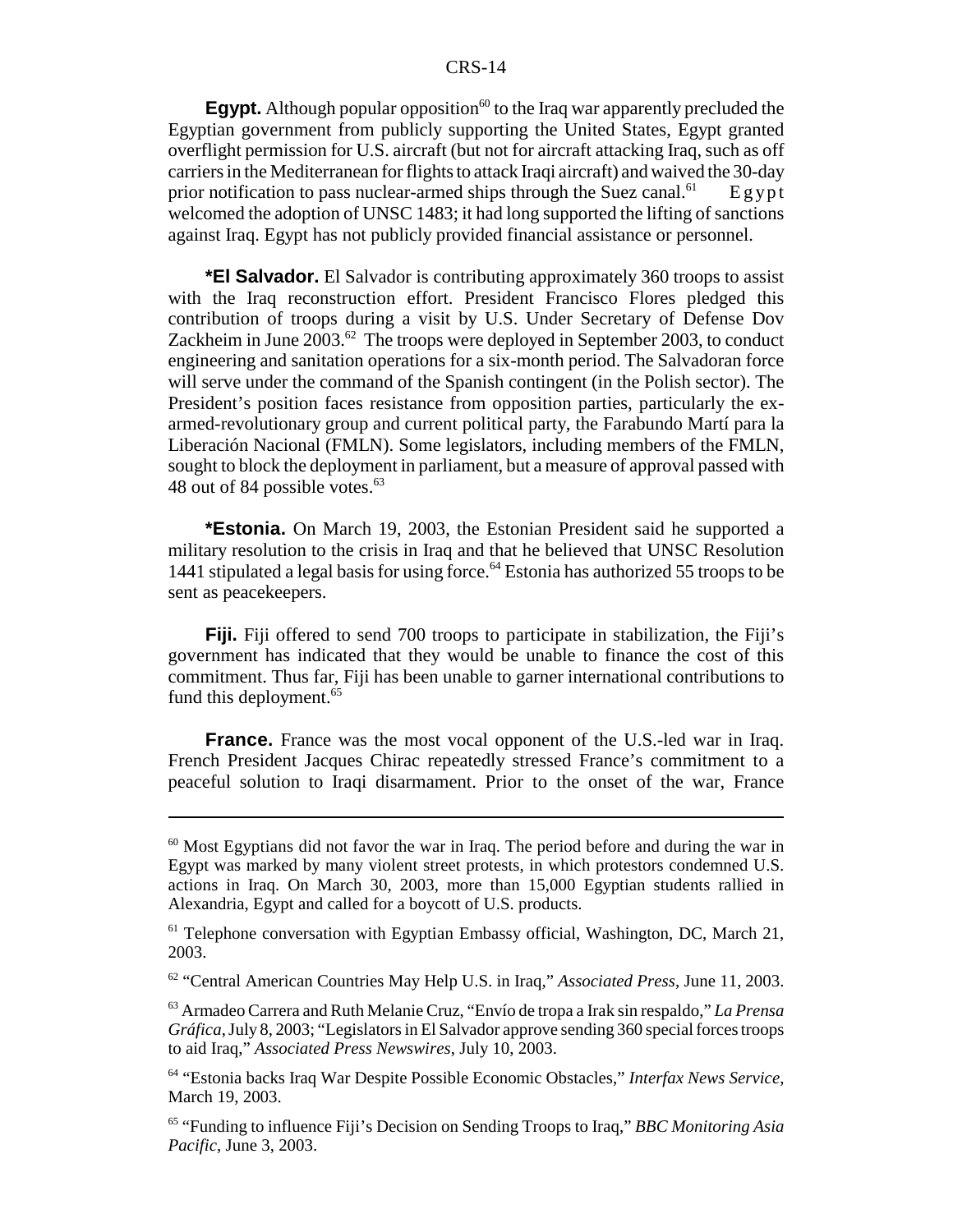**Egypt.** Although popular opposition<sup>60</sup> to the Iraq war apparently precluded the Egyptian government from publicly supporting the United States, Egypt granted overflight permission for U.S. aircraft (but not for aircraft attacking Iraq, such as off carriers in the Mediterranean for flights to attack Iraqi aircraft) and waived the 30-day prior notification to pass nuclear-armed ships through the Suez canal.<sup>61</sup> Egypt welcomed the adoption of UNSC 1483; it had long supported the lifting of sanctions against Iraq. Egypt has not publicly provided financial assistance or personnel.

**\*El Salvador.** El Salvador is contributing approximately 360 troops to assist with the Iraq reconstruction effort. President Francisco Flores pledged this contribution of troops during a visit by U.S. Under Secretary of Defense Dov Zackheim in June  $2003<sup>62</sup>$  The troops were deployed in September 2003, to conduct engineering and sanitation operations for a six-month period. The Salvadoran force will serve under the command of the Spanish contingent (in the Polish sector). The President's position faces resistance from opposition parties, particularly the exarmed-revolutionary group and current political party, the Farabundo Martí para la Liberación Nacional (FMLN). Some legislators, including members of the FMLN, sought to block the deployment in parliament, but a measure of approval passed with 48 out of 84 possible votes. $63$ 

**\*Estonia.** On March 19, 2003, the Estonian President said he supported a military resolution to the crisis in Iraq and that he believed that UNSC Resolution 1441 stipulated a legal basis for using force.<sup> $64$ </sup> Estonia has authorized 55 troops to be sent as peacekeepers.

**Fiji.** Fiji offered to send 700 troops to participate in stabilization, the Fiji's government has indicated that they would be unable to finance the cost of this commitment. Thus far, Fiji has been unable to garner international contributions to fund this deployment.<sup>65</sup>

**France.** France was the most vocal opponent of the U.S.-led war in Iraq. French President Jacques Chirac repeatedly stressed France's commitment to a peaceful solution to Iraqi disarmament. Prior to the onset of the war, France

 $60$  Most Egyptians did not favor the war in Iraq. The period before and during the war in Egypt was marked by many violent street protests, in which protestors condemned U.S. actions in Iraq. On March 30, 2003, more than 15,000 Egyptian students rallied in Alexandria, Egypt and called for a boycott of U.S. products.

 $<sup>61</sup>$  Telephone conversation with Egyptian Embassy official, Washington, DC, March 21,</sup> 2003.

<sup>62 &</sup>quot;Central American Countries May Help U.S. in Iraq," *Associated Press*, June 11, 2003.

<sup>63</sup> Armadeo Carrera and Ruth Melanie Cruz, "Envío de tropa a Irak sin respaldo," *La Prensa Gráfica*, July 8, 2003; "Legislators in El Salvador approve sending 360 special forces troops to aid Iraq," *Associated Press Newswires*, July 10, 2003.

<sup>64 &</sup>quot;Estonia backs Iraq War Despite Possible Economic Obstacles," *Interfax News Service*, March 19, 2003.

<sup>65 &</sup>quot;Funding to influence Fiji's Decision on Sending Troops to Iraq," *BBC Monitoring Asia Pacific*, June 3, 2003.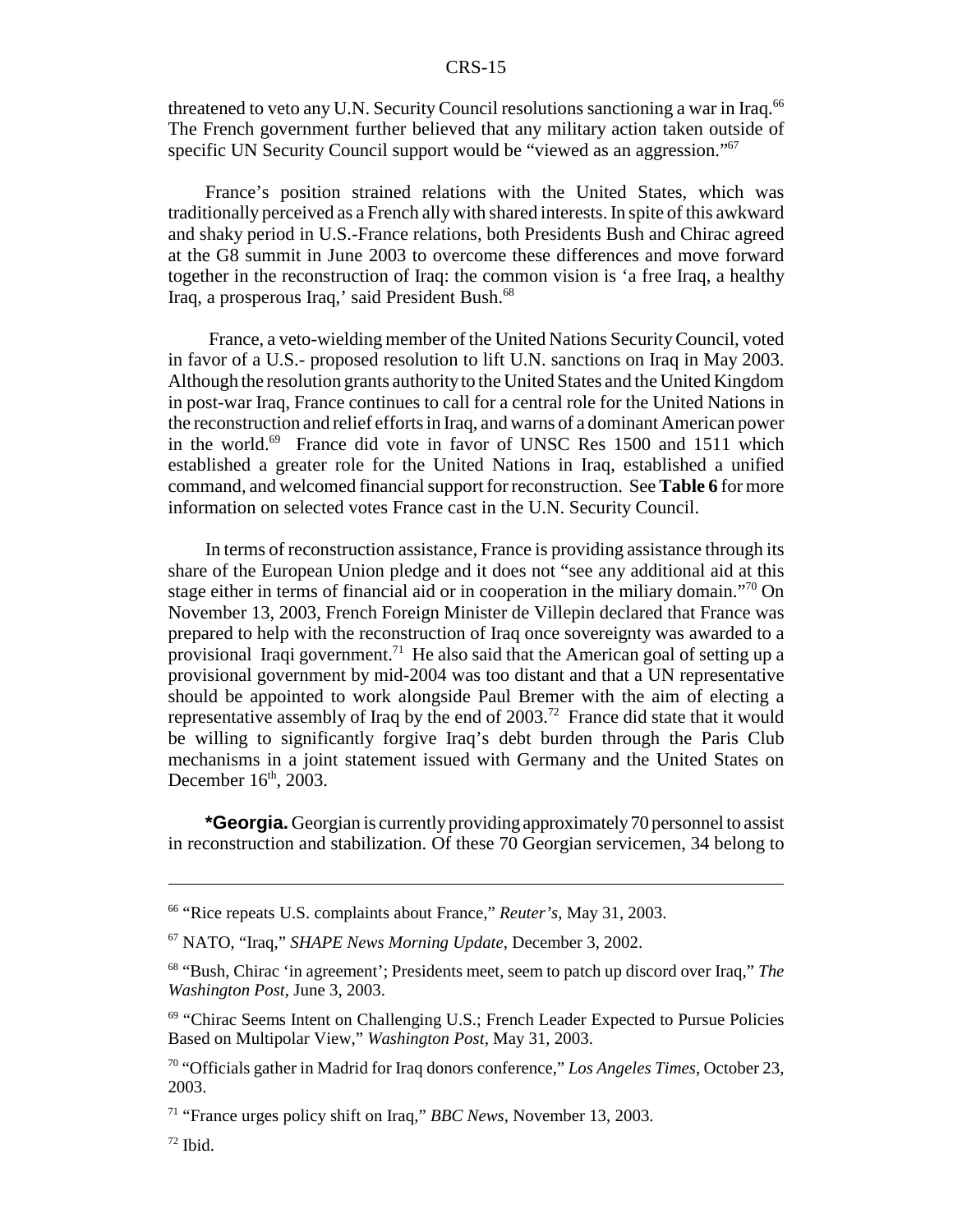threatened to veto any U.N. Security Council resolutions sanctioning a war in Iraq.<sup>66</sup> The French government further believed that any military action taken outside of specific UN Security Council support would be "viewed as an aggression."<sup>67</sup>

France's position strained relations with the United States, which was traditionally perceived as a French ally with shared interests. In spite of this awkward and shaky period in U.S.-France relations, both Presidents Bush and Chirac agreed at the G8 summit in June 2003 to overcome these differences and move forward together in the reconstruction of Iraq: the common vision is 'a free Iraq, a healthy Iraq, a prosperous Iraq,' said President Bush.<sup>68</sup>

 France, a veto-wielding member of the United Nations Security Council, voted in favor of a U.S.- proposed resolution to lift U.N. sanctions on Iraq in May 2003. Although the resolution grants authority to the United States and the United Kingdom in post-war Iraq, France continues to call for a central role for the United Nations in the reconstruction and relief efforts in Iraq, and warns of a dominant American power in the world.<sup>69</sup> France did vote in favor of UNSC Res 1500 and 1511 which established a greater role for the United Nations in Iraq, established a unified command, and welcomed financial support for reconstruction. See **Table 6** for more information on selected votes France cast in the U.N. Security Council.

In terms of reconstruction assistance, France is providing assistance through its share of the European Union pledge and it does not "see any additional aid at this stage either in terms of financial aid or in cooperation in the miliary domain."70 On November 13, 2003, French Foreign Minister de Villepin declared that France was prepared to help with the reconstruction of Iraq once sovereignty was awarded to a provisional Iraqi government.<sup>71</sup> He also said that the American goal of setting up a provisional government by mid-2004 was too distant and that a UN representative should be appointed to work alongside Paul Bremer with the aim of electing a representative assembly of Iraq by the end of  $2003$ .<sup>72</sup> France did state that it would be willing to significantly forgive Iraq's debt burden through the Paris Club mechanisms in a joint statement issued with Germany and the United States on December  $16<sup>th</sup>$ , 2003.

**\*Georgia.** Georgian is currently providing approximately 70 personnel to assist in reconstruction and stabilization. Of these 70 Georgian servicemen, 34 belong to

<sup>66 &</sup>quot;Rice repeats U.S. complaints about France," *Reuter's*, May 31, 2003.

<sup>67</sup> NATO, "Iraq," *SHAPE News Morning Update*, December 3, 2002.

<sup>68 &</sup>quot;Bush, Chirac 'in agreement'; Presidents meet, seem to patch up discord over Iraq," *The Washington Post*, June 3, 2003.

<sup>&</sup>lt;sup>69</sup> "Chirac Seems Intent on Challenging U.S.; French Leader Expected to Pursue Policies Based on Multipolar View," *Washington Post*, May 31, 2003.

<sup>70 &</sup>quot;Officials gather in Madrid for Iraq donors conference," *Los Angeles Times*, October 23, 2003.

<sup>71 &</sup>quot;France urges policy shift on Iraq," *BBC News*, November 13, 2003.

 $72$  Ibid.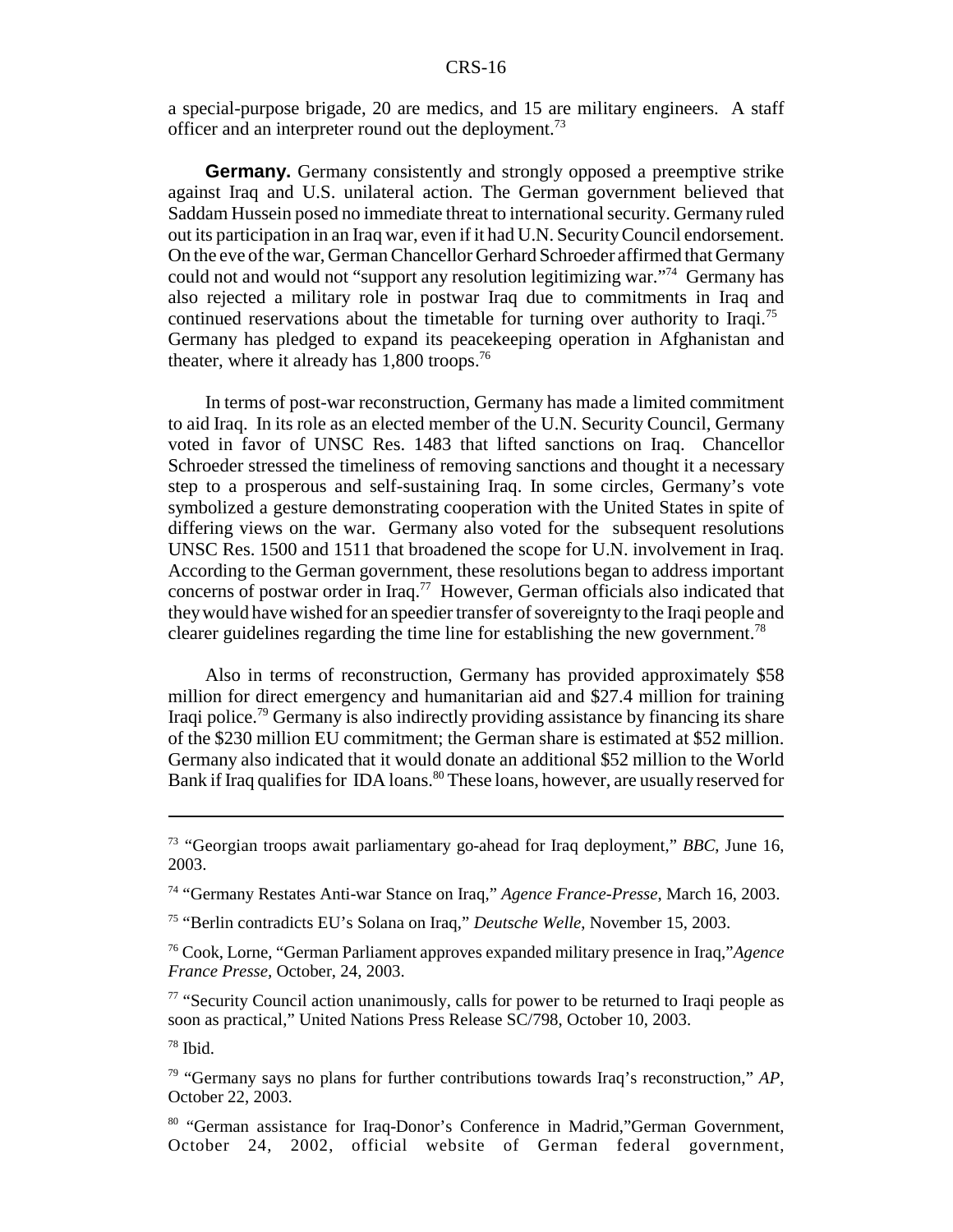a special-purpose brigade, 20 are medics, and 15 are military engineers. A staff officer and an interpreter round out the deployment.<sup>73</sup>

**Germany.** Germany consistently and strongly opposed a preemptive strike against Iraq and U.S. unilateral action. The German government believed that Saddam Hussein posed no immediate threat to international security. Germany ruled out its participation in an Iraq war, even if it had U.N. Security Council endorsement. On the eve of the war, German Chancellor Gerhard Schroeder affirmed that Germany could not and would not "support any resolution legitimizing war."74 Germany has also rejected a military role in postwar Iraq due to commitments in Iraq and continued reservations about the timetable for turning over authority to Iraqi.<sup>75</sup> Germany has pledged to expand its peacekeeping operation in Afghanistan and theater, where it already has  $1,800$  troops.<sup>76</sup>

In terms of post-war reconstruction, Germany has made a limited commitment to aid Iraq. In its role as an elected member of the U.N. Security Council, Germany voted in favor of UNSC Res. 1483 that lifted sanctions on Iraq. Chancellor Schroeder stressed the timeliness of removing sanctions and thought it a necessary step to a prosperous and self-sustaining Iraq. In some circles, Germany's vote symbolized a gesture demonstrating cooperation with the United States in spite of differing views on the war. Germany also voted for the subsequent resolutions UNSC Res. 1500 and 1511 that broadened the scope for U.N. involvement in Iraq. According to the German government, these resolutions began to address important concerns of postwar order in Iraq.77 However, German officials also indicated that they would have wished for an speedier transfer of sovereignty to the Iraqi people and clearer guidelines regarding the time line for establishing the new government.78

Also in terms of reconstruction, Germany has provided approximately \$58 million for direct emergency and humanitarian aid and \$27.4 million for training Iraqi police.<sup>79</sup> Germany is also indirectly providing assistance by financing its share of the \$230 million EU commitment; the German share is estimated at \$52 million. Germany also indicated that it would donate an additional \$52 million to the World Bank if Iraq qualifies for IDA loans.<sup>80</sup> These loans, however, are usually reserved for

<sup>73 &</sup>quot;Georgian troops await parliamentary go-ahead for Iraq deployment," *BBC*, June 16, 2003.

<sup>74 &</sup>quot;Germany Restates Anti-war Stance on Iraq," *Agence France-Presse*, March 16, 2003.

<sup>75 &</sup>quot;Berlin contradicts EU's Solana on Iraq," *Deutsche Welle*, November 15, 2003.

<sup>76</sup> Cook, Lorne, "German Parliament approves expanded military presence in Iraq,"*Agence France Presse,* October, 24, 2003.

<sup>&</sup>lt;sup>77</sup> "Security Council action unanimously, calls for power to be returned to Iraqi people as soon as practical," United Nations Press Release SC/798, October 10, 2003.

 $78$  Ibid.

<sup>79 &</sup>quot;Germany says no plans for further contributions towards Iraq's reconstruction," *AP*, October 22, 2003.

<sup>80 &</sup>quot;German assistance for Iraq-Donor's Conference in Madrid,"German Government, October 24, 2002, official website of German federal government,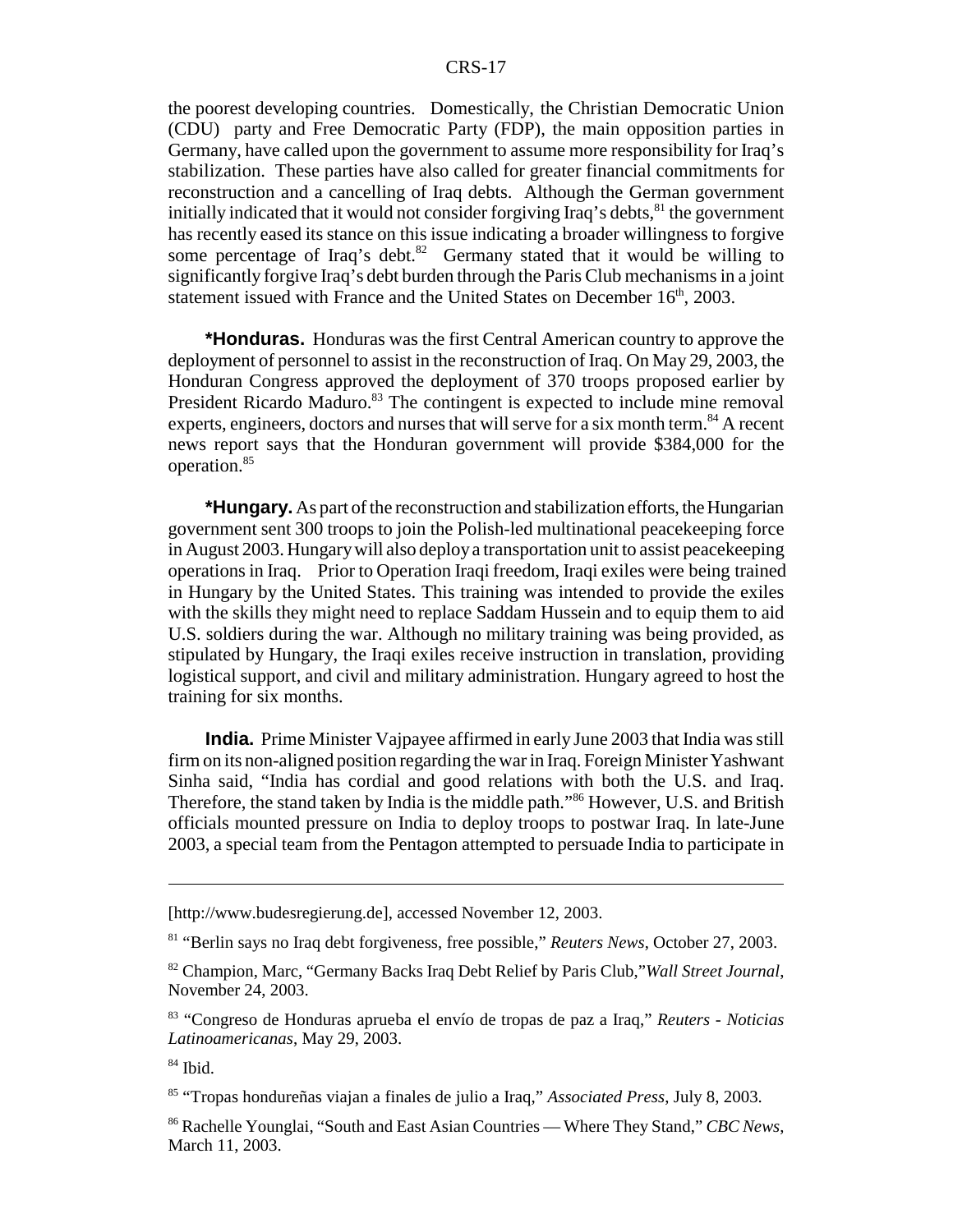the poorest developing countries. Domestically, the Christian Democratic Union (CDU) party and Free Democratic Party (FDP), the main opposition parties in Germany, have called upon the government to assume more responsibility for Iraq's stabilization. These parties have also called for greater financial commitments for reconstruction and a cancelling of Iraq debts. Although the German government initially indicated that it would not consider forgiving Iraq's debts, $81$  the government has recently eased its stance on this issue indicating a broader willingness to forgive some percentage of Iraq's debt. $82$  Germany stated that it would be willing to significantly forgive Iraq's debt burden through the Paris Club mechanisms in a joint statement issued with France and the United States on December 16<sup>th</sup>, 2003.

**\*Honduras.** Honduras was the first Central American country to approve the deployment of personnel to assist in the reconstruction of Iraq. On May 29, 2003, the Honduran Congress approved the deployment of 370 troops proposed earlier by President Ricardo Maduro.<sup>83</sup> The contingent is expected to include mine removal experts, engineers, doctors and nurses that will serve for a six month term.<sup>84</sup> A recent news report says that the Honduran government will provide \$384,000 for the operation.85

**\*Hungary.** As part of the reconstruction and stabilization efforts, the Hungarian government sent 300 troops to join the Polish-led multinational peacekeeping force in August 2003. Hungary will also deploy a transportation unit to assist peacekeeping operations in Iraq. Prior to Operation Iraqi freedom, Iraqi exiles were being trained in Hungary by the United States. This training was intended to provide the exiles with the skills they might need to replace Saddam Hussein and to equip them to aid U.S. soldiers during the war. Although no military training was being provided, as stipulated by Hungary, the Iraqi exiles receive instruction in translation, providing logistical support, and civil and military administration. Hungary agreed to host the training for six months.

**India.** Prime Minister Vajpayee affirmed in early June 2003 that India was still firm on its non-aligned position regarding the war in Iraq. Foreign Minister Yashwant Sinha said, "India has cordial and good relations with both the U.S. and Iraq. Therefore, the stand taken by India is the middle path."86 However, U.S. and British officials mounted pressure on India to deploy troops to postwar Iraq. In late-June 2003, a special team from the Pentagon attempted to persuade India to participate in

<sup>[</sup>http://www.budesregierung.de], accessed November 12, 2003.

<sup>81 &</sup>quot;Berlin says no Iraq debt forgiveness, free possible," *Reuters News*, October 27, 2003.

<sup>82</sup> Champion, Marc, "Germany Backs Iraq Debt Relief by Paris Club,"*Wall Street Journal*, November 24, 2003.

<sup>83 &</sup>quot;Congreso de Honduras aprueba el envío de tropas de paz a Iraq," *Reuters - Noticias Latinoamericanas*, May 29, 2003.

<sup>84</sup> Ibid.

<sup>85 &</sup>quot;Tropas hondureñas viajan a finales de julio a Iraq," *Associated Press*, July 8, 2003.

<sup>86</sup> Rachelle Younglai, "South and East Asian Countries — Where They Stand," *CBC News*, March 11, 2003.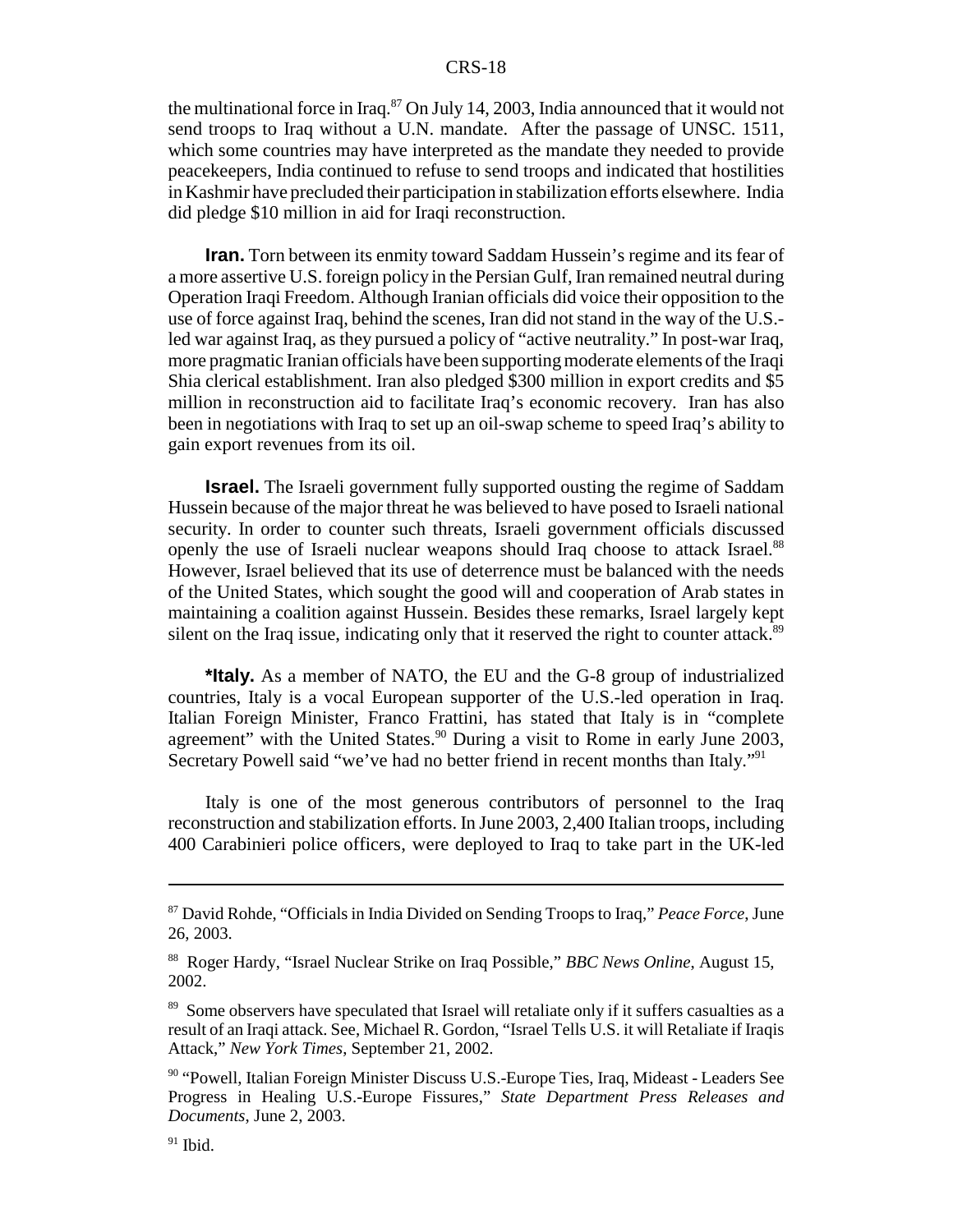the multinational force in Iraq. $87$  On July 14, 2003, India announced that it would not send troops to Iraq without a U.N. mandate. After the passage of UNSC. 1511, which some countries may have interpreted as the mandate they needed to provide peacekeepers, India continued to refuse to send troops and indicated that hostilities in Kashmir have precluded their participation in stabilization efforts elsewhere. India did pledge \$10 million in aid for Iraqi reconstruction.

**Iran.** Torn between its enmity toward Saddam Hussein's regime and its fear of a more assertive U.S. foreign policy in the Persian Gulf, Iran remained neutral during Operation Iraqi Freedom. Although Iranian officials did voice their opposition to the use of force against Iraq, behind the scenes, Iran did not stand in the way of the U.S. led war against Iraq, as they pursued a policy of "active neutrality." In post-war Iraq, more pragmatic Iranian officials have been supporting moderate elements of the Iraqi Shia clerical establishment. Iran also pledged \$300 million in export credits and \$5 million in reconstruction aid to facilitate Iraq's economic recovery. Iran has also been in negotiations with Iraq to set up an oil-swap scheme to speed Iraq's ability to gain export revenues from its oil.

**Israel.** The Israeli government fully supported ousting the regime of Saddam Hussein because of the major threat he was believed to have posed to Israeli national security. In order to counter such threats, Israeli government officials discussed openly the use of Israeli nuclear weapons should Iraq choose to attack Israel.<sup>88</sup> However, Israel believed that its use of deterrence must be balanced with the needs of the United States, which sought the good will and cooperation of Arab states in maintaining a coalition against Hussein. Besides these remarks, Israel largely kept silent on the Iraq issue, indicating only that it reserved the right to counter attack.<sup>89</sup>

**\*Italy.** As a member of NATO, the EU and the G-8 group of industrialized countries, Italy is a vocal European supporter of the U.S.-led operation in Iraq. Italian Foreign Minister, Franco Frattini, has stated that Italy is in "complete agreement" with the United States.<sup>90</sup> During a visit to Rome in early June 2003, Secretary Powell said "we've had no better friend in recent months than Italy."91

Italy is one of the most generous contributors of personnel to the Iraq reconstruction and stabilization efforts. In June 2003, 2,400 Italian troops, including 400 Carabinieri police officers, were deployed to Iraq to take part in the UK-led

<sup>87</sup> David Rohde, "Officials in India Divided on Sending Troops to Iraq," *Peace Force*, June 26, 2003.

<sup>88</sup> Roger Hardy, "Israel Nuclear Strike on Iraq Possible," *BBC News Online*, August 15, 2002.

<sup>&</sup>lt;sup>89</sup> Some observers have speculated that Israel will retaliate only if it suffers casualties as a result of an Iraqi attack. See, Michael R. Gordon, "Israel Tells U.S. it will Retaliate if Iraqis Attack," *New York Times*, September 21, 2002.

<sup>90 &</sup>quot;Powell, Italian Foreign Minister Discuss U.S.-Europe Ties, Iraq, Mideast - Leaders See Progress in Healing U.S.-Europe Fissures," *State Department Press Releases and Documents*, June 2, 2003.

 $91$  Ibid.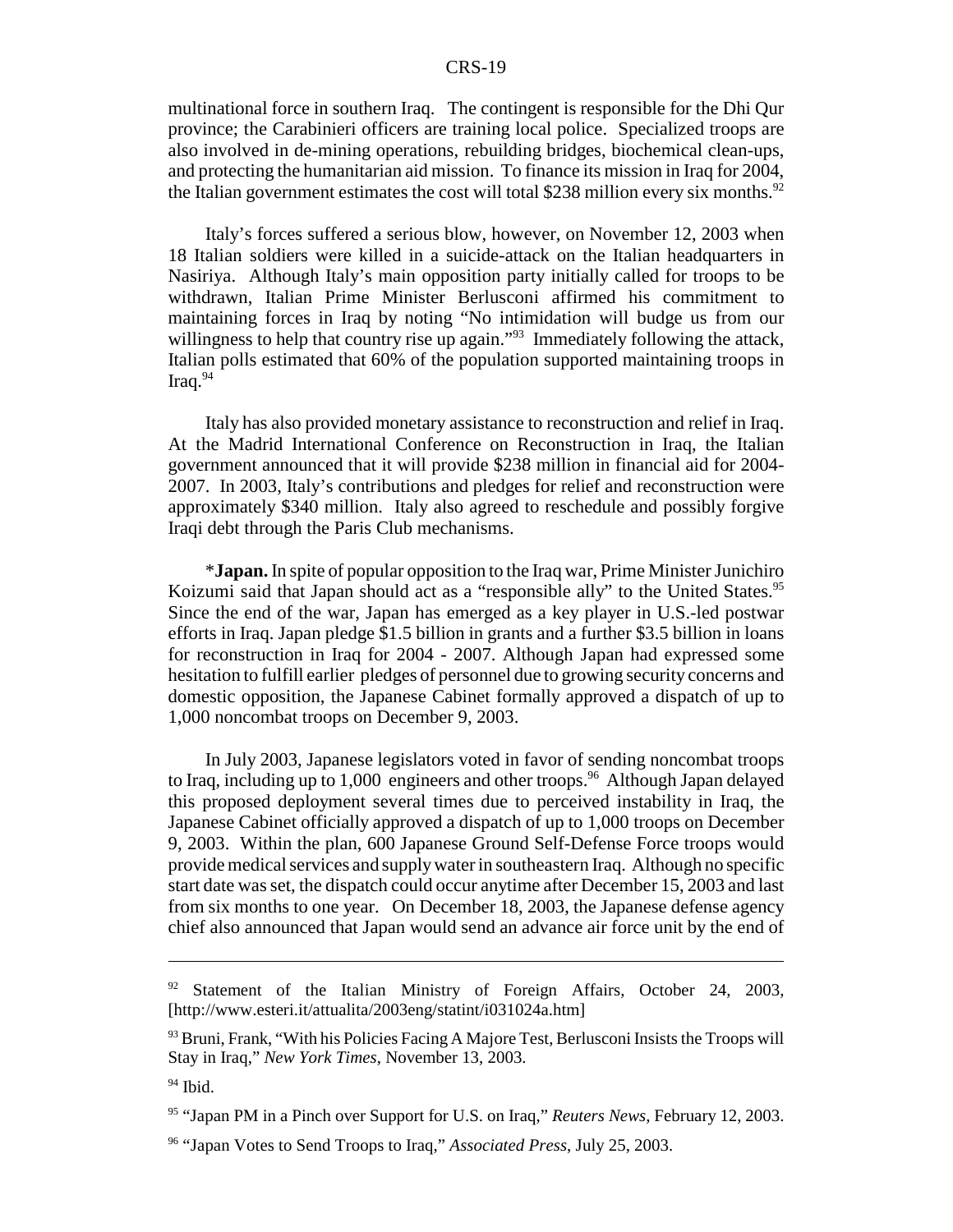multinational force in southern Iraq. The contingent is responsible for the Dhi Qur province; the Carabinieri officers are training local police. Specialized troops are also involved in de-mining operations, rebuilding bridges, biochemical clean-ups, and protecting the humanitarian aid mission. To finance its mission in Iraq for 2004, the Italian government estimates the cost will total \$238 million every six months.<sup>92</sup>

Italy's forces suffered a serious blow, however, on November 12, 2003 when 18 Italian soldiers were killed in a suicide-attack on the Italian headquarters in Nasiriya. Although Italy's main opposition party initially called for troops to be withdrawn, Italian Prime Minister Berlusconi affirmed his commitment to maintaining forces in Iraq by noting "No intimidation will budge us from our willingness to help that country rise up again."<sup>93</sup> Immediately following the attack, Italian polls estimated that 60% of the population supported maintaining troops in Iraq. $94$ 

Italy has also provided monetary assistance to reconstruction and relief in Iraq. At the Madrid International Conference on Reconstruction in Iraq, the Italian government announced that it will provide \$238 million in financial aid for 2004- 2007. In 2003, Italy's contributions and pledges for relief and reconstruction were approximately \$340 million. Italy also agreed to reschedule and possibly forgive Iraqi debt through the Paris Club mechanisms.

\***Japan.** In spite of popular opposition to the Iraq war, Prime Minister Junichiro Koizumi said that Japan should act as a "responsible ally" to the United States.<sup>95</sup> Since the end of the war, Japan has emerged as a key player in U.S.-led postwar efforts in Iraq. Japan pledge \$1.5 billion in grants and a further \$3.5 billion in loans for reconstruction in Iraq for 2004 - 2007. Although Japan had expressed some hesitation to fulfill earlier pledges of personnel due to growing security concerns and domestic opposition, the Japanese Cabinet formally approved a dispatch of up to 1,000 noncombat troops on December 9, 2003.

In July 2003, Japanese legislators voted in favor of sending noncombat troops to Iraq, including up to 1,000 engineers and other troops.<sup>96</sup> Although Japan delayed this proposed deployment several times due to perceived instability in Iraq, the Japanese Cabinet officially approved a dispatch of up to 1,000 troops on December 9, 2003. Within the plan, 600 Japanese Ground Self-Defense Force troops would provide medical services and supply water in southeastern Iraq. Although no specific start date was set, the dispatch could occur anytime after December 15, 2003 and last from six months to one year. On December 18, 2003, the Japanese defense agency chief also announced that Japan would send an advance air force unit by the end of

<sup>&</sup>lt;sup>92</sup> Statement of the Italian Ministry of Foreign Affairs, October 24, 2003, [http://www.esteri.it/attualita/2003eng/statint/i031024a.htm]

 $93$  Bruni, Frank, "With his Policies Facing A Majore Test, Berlusconi Insists the Troops will Stay in Iraq," *New York Times*, November 13, 2003.

<sup>&</sup>lt;sup>94</sup> Ibid.

<sup>95 &</sup>quot;Japan PM in a Pinch over Support for U.S. on Iraq," *Reuters News,* February 12, 2003.

<sup>96 &</sup>quot;Japan Votes to Send Troops to Iraq," *Associated Press*, July 25, 2003.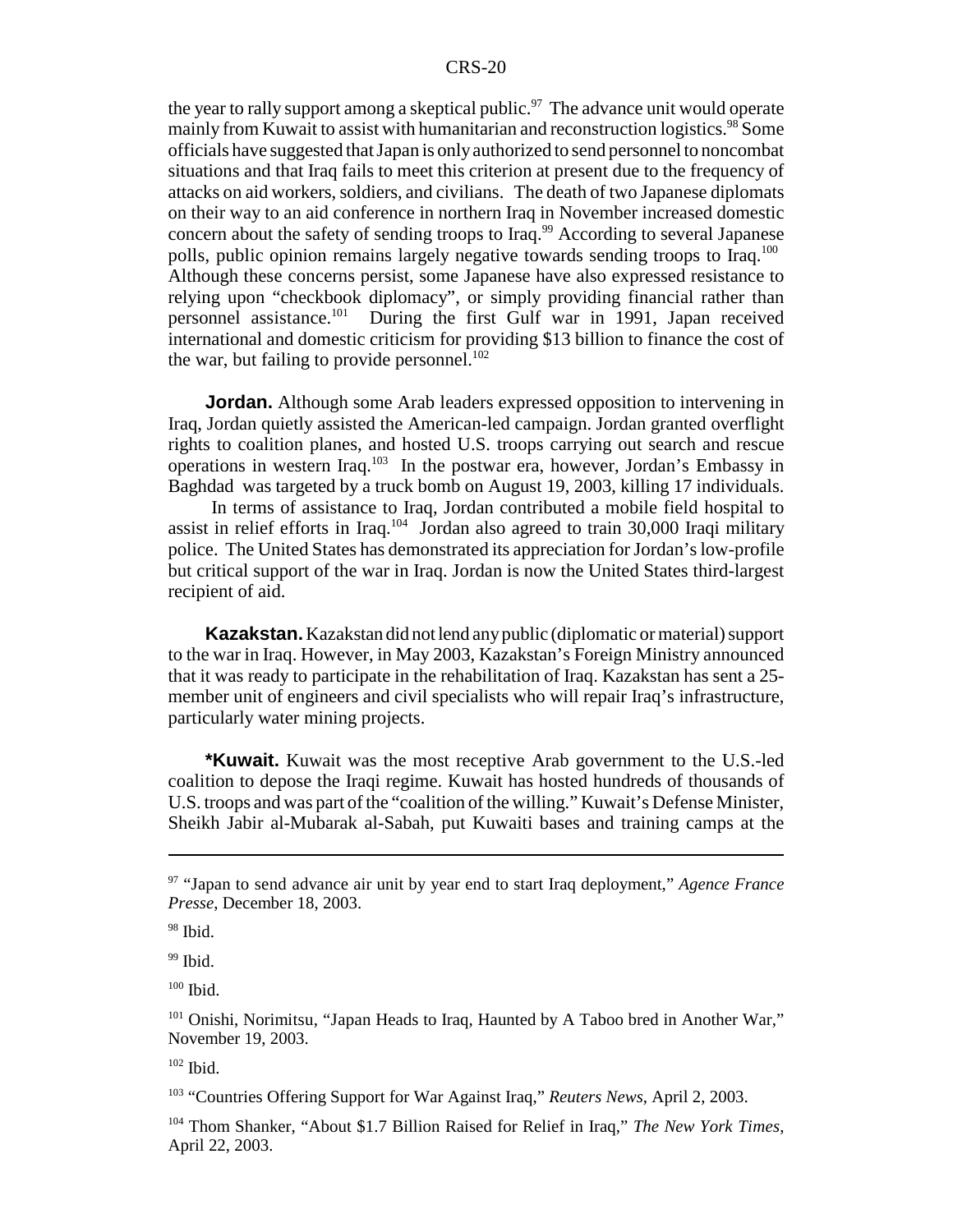the year to rally support among a skeptical public.<sup>97</sup> The advance unit would operate mainly from Kuwait to assist with humanitarian and reconstruction logistics.<sup>98</sup> Some officials have suggested that Japan is only authorized to send personnel to noncombat situations and that Iraq fails to meet this criterion at present due to the frequency of attacks on aid workers, soldiers, and civilians. The death of two Japanese diplomats on their way to an aid conference in northern Iraq in November increased domestic concern about the safety of sending troops to Iraq.<sup>99</sup> According to several Japanese polls, public opinion remains largely negative towards sending troops to Iraq.<sup>100</sup> Although these concerns persist, some Japanese have also expressed resistance to relying upon "checkbook diplomacy", or simply providing financial rather than personnel assistance.101 During the first Gulf war in 1991, Japan received international and domestic criticism for providing \$13 billion to finance the cost of the war, but failing to provide personnel.<sup>102</sup>

**Jordan.** Although some Arab leaders expressed opposition to intervening in Iraq, Jordan quietly assisted the American-led campaign. Jordan granted overflight rights to coalition planes, and hosted U.S. troops carrying out search and rescue operations in western Iraq.103 In the postwar era, however, Jordan's Embassy in Baghdad was targeted by a truck bomb on August 19, 2003, killing 17 individuals.

 In terms of assistance to Iraq, Jordan contributed a mobile field hospital to assist in relief efforts in Iraq.<sup>104</sup> Jordan also agreed to train  $30,000$  Iraqi military police. The United States has demonstrated its appreciation for Jordan's low-profile but critical support of the war in Iraq. Jordan is now the United States third-largest recipient of aid.

**Kazakstan.** Kazakstan did not lend any public (diplomatic or material) support to the war in Iraq. However, in May 2003, Kazakstan's Foreign Ministry announced that it was ready to participate in the rehabilitation of Iraq. Kazakstan has sent a 25 member unit of engineers and civil specialists who will repair Iraq's infrastructure, particularly water mining projects.

**\*Kuwait.** Kuwait was the most receptive Arab government to the U.S.-led coalition to depose the Iraqi regime. Kuwait has hosted hundreds of thousands of U.S. troops and was part of the "coalition of the willing." Kuwait's Defense Minister, Sheikh Jabir al-Mubarak al-Sabah, put Kuwaiti bases and training camps at the

<sup>97 &</sup>quot;Japan to send advance air unit by year end to start Iraq deployment," *Agence France Presse*, December 18, 2003.

<sup>&</sup>lt;sup>98</sup> Ibid.

 $99$  Ibid.

 $100$  Ibid.

<sup>&</sup>lt;sup>101</sup> Onishi, Norimitsu, "Japan Heads to Iraq, Haunted by A Taboo bred in Another War," November 19, 2003.

<sup>102</sup> Ibid.

<sup>103 &</sup>quot;Countries Offering Support for War Against Iraq," *Reuters News*, April 2, 2003.

<sup>104</sup> Thom Shanker, "About \$1.7 Billion Raised for Relief in Iraq," *The New York Times*, April 22, 2003.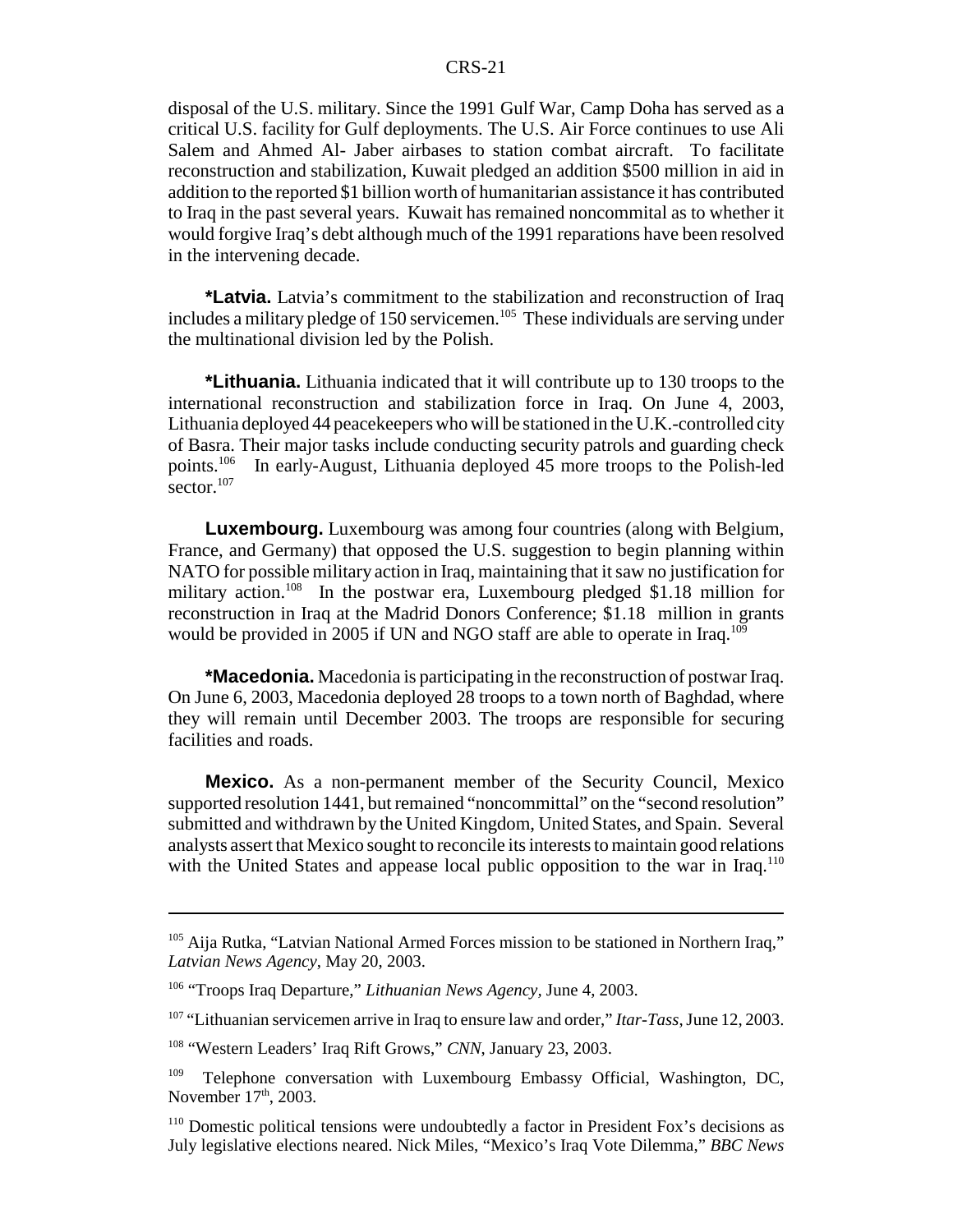disposal of the U.S. military. Since the 1991 Gulf War, Camp Doha has served as a critical U.S. facility for Gulf deployments. The U.S. Air Force continues to use Ali Salem and Ahmed Al- Jaber airbases to station combat aircraft. To facilitate reconstruction and stabilization, Kuwait pledged an addition \$500 million in aid in addition to the reported \$1 billion worth of humanitarian assistance it has contributed to Iraq in the past several years. Kuwait has remained noncommital as to whether it would forgive Iraq's debt although much of the 1991 reparations have been resolved in the intervening decade.

**\*Latvia.** Latvia's commitment to the stabilization and reconstruction of Iraq includes a military pledge of 150 servicemen.<sup>105</sup> These individuals are serving under the multinational division led by the Polish.

**\*Lithuania.** Lithuania indicated that it will contribute up to 130 troops to the international reconstruction and stabilization force in Iraq. On June 4, 2003, Lithuania deployed 44 peacekeepers who will be stationed in the U.K.-controlled city of Basra. Their major tasks include conducting security patrols and guarding check points.106 In early-August, Lithuania deployed 45 more troops to the Polish-led sector.<sup>107</sup>

**Luxembourg.** Luxembourg was among four countries (along with Belgium, France, and Germany) that opposed the U.S. suggestion to begin planning within NATO for possible military action in Iraq, maintaining that it saw no justification for military action.108 In the postwar era, Luxembourg pledged \$1.18 million for reconstruction in Iraq at the Madrid Donors Conference; \$1.18 million in grants would be provided in 2005 if UN and NGO staff are able to operate in Iraq.<sup>109</sup>

**\*Macedonia.** Macedonia is participating in the reconstruction of postwar Iraq. On June 6, 2003, Macedonia deployed 28 troops to a town north of Baghdad, where they will remain until December 2003. The troops are responsible for securing facilities and roads.

**Mexico.** As a non-permanent member of the Security Council, Mexico supported resolution 1441, but remained "noncommittal" on the "second resolution" submitted and withdrawn by the United Kingdom, United States, and Spain. Several analysts assert that Mexico sought to reconcile its interests to maintain good relations with the United States and appease local public opposition to the war in Iraq.<sup>110</sup>

<sup>&</sup>lt;sup>105</sup> Aija Rutka, "Latvian National Armed Forces mission to be stationed in Northern Iraq," *Latvian News Agency*, May 20, 2003.

<sup>106 &</sup>quot;Troops Iraq Departure," *Lithuanian News Agency,* June 4, 2003.

<sup>107 &</sup>quot;Lithuanian servicemen arrive in Iraq to ensure law and order," *Itar-Tass*, June 12, 2003.

<sup>108 &</sup>quot;Western Leaders' Iraq Rift Grows," *CNN*, January 23, 2003.

<sup>&</sup>lt;sup>109</sup> Telephone conversation with Luxembourg Embassy Official, Washington, DC, November 17<sup>th</sup>, 2003.

<sup>110</sup> Domestic political tensions were undoubtedly a factor in President Fox's decisions as July legislative elections neared. Nick Miles, "Mexico's Iraq Vote Dilemma," *BBC News*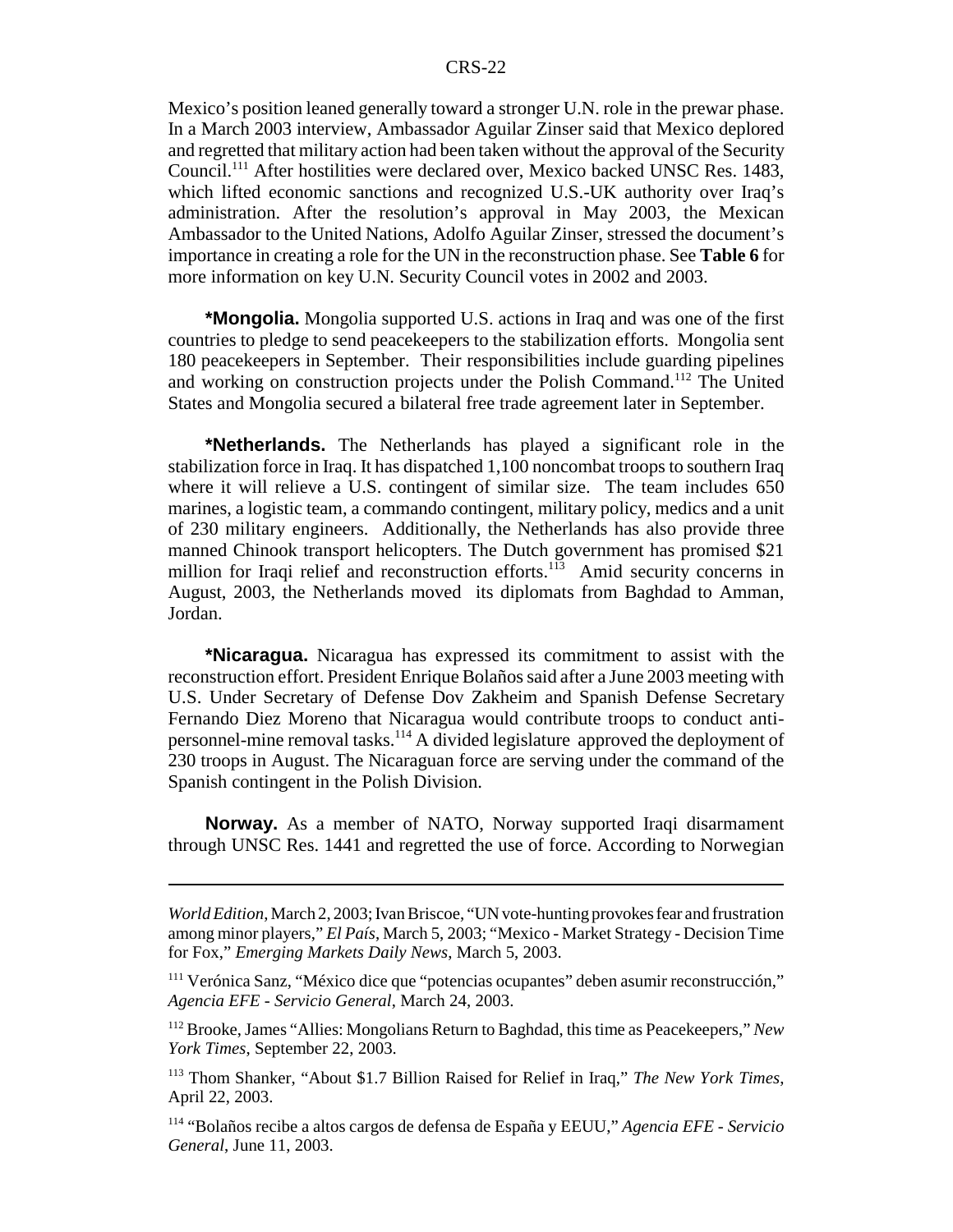Mexico's position leaned generally toward a stronger U.N. role in the prewar phase. In a March 2003 interview, Ambassador Aguilar Zinser said that Mexico deplored and regretted that military action had been taken without the approval of the Security Council.111 After hostilities were declared over, Mexico backed UNSC Res. 1483, which lifted economic sanctions and recognized U.S.-UK authority over Iraq's administration. After the resolution's approval in May 2003, the Mexican Ambassador to the United Nations, Adolfo Aguilar Zinser, stressed the document's importance in creating a role for the UN in the reconstruction phase. See **Table 6** for more information on key U.N. Security Council votes in 2002 and 2003.

**\*Mongolia.** Mongolia supported U.S. actions in Iraq and was one of the first countries to pledge to send peacekeepers to the stabilization efforts. Mongolia sent 180 peacekeepers in September. Their responsibilities include guarding pipelines and working on construction projects under the Polish Command.112 The United States and Mongolia secured a bilateral free trade agreement later in September.

**\*Netherlands.** The Netherlands has played a significant role in the stabilization force in Iraq. It has dispatched 1,100 noncombat troops to southern Iraq where it will relieve a U.S. contingent of similar size. The team includes 650 marines, a logistic team, a commando contingent, military policy, medics and a unit of 230 military engineers. Additionally, the Netherlands has also provide three manned Chinook transport helicopters. The Dutch government has promised \$21 million for Iraqi relief and reconstruction efforts.<sup>113</sup> Amid security concerns in August, 2003, the Netherlands moved its diplomats from Baghdad to Amman, Jordan.

**\*Nicaragua.** Nicaragua has expressed its commitment to assist with the reconstruction effort. President Enrique Bolaños said after a June 2003 meeting with U.S. Under Secretary of Defense Dov Zakheim and Spanish Defense Secretary Fernando Diez Moreno that Nicaragua would contribute troops to conduct antipersonnel-mine removal tasks.114 A divided legislature approved the deployment of 230 troops in August. The Nicaraguan force are serving under the command of the Spanish contingent in the Polish Division.

**Norway.** As a member of NATO, Norway supported Iraqi disarmament through UNSC Res. 1441 and regretted the use of force. According to Norwegian

*World Edition*, March 2, 2003; Ivan Briscoe, "UN vote-hunting provokes fear and frustration among minor players," *El País*, March 5, 2003; "Mexico - Market Strategy - Decision Time for Fox," *Emerging Markets Daily News*, March 5, 2003.

<sup>111</sup> Verónica Sanz, "México dice que "potencias ocupantes" deben asumir reconstrucción," *Agencia EFE - Servicio General*, March 24, 2003.

<sup>112</sup> Brooke, James "Allies: Mongolians Return to Baghdad, this time as Peacekeepers," *New York Times*, September 22, 2003.

<sup>113</sup> Thom Shanker, "About \$1.7 Billion Raised for Relief in Iraq," *The New York Times*, April 22, 2003.

<sup>114 &</sup>quot;Bolaños recibe a altos cargos de defensa de España y EEUU," *Agencia EFE - Servicio General*, June 11, 2003.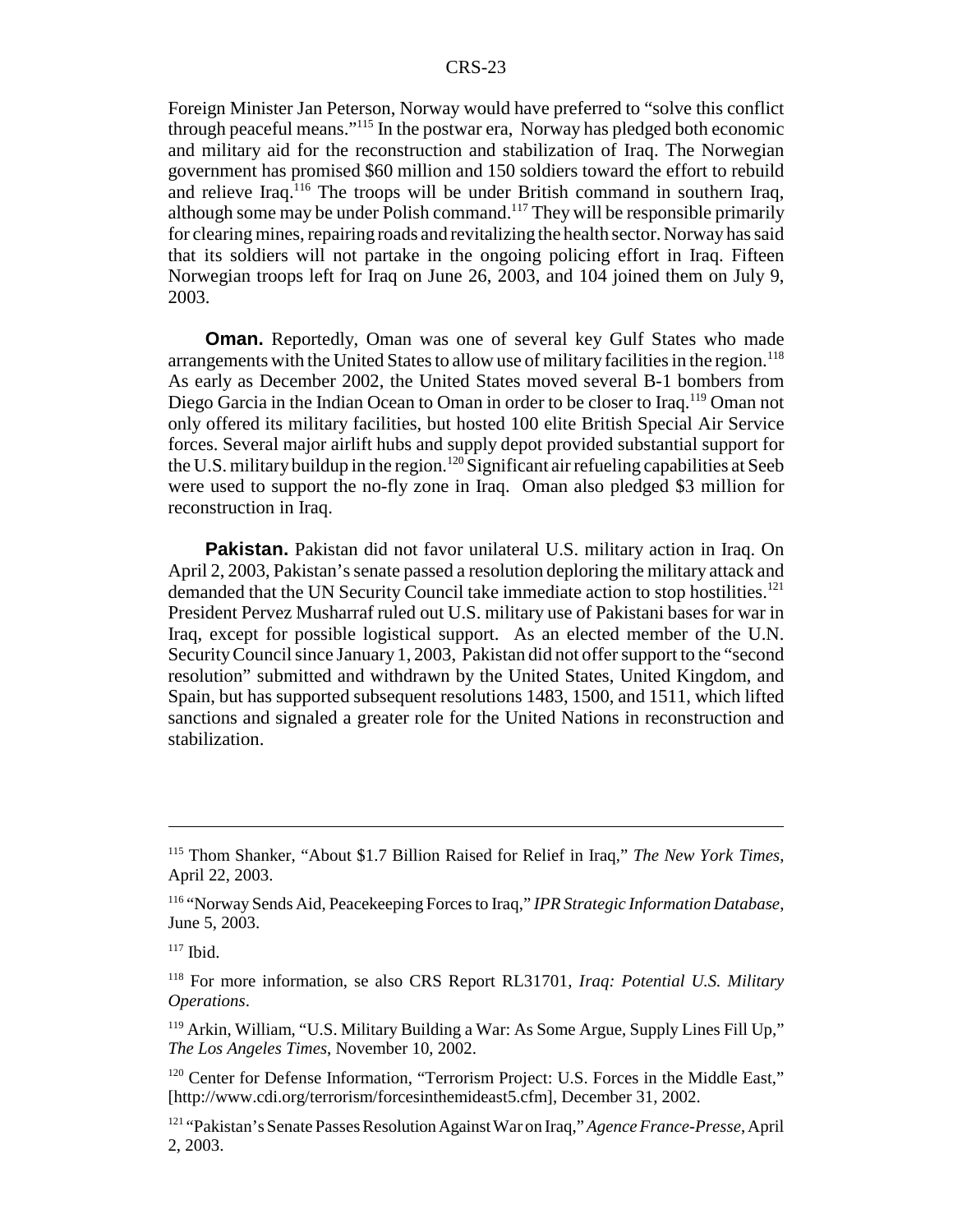Foreign Minister Jan Peterson, Norway would have preferred to "solve this conflict through peaceful means."115 In the postwar era, Norway has pledged both economic and military aid for the reconstruction and stabilization of Iraq. The Norwegian government has promised \$60 million and 150 soldiers toward the effort to rebuild and relieve Iraq.<sup>116</sup> The troops will be under British command in southern Iraq, although some may be under Polish command.117 They will be responsible primarily for clearing mines, repairing roads and revitalizing the health sector. Norway has said that its soldiers will not partake in the ongoing policing effort in Iraq. Fifteen Norwegian troops left for Iraq on June 26, 2003, and 104 joined them on July 9, 2003.

**Oman.** Reportedly, Oman was one of several key Gulf States who made arrangements with the United States to allow use of military facilities in the region.<sup>118</sup> As early as December 2002, the United States moved several B-1 bombers from Diego Garcia in the Indian Ocean to Oman in order to be closer to Iraq.<sup>119</sup> Oman not only offered its military facilities, but hosted 100 elite British Special Air Service forces. Several major airlift hubs and supply depot provided substantial support for the U.S. military buildup in the region.<sup>120</sup> Significant air refueling capabilities at Seeb were used to support the no-fly zone in Iraq. Oman also pledged \$3 million for reconstruction in Iraq.

**Pakistan.** Pakistan did not favor unilateral U.S. military action in Iraq. On April 2, 2003, Pakistan's senate passed a resolution deploring the military attack and demanded that the UN Security Council take immediate action to stop hostilities.<sup>121</sup> President Pervez Musharraf ruled out U.S. military use of Pakistani bases for war in Iraq, except for possible logistical support. As an elected member of the U.N. Security Council since January 1, 2003, Pakistan did not offer support to the "second resolution" submitted and withdrawn by the United States, United Kingdom, and Spain, but has supported subsequent resolutions 1483, 1500, and 1511, which lifted sanctions and signaled a greater role for the United Nations in reconstruction and stabilization.

<sup>115</sup> Thom Shanker, "About \$1.7 Billion Raised for Relief in Iraq," *The New York Times*, April 22, 2003.

<sup>116 &</sup>quot;Norway Sends Aid, Peacekeeping Forces to Iraq," *IPR Strategic Information Database*, June 5, 2003.

 $117$  Ibid.

<sup>118</sup> For more information, se also CRS Report RL31701, *Iraq: Potential U.S. Military Operations*.

<sup>&</sup>lt;sup>119</sup> Arkin, William, "U.S. Military Building a War: As Some Argue, Supply Lines Fill Up," *The Los Angeles Times*, November 10, 2002.

<sup>&</sup>lt;sup>120</sup> Center for Defense Information, "Terrorism Project: U.S. Forces in the Middle East," [http://www.cdi.org/terrorism/forcesinthemideast5.cfm], December 31, 2002.

<sup>121 &</sup>quot;Pakistan's Senate Passes Resolution Against War on Iraq," *Agence France-Presse*, April 2, 2003.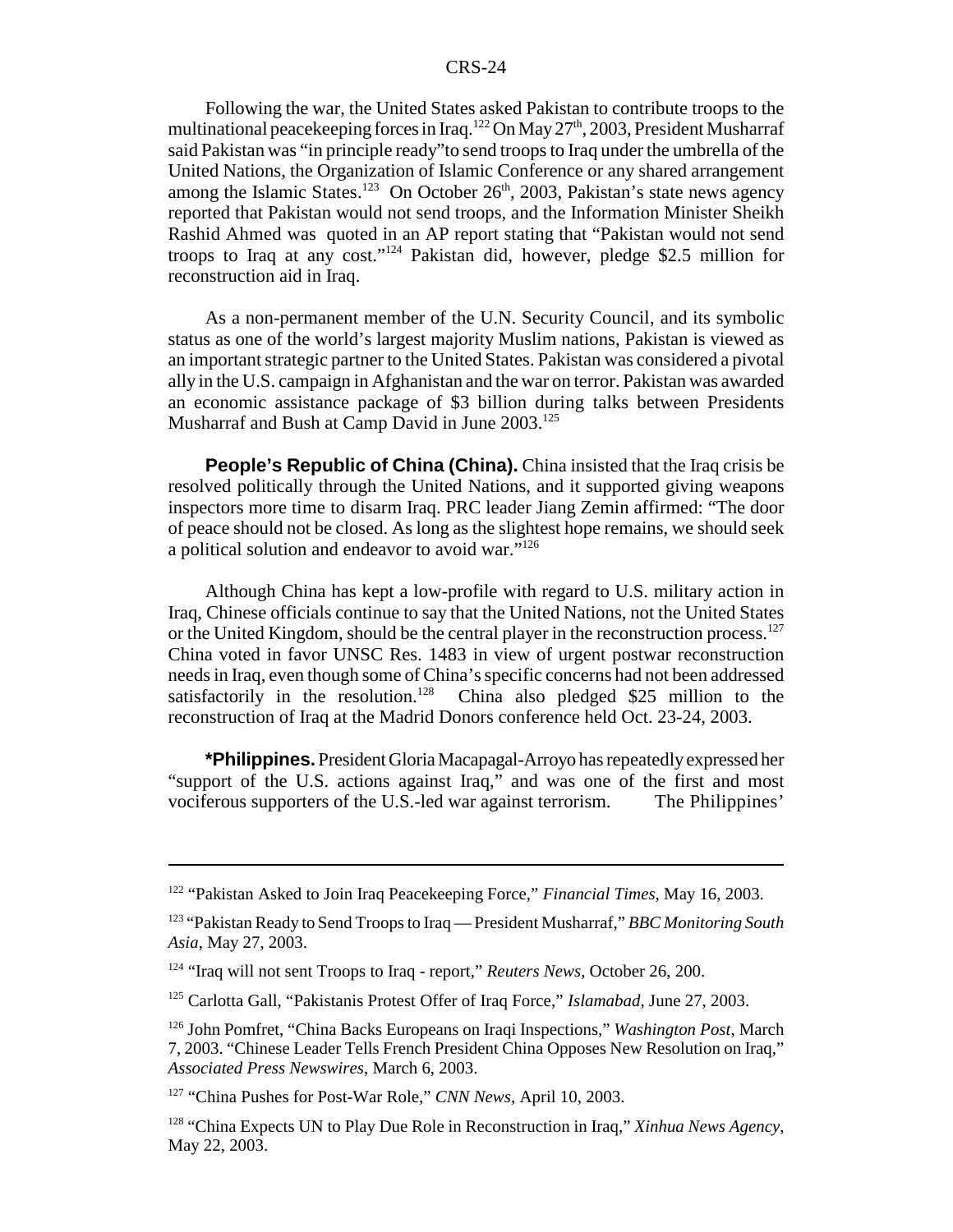Following the war, the United States asked Pakistan to contribute troops to the multinational peacekeeping forces in Iraq.<sup>122</sup> On May 27<sup>th</sup>, 2003, President Musharraf said Pakistan was "in principle ready"to send troops to Iraq under the umbrella of the United Nations, the Organization of Islamic Conference or any shared arrangement among the Islamic States.<sup>123</sup> On October 26<sup>th</sup>, 2003, Pakistan's state news agency reported that Pakistan would not send troops, and the Information Minister Sheikh Rashid Ahmed was quoted in an AP report stating that "Pakistan would not send troops to Iraq at any cost."124 Pakistan did, however, pledge \$2.5 million for reconstruction aid in Iraq.

As a non-permanent member of the U.N. Security Council, and its symbolic status as one of the world's largest majority Muslim nations, Pakistan is viewed as an important strategic partner to the United States. Pakistan was considered a pivotal ally in the U.S. campaign in Afghanistan and the war on terror. Pakistan was awarded an economic assistance package of \$3 billion during talks between Presidents Musharraf and Bush at Camp David in June 2003.<sup>125</sup>

**People's Republic of China (China).** China insisted that the Iraq crisis be resolved politically through the United Nations, and it supported giving weapons inspectors more time to disarm Iraq. PRC leader Jiang Zemin affirmed: "The door of peace should not be closed. As long as the slightest hope remains, we should seek a political solution and endeavor to avoid war."126

Although China has kept a low-profile with regard to U.S. military action in Iraq, Chinese officials continue to say that the United Nations, not the United States or the United Kingdom, should be the central player in the reconstruction process.<sup>127</sup> China voted in favor UNSC Res. 1483 in view of urgent postwar reconstruction needs in Iraq, even though some of China's specific concerns had not been addressed satisfactorily in the resolution.<sup>128</sup> China also pledged \$25 million to the reconstruction of Iraq at the Madrid Donors conference held Oct. 23-24, 2003.

**\*Philippines.** President Gloria Macapagal-Arroyo has repeatedly expressed her "support of the U.S. actions against Iraq," and was one of the first and most vociferous supporters of the U.S.-led war against terrorism. The Philippines'

<sup>122 &</sup>quot;Pakistan Asked to Join Iraq Peacekeeping Force," *Financial Times*, May 16, 2003.

<sup>123 &</sup>quot;Pakistan Ready to Send Troops to Iraq — President Musharraf," *BBC Monitoring South Asia*, May 27, 2003.

<sup>124 &</sup>quot;Iraq will not sent Troops to Iraq - report," *Reuters News*, October 26, 200.

<sup>125</sup> Carlotta Gall, "Pakistanis Protest Offer of Iraq Force," *Islamabad,* June 27, 2003.

<sup>126</sup> John Pomfret, "China Backs Europeans on Iraqi Inspections," *Washington Post*, March 7, 2003. "Chinese Leader Tells French President China Opposes New Resolution on Iraq," *Associated Press Newswires*, March 6, 2003.

<sup>127 &</sup>quot;China Pushes for Post-War Role," *CNN News*, April 10, 2003.

<sup>128 &</sup>quot;China Expects UN to Play Due Role in Reconstruction in Iraq," *Xinhua News Agency*, May 22, 2003.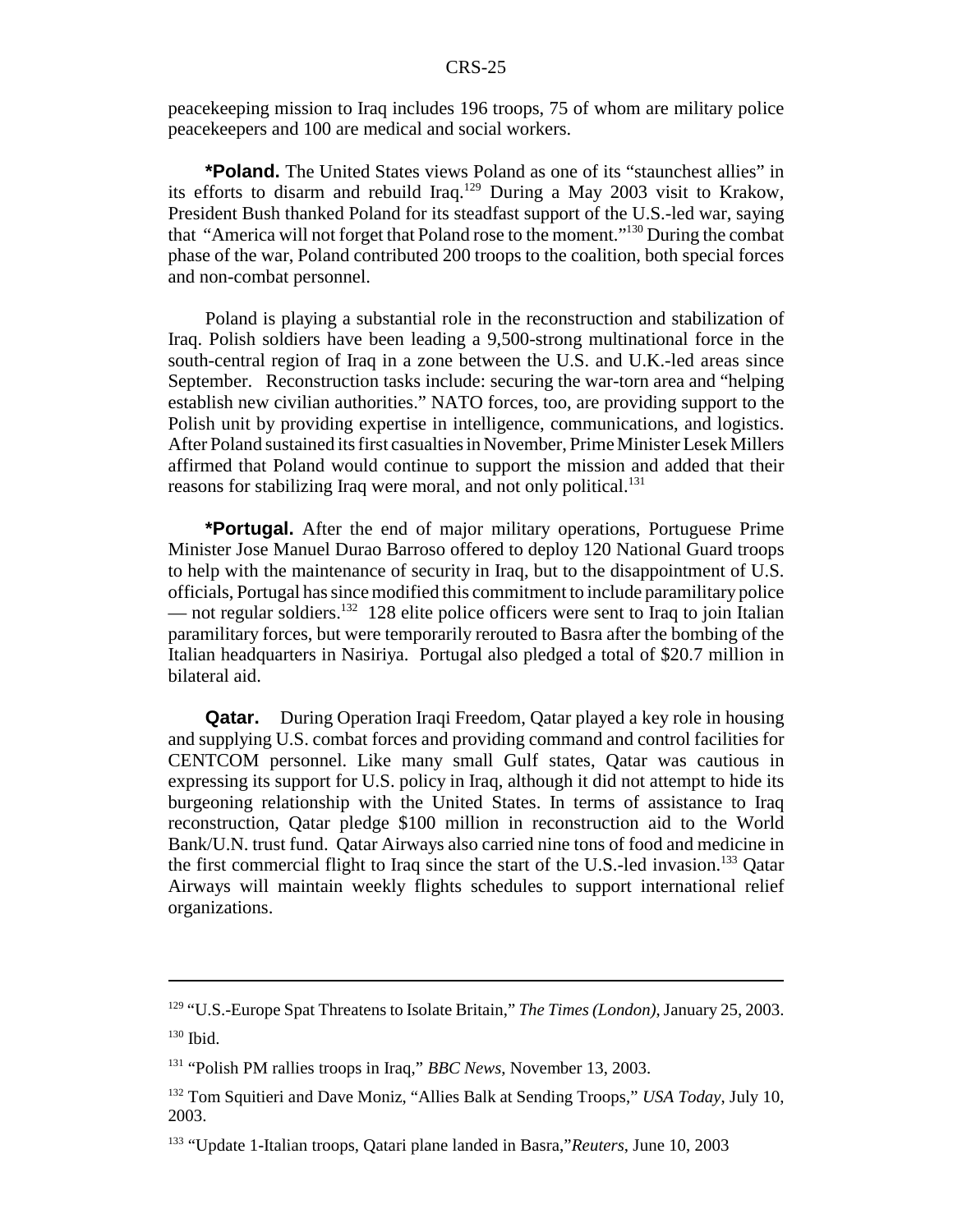peacekeeping mission to Iraq includes 196 troops, 75 of whom are military police peacekeepers and 100 are medical and social workers.

**\*Poland.** The United States views Poland as one of its "staunchest allies" in its efforts to disarm and rebuild Iraq.<sup>129</sup> During a May 2003 visit to Krakow, President Bush thanked Poland for its steadfast support of the U.S.-led war, saying that "America will not forget that Poland rose to the moment."130 During the combat phase of the war, Poland contributed 200 troops to the coalition, both special forces and non-combat personnel.

Poland is playing a substantial role in the reconstruction and stabilization of Iraq. Polish soldiers have been leading a 9,500-strong multinational force in the south-central region of Iraq in a zone between the U.S. and U.K.-led areas since September. Reconstruction tasks include: securing the war-torn area and "helping establish new civilian authorities." NATO forces, too, are providing support to the Polish unit by providing expertise in intelligence, communications, and logistics. After Poland sustained its first casualties in November, Prime Minister Lesek Millers affirmed that Poland would continue to support the mission and added that their reasons for stabilizing Iraq were moral, and not only political.<sup>131</sup>

**\*Portugal.** After the end of major military operations, Portuguese Prime Minister Jose Manuel Durao Barroso offered to deploy 120 National Guard troops to help with the maintenance of security in Iraq, but to the disappointment of U.S. officials, Portugal has since modified this commitment to include paramilitary police — not regular soldiers.<sup>132</sup> 128 elite police officers were sent to Iraq to join Italian paramilitary forces, but were temporarily rerouted to Basra after the bombing of the Italian headquarters in Nasiriya. Portugal also pledged a total of \$20.7 million in bilateral aid.

**Qatar.** During Operation Iraqi Freedom, Qatar played a key role in housing and supplying U.S. combat forces and providing command and control facilities for CENTCOM personnel. Like many small Gulf states, Qatar was cautious in expressing its support for U.S. policy in Iraq, although it did not attempt to hide its burgeoning relationship with the United States. In terms of assistance to Iraq reconstruction, Qatar pledge \$100 million in reconstruction aid to the World Bank/U.N. trust fund. Qatar Airways also carried nine tons of food and medicine in the first commercial flight to Iraq since the start of the U.S.-led invasion.<sup>133</sup> Qatar Airways will maintain weekly flights schedules to support international relief organizations.

<sup>129 &</sup>quot;U.S.-Europe Spat Threatens to Isolate Britain," *The Times (London)*, January 25, 2003.  $130$  Ibid.

<sup>131 &</sup>quot;Polish PM rallies troops in Iraq," *BBC News*, November 13, 2003.

<sup>132</sup> Tom Squitieri and Dave Moniz, "Allies Balk at Sending Troops," *USA Today*, July 10, 2003.

<sup>133 &</sup>quot;Update 1-Italian troops, Qatari plane landed in Basra,"*Reuters*, June 10, 2003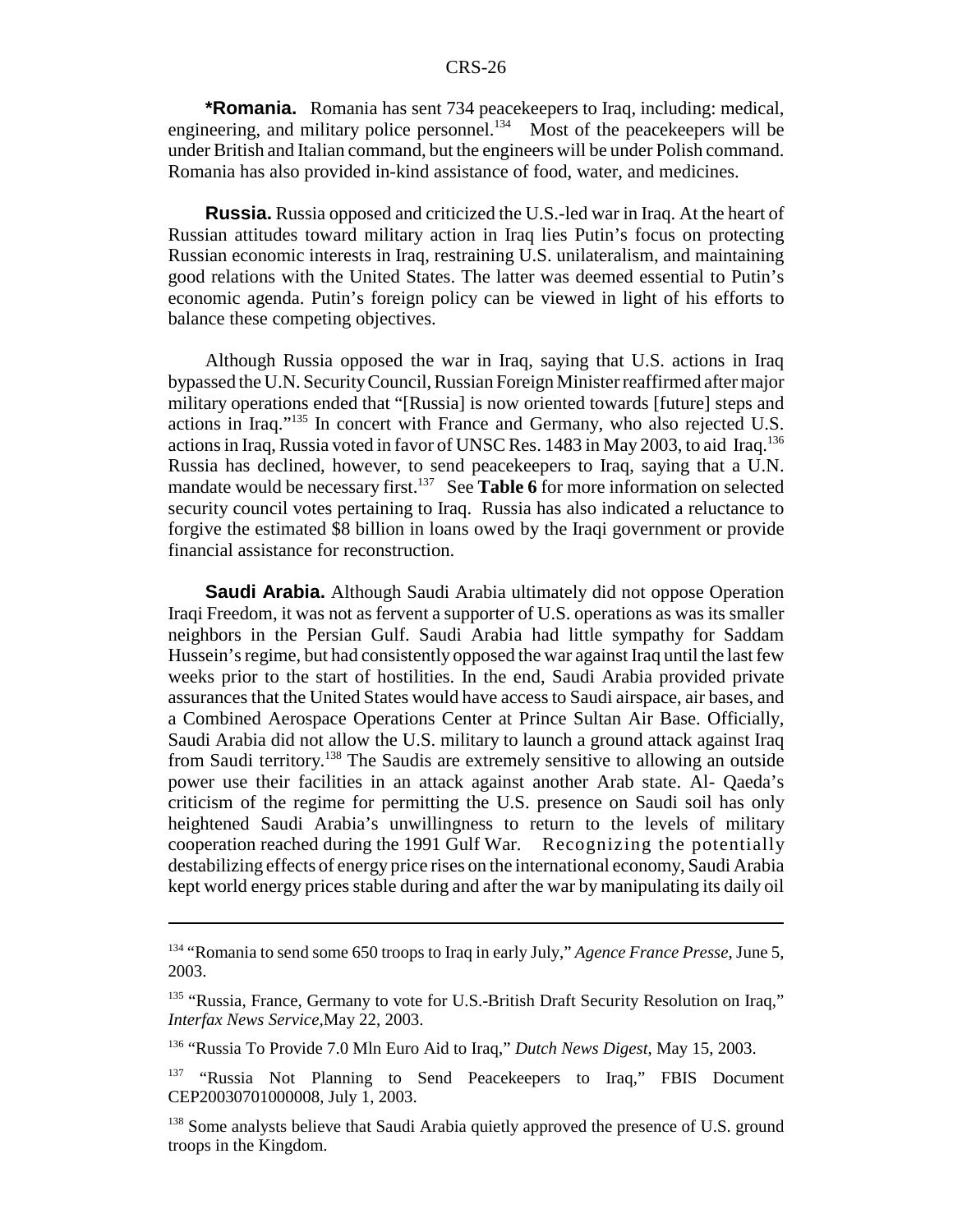**\*Romania.** Romania has sent 734 peacekeepers to Iraq, including: medical, engineering, and military police personnel.<sup>134</sup> Most of the peacekeepers will be under British and Italian command, but the engineers will be under Polish command. Romania has also provided in-kind assistance of food, water, and medicines.

**Russia.** Russia opposed and criticized the U.S.-led war in Iraq. At the heart of Russian attitudes toward military action in Iraq lies Putin's focus on protecting Russian economic interests in Iraq, restraining U.S. unilateralism, and maintaining good relations with the United States. The latter was deemed essential to Putin's economic agenda. Putin's foreign policy can be viewed in light of his efforts to balance these competing objectives.

Although Russia opposed the war in Iraq, saying that U.S. actions in Iraq bypassed the U.N. Security Council, Russian Foreign Minister reaffirmed after major military operations ended that "[Russia] is now oriented towards [future] steps and actions in Iraq."135 In concert with France and Germany, who also rejected U.S. actions in Iraq, Russia voted in favor of UNSC Res. 1483 in May 2003, to aid Iraq.136 Russia has declined, however, to send peacekeepers to Iraq, saying that a U.N. mandate would be necessary first.<sup>137</sup> See **Table 6** for more information on selected security council votes pertaining to Iraq. Russia has also indicated a reluctance to forgive the estimated \$8 billion in loans owed by the Iraqi government or provide financial assistance for reconstruction.

**Saudi Arabia.** Although Saudi Arabia ultimately did not oppose Operation Iraqi Freedom, it was not as fervent a supporter of U.S. operations as was its smaller neighbors in the Persian Gulf. Saudi Arabia had little sympathy for Saddam Hussein's regime, but had consistently opposed the war against Iraq until the last few weeks prior to the start of hostilities. In the end, Saudi Arabia provided private assurances that the United States would have access to Saudi airspace, air bases, and a Combined Aerospace Operations Center at Prince Sultan Air Base. Officially, Saudi Arabia did not allow the U.S. military to launch a ground attack against Iraq from Saudi territory.138 The Saudis are extremely sensitive to allowing an outside power use their facilities in an attack against another Arab state. Al- Qaeda's criticism of the regime for permitting the U.S. presence on Saudi soil has only heightened Saudi Arabia's unwillingness to return to the levels of military cooperation reached during the 1991 Gulf War. Recognizing the potentially destabilizing effects of energy price rises on the international economy, Saudi Arabia kept world energy prices stable during and after the war by manipulating its daily oil

<sup>134 &</sup>quot;Romania to send some 650 troops to Iraq in early July," *Agence France Presse*, June 5, 2003.

<sup>&</sup>lt;sup>135</sup> "Russia, France, Germany to vote for U.S.-British Draft Security Resolution on Iraq," *Interfax News Service,*May 22, 2003.

<sup>136 &</sup>quot;Russia To Provide 7.0 Mln Euro Aid to Iraq," *Dutch News Digest*, May 15, 2003.

<sup>&</sup>lt;sup>137</sup> "Russia Not Planning to Send Peacekeepers to Iraq," FBIS Document CEP20030701000008, July 1, 2003.

<sup>&</sup>lt;sup>138</sup> Some analysts believe that Saudi Arabia quietly approved the presence of U.S. ground troops in the Kingdom.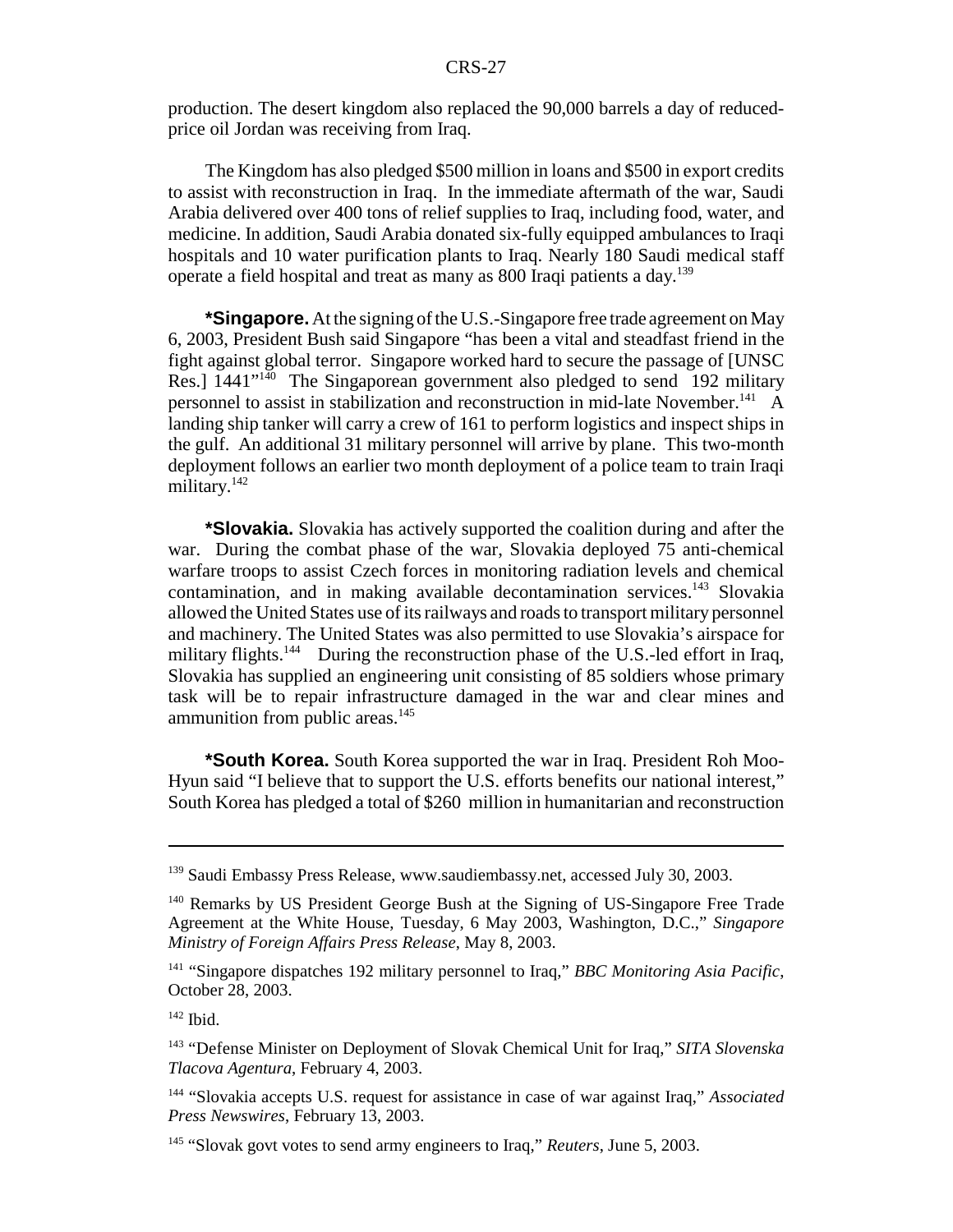production. The desert kingdom also replaced the 90,000 barrels a day of reducedprice oil Jordan was receiving from Iraq.

The Kingdom has also pledged \$500 million in loans and \$500 in export credits to assist with reconstruction in Iraq. In the immediate aftermath of the war, Saudi Arabia delivered over 400 tons of relief supplies to Iraq, including food, water, and medicine. In addition, Saudi Arabia donated six-fully equipped ambulances to Iraqi hospitals and 10 water purification plants to Iraq. Nearly 180 Saudi medical staff operate a field hospital and treat as many as 800 Iraqi patients a day.<sup>139</sup>

**\*Singapore.** At the signing of the U.S.-Singapore free trade agreement on May 6, 2003, President Bush said Singapore "has been a vital and steadfast friend in the fight against global terror. Singapore worked hard to secure the passage of [UNSC Res.1 1441"<sup>140</sup> The Singaporean government also pledged to send 192 military personnel to assist in stabilization and reconstruction in mid-late November.<sup>141</sup> A landing ship tanker will carry a crew of 161 to perform logistics and inspect ships in the gulf. An additional 31 military personnel will arrive by plane. This two-month deployment follows an earlier two month deployment of a police team to train Iraqi military.<sup>142</sup>

**\*Slovakia.** Slovakia has actively supported the coalition during and after the war. During the combat phase of the war, Slovakia deployed 75 anti-chemical warfare troops to assist Czech forces in monitoring radiation levels and chemical contamination, and in making available decontamination services.<sup>143</sup> Slovakia allowed the United States use of its railways and roads to transport military personnel and machinery. The United States was also permitted to use Slovakia's airspace for military flights.<sup>144</sup> During the reconstruction phase of the U.S.-led effort in Iraq, Slovakia has supplied an engineering unit consisting of 85 soldiers whose primary task will be to repair infrastructure damaged in the war and clear mines and ammunition from public areas.<sup>145</sup>

**\*South Korea.** South Korea supported the war in Iraq. President Roh Moo-Hyun said "I believe that to support the U.S. efforts benefits our national interest," South Korea has pledged a total of \$260 million in humanitarian and reconstruction

<sup>&</sup>lt;sup>139</sup> Saudi Embassy Press Release, www.saudiembassy.net, accessed July 30, 2003.

<sup>&</sup>lt;sup>140</sup> Remarks by US President George Bush at the Signing of US-Singapore Free Trade Agreement at the White House, Tuesday, 6 May 2003, Washington, D.C.," *Singapore Ministry of Foreign Affairs Press Release*, May 8, 2003.

<sup>141 &</sup>quot;Singapore dispatches 192 military personnel to Iraq," *BBC Monitoring Asia Pacific*, October 28, 2003.

 $142$  Ibid.

<sup>143 &</sup>quot;Defense Minister on Deployment of Slovak Chemical Unit for Iraq," *SITA Slovenska Tlacova Agentura*, February 4, 2003.

<sup>144 &</sup>quot;Slovakia accepts U.S. request for assistance in case of war against Iraq," *Associated Press Newswires*, February 13, 2003.

<sup>145 &</sup>quot;Slovak govt votes to send army engineers to Iraq," *Reuters*, June 5, 2003.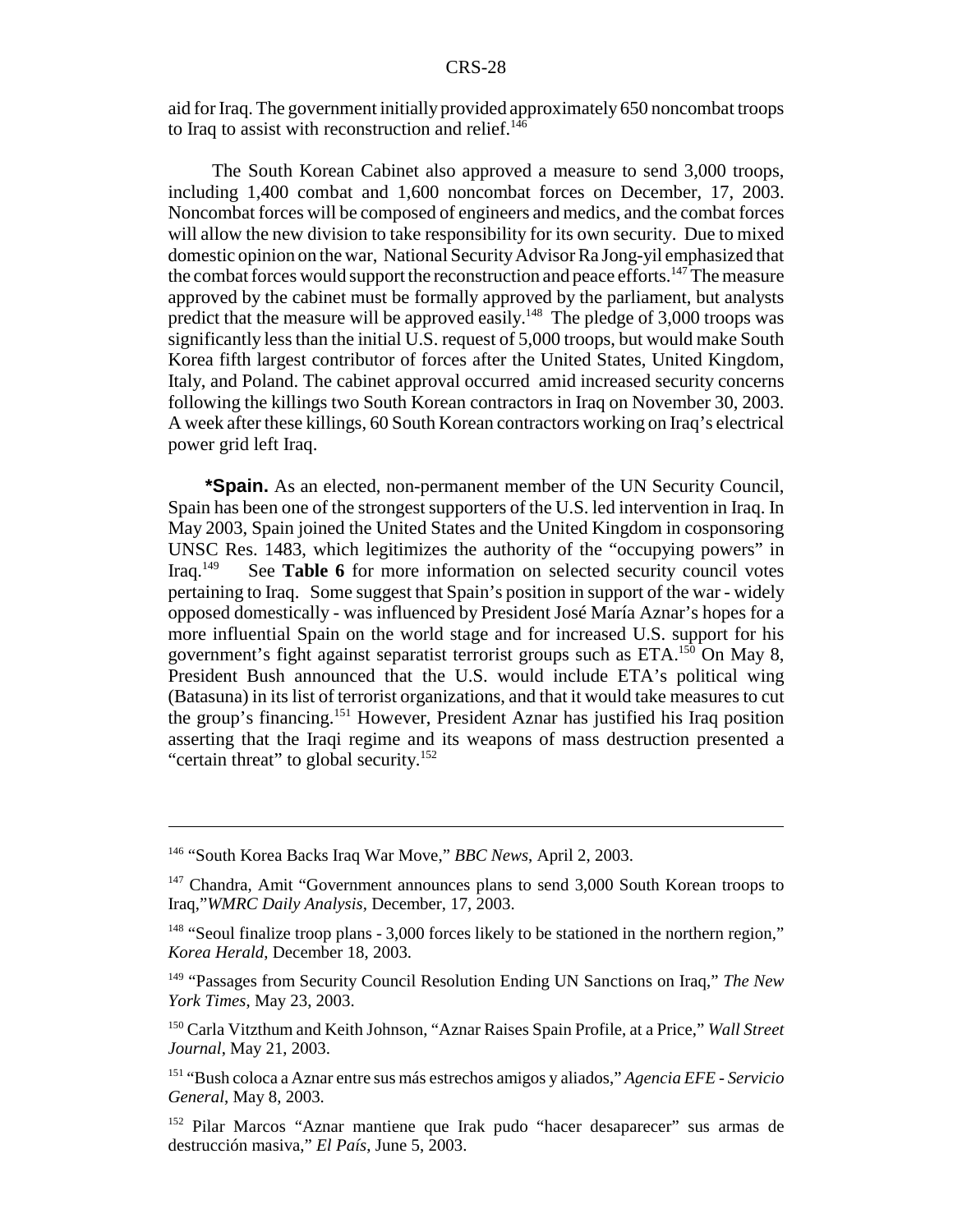aid for Iraq. The government initially provided approximately 650 noncombat troops to Iraq to assist with reconstruction and relief. $146$ 

 The South Korean Cabinet also approved a measure to send 3,000 troops, including 1,400 combat and 1,600 noncombat forces on December, 17, 2003. Noncombat forces will be composed of engineers and medics, and the combat forces will allow the new division to take responsibility for its own security. Due to mixed domestic opinion on the war, National Security Advisor Ra Jong-yil emphasized that the combat forces would support the reconstruction and peace efforts.<sup>147</sup> The measure approved by the cabinet must be formally approved by the parliament, but analysts predict that the measure will be approved easily.<sup>148</sup> The pledge of 3,000 troops was significantly less than the initial U.S. request of 5,000 troops, but would make South Korea fifth largest contributor of forces after the United States, United Kingdom, Italy, and Poland. The cabinet approval occurred amid increased security concerns following the killings two South Korean contractors in Iraq on November 30, 2003. A week after these killings, 60 South Korean contractors working on Iraq's electrical power grid left Iraq.

**\*Spain.** As an elected, non-permanent member of the UN Security Council, Spain has been one of the strongest supporters of the U.S. led intervention in Iraq. In May 2003, Spain joined the United States and the United Kingdom in cosponsoring UNSC Res. 1483, which legitimizes the authority of the "occupying powers" in Iraq.<sup>149</sup> See **Table 6** for more information on selected security council votes See **Table 6** for more information on selected security council votes pertaining to Iraq. Some suggest that Spain's position in support of the war - widely opposed domestically - was influenced by President José María Aznar's hopes for a more influential Spain on the world stage and for increased U.S. support for his government's fight against separatist terrorist groups such as ETA.<sup>150</sup> On May 8, President Bush announced that the U.S. would include ETA's political wing (Batasuna) in its list of terrorist organizations, and that it would take measures to cut the group's financing.151 However, President Aznar has justified his Iraq position asserting that the Iraqi regime and its weapons of mass destruction presented a "certain threat" to global security.<sup>152</sup>

<sup>146 &</sup>quot;South Korea Backs Iraq War Move," *BBC News*, April 2, 2003.

 $147$  Chandra, Amit "Government announces plans to send 3,000 South Korean troops to Iraq,"*WMRC Daily Analysis,* December, 17, 2003.

<sup>&</sup>lt;sup>148</sup> "Seoul finalize troop plans - 3,000 forces likely to be stationed in the northern region," *Korea Herald*, December 18, 2003.

<sup>149 &</sup>quot;Passages from Security Council Resolution Ending UN Sanctions on Iraq," *The New York Times*, May 23, 2003.

<sup>150</sup> Carla Vitzthum and Keith Johnson, "Aznar Raises Spain Profile, at a Price," *Wall Street Journal*, May 21, 2003.

<sup>151 &</sup>quot;Bush coloca a Aznar entre sus más estrechos amigos y aliados," *Agencia EFE - Servicio General*, May 8, 2003.

<sup>152</sup> Pilar Marcos "Aznar mantiene que Irak pudo "hacer desaparecer" sus armas de destrucción masiva," *El País*, June 5, 2003.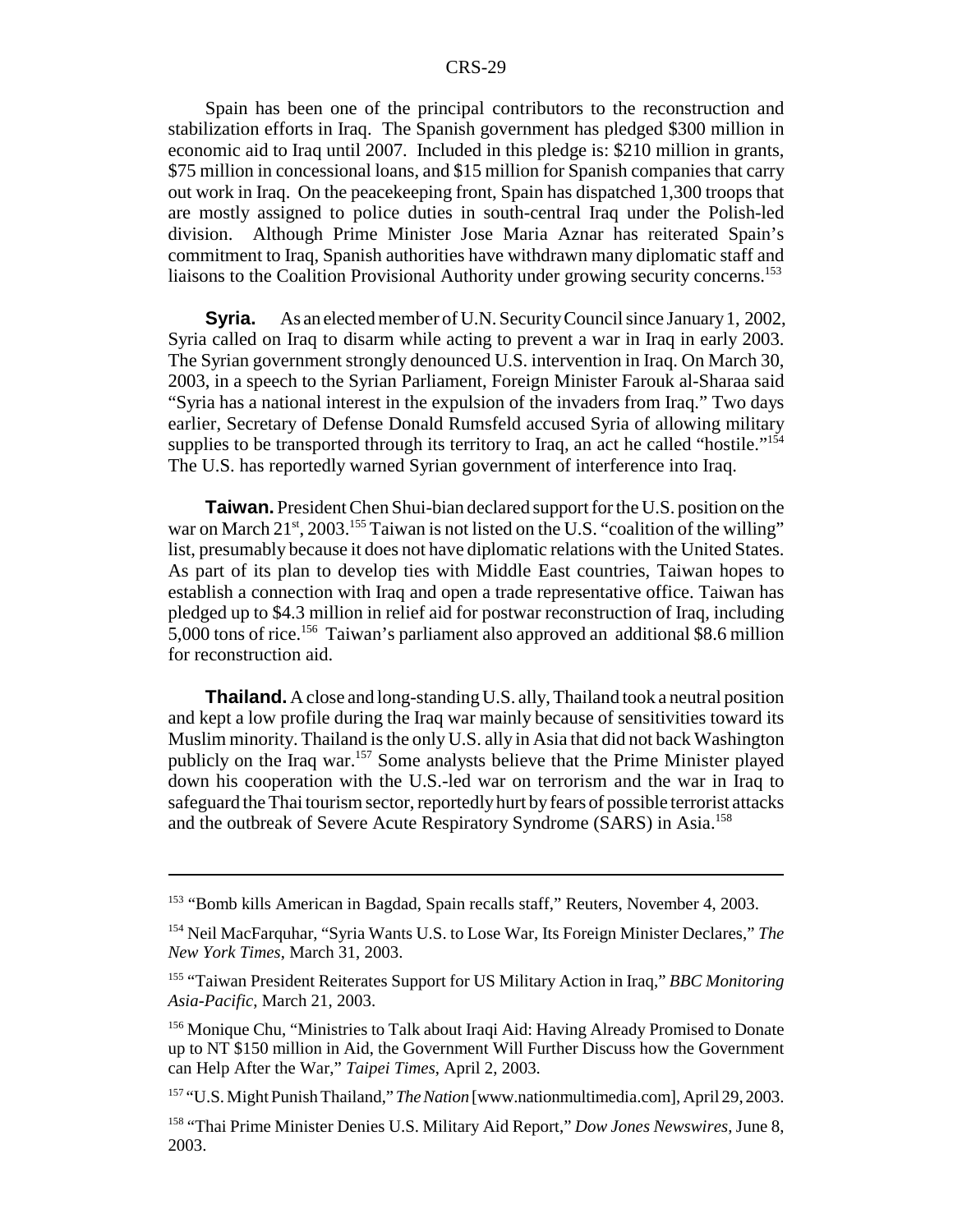Spain has been one of the principal contributors to the reconstruction and stabilization efforts in Iraq. The Spanish government has pledged \$300 million in economic aid to Iraq until 2007. Included in this pledge is: \$210 million in grants, \$75 million in concessional loans, and \$15 million for Spanish companies that carry out work in Iraq. On the peacekeeping front, Spain has dispatched 1,300 troops that are mostly assigned to police duties in south-central Iraq under the Polish-led division. Although Prime Minister Jose Maria Aznar has reiterated Spain's commitment to Iraq, Spanish authorities have withdrawn many diplomatic staff and liaisons to the Coalition Provisional Authority under growing security concerns.153

**Syria.** As an elected member of U.N. Security Council since January 1, 2002, Syria called on Iraq to disarm while acting to prevent a war in Iraq in early 2003. The Syrian government strongly denounced U.S. intervention in Iraq. On March 30, 2003, in a speech to the Syrian Parliament, Foreign Minister Farouk al-Sharaa said "Syria has a national interest in the expulsion of the invaders from Iraq." Two days earlier, Secretary of Defense Donald Rumsfeld accused Syria of allowing military supplies to be transported through its territory to Iraq, an act he called "hostile."<sup>154</sup> The U.S. has reportedly warned Syrian government of interference into Iraq.

**Taiwan.** President Chen Shui-bian declared support for the U.S. position on the war on March  $21<sup>st</sup>$ , 2003.<sup>155</sup> Taiwan is not listed on the U.S. "coalition of the willing" list, presumably because it does not have diplomatic relations with the United States. As part of its plan to develop ties with Middle East countries, Taiwan hopes to establish a connection with Iraq and open a trade representative office. Taiwan has pledged up to \$4.3 million in relief aid for postwar reconstruction of Iraq, including 5,000 tons of rice.156 Taiwan's parliament also approved an additional \$8.6 million for reconstruction aid.

**Thailand.** A close and long-standing U.S. ally, Thailand took a neutral position and kept a low profile during the Iraq war mainly because of sensitivities toward its Muslim minority. Thailand is the only U.S. ally in Asia that did not back Washington publicly on the Iraq war.157 Some analysts believe that the Prime Minister played down his cooperation with the U.S.-led war on terrorism and the war in Iraq to safeguard the Thai tourism sector, reportedly hurt by fears of possible terrorist attacks and the outbreak of Severe Acute Respiratory Syndrome (SARS) in Asia.158

<sup>153 &</sup>quot;Bomb kills American in Bagdad, Spain recalls staff," Reuters, November 4, 2003.

<sup>154</sup> Neil MacFarquhar, "Syria Wants U.S. to Lose War, Its Foreign Minister Declares," *The New York Times*, March 31, 2003.

<sup>155 &</sup>quot;Taiwan President Reiterates Support for US Military Action in Iraq," *BBC Monitoring Asia-Pacific*, March 21, 2003.

<sup>&</sup>lt;sup>156</sup> Monique Chu, "Ministries to Talk about Iraqi Aid: Having Already Promised to Donate up to NT \$150 million in Aid, the Government Will Further Discuss how the Government can Help After the War," *Taipei Times*, April 2, 2003.

<sup>157 &</sup>quot;U.S. Might Punish Thailand," *The Nation* [www.nationmultimedia.com], April 29, 2003.

<sup>158 &</sup>quot;Thai Prime Minister Denies U.S. Military Aid Report," *Dow Jones Newswires*, June 8, 2003.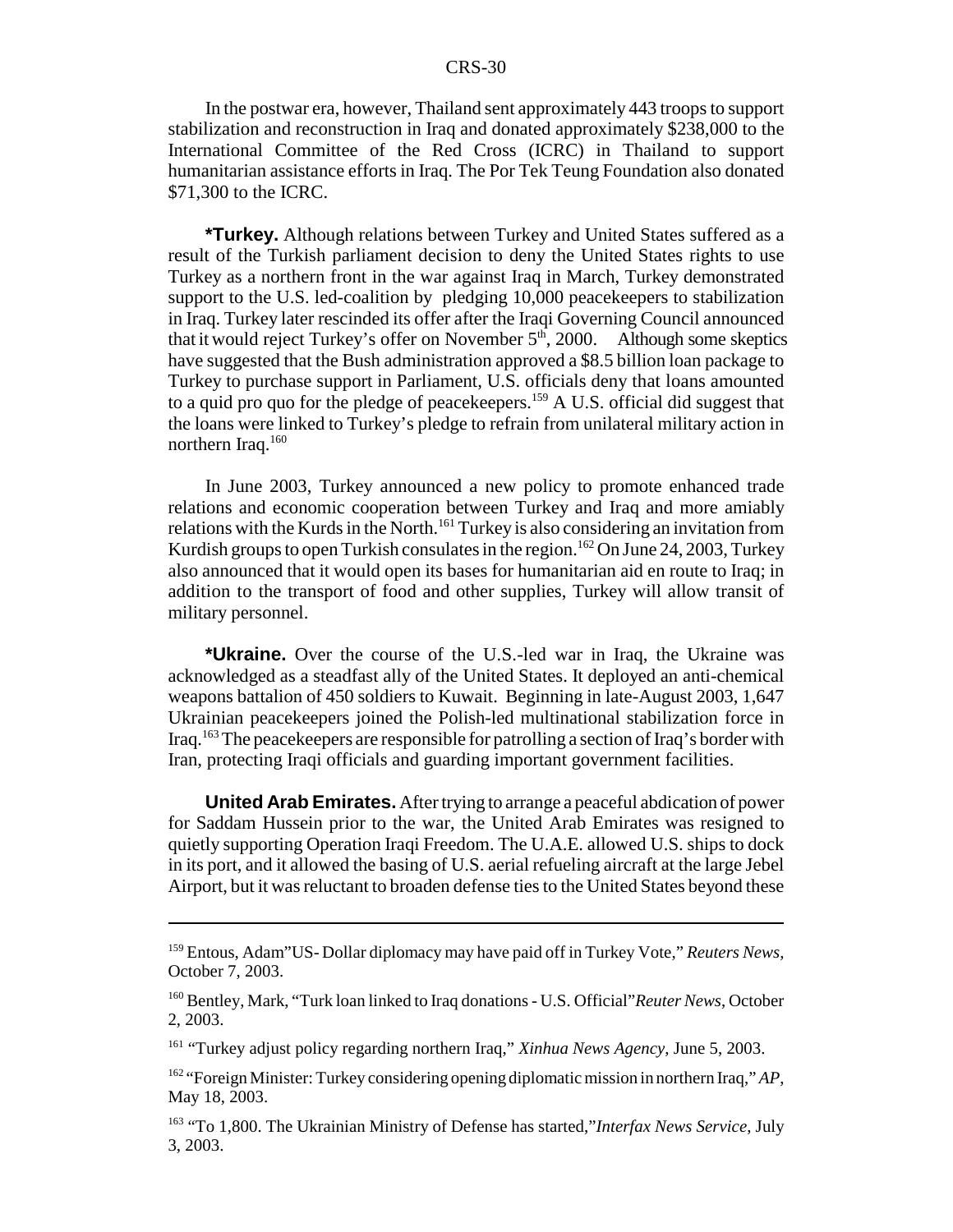In the postwar era, however, Thailand sent approximately 443 troops to support stabilization and reconstruction in Iraq and donated approximately \$238,000 to the International Committee of the Red Cross (ICRC) in Thailand to support humanitarian assistance efforts in Iraq. The Por Tek Teung Foundation also donated \$71,300 to the ICRC.

**\*Turkey.** Although relations between Turkey and United States suffered as a result of the Turkish parliament decision to deny the United States rights to use Turkey as a northern front in the war against Iraq in March, Turkey demonstrated support to the U.S. led-coalition by pledging 10,000 peacekeepers to stabilization in Iraq. Turkey later rescinded its offer after the Iraqi Governing Council announced that it would reject Turkey's offer on November  $5<sup>th</sup>$ , 2000. Although some skeptics have suggested that the Bush administration approved a \$8.5 billion loan package to Turkey to purchase support in Parliament, U.S. officials deny that loans amounted to a quid pro quo for the pledge of peacekeepers.159 A U.S. official did suggest that the loans were linked to Turkey's pledge to refrain from unilateral military action in northern Iraq.<sup>160</sup>

In June 2003, Turkey announced a new policy to promote enhanced trade relations and economic cooperation between Turkey and Iraq and more amiably relations with the Kurds in the North.<sup>161</sup> Turkey is also considering an invitation from Kurdish groups to open Turkish consulates in the region.<sup>162</sup> On June 24, 2003, Turkey also announced that it would open its bases for humanitarian aid en route to Iraq; in addition to the transport of food and other supplies, Turkey will allow transit of military personnel.

**\*Ukraine.** Over the course of the U.S.-led war in Iraq, the Ukraine was acknowledged as a steadfast ally of the United States. It deployed an anti-chemical weapons battalion of 450 soldiers to Kuwait. Beginning in late-August 2003, 1,647 Ukrainian peacekeepers joined the Polish-led multinational stabilization force in Iraq.163 The peacekeepers are responsible for patrolling a section of Iraq's border with Iran, protecting Iraqi officials and guarding important government facilities.

**United Arab Emirates.** After trying to arrange a peaceful abdication of power for Saddam Hussein prior to the war, the United Arab Emirates was resigned to quietly supporting Operation Iraqi Freedom. The U.A.E. allowed U.S. ships to dock in its port, and it allowed the basing of U.S. aerial refueling aircraft at the large Jebel Airport, but it was reluctant to broaden defense ties to the United States beyond these

<sup>159</sup> Entous, Adam"US- Dollar diplomacy may have paid off in Turkey Vote," *Reuters News,* October 7, 2003.

<sup>160</sup> Bentley, Mark, "Turk loan linked to Iraq donations - U.S. Official"*Reuter News*, October 2, 2003.

<sup>161 &</sup>quot;Turkey adjust policy regarding northern Iraq," *Xinhua News Agency*, June 5, 2003.

<sup>162 &</sup>quot;Foreign Minister: Turkey considering opening diplomatic mission in northern Iraq," *AP*, May 18, 2003.

<sup>163 &</sup>quot;To 1,800. The Ukrainian Ministry of Defense has started,"*Interfax News Service*, July 3, 2003.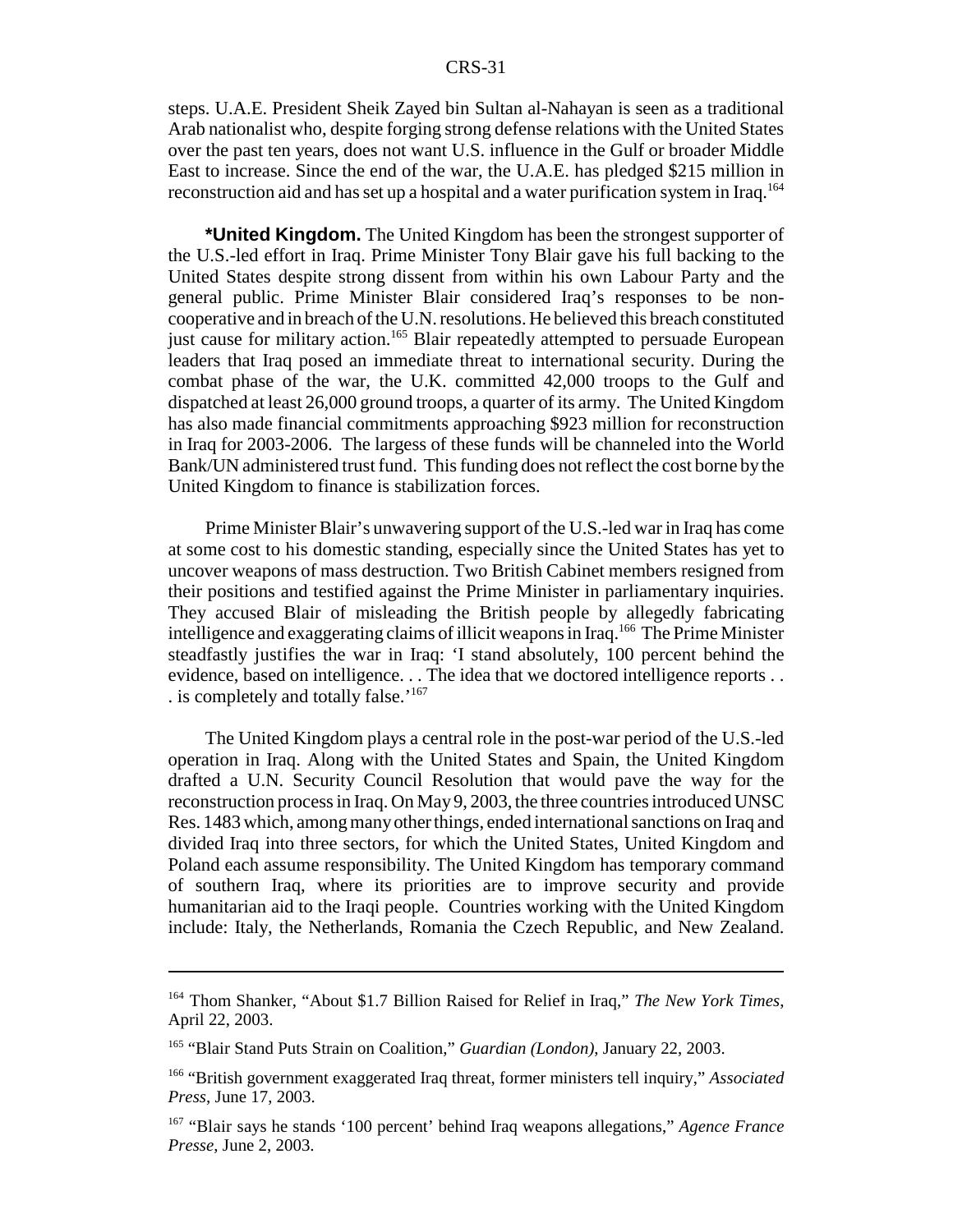steps. U.A.E. President Sheik Zayed bin Sultan al-Nahayan is seen as a traditional Arab nationalist who, despite forging strong defense relations with the United States over the past ten years, does not want U.S. influence in the Gulf or broader Middle East to increase. Since the end of the war, the U.A.E. has pledged \$215 million in reconstruction aid and has set up a hospital and a water purification system in Iraq.<sup>164</sup>

**\*United Kingdom.** The United Kingdom has been the strongest supporter of the U.S.-led effort in Iraq. Prime Minister Tony Blair gave his full backing to the United States despite strong dissent from within his own Labour Party and the general public. Prime Minister Blair considered Iraq's responses to be noncooperative and in breach of the U.N. resolutions. He believed this breach constituted just cause for military action.<sup>165</sup> Blair repeatedly attempted to persuade European leaders that Iraq posed an immediate threat to international security. During the combat phase of the war, the U.K. committed 42,000 troops to the Gulf and dispatched at least 26,000 ground troops, a quarter of its army. The United Kingdom has also made financial commitments approaching \$923 million for reconstruction in Iraq for 2003-2006. The largess of these funds will be channeled into the World Bank/UN administered trust fund. This funding does not reflect the cost borne by the United Kingdom to finance is stabilization forces.

Prime Minister Blair's unwavering support of the U.S.-led war in Iraq has come at some cost to his domestic standing, especially since the United States has yet to uncover weapons of mass destruction. Two British Cabinet members resigned from their positions and testified against the Prime Minister in parliamentary inquiries. They accused Blair of misleading the British people by allegedly fabricating intelligence and exaggerating claims of illicit weapons in Iraq.<sup>166</sup> The Prime Minister steadfastly justifies the war in Iraq: 'I stand absolutely, 100 percent behind the evidence, based on intelligence. . . The idea that we doctored intelligence reports . . . is completely and totally false.'167

The United Kingdom plays a central role in the post-war period of the U.S.-led operation in Iraq. Along with the United States and Spain, the United Kingdom drafted a U.N. Security Council Resolution that would pave the way for the reconstruction process in Iraq. On May 9, 2003, the three countries introduced UNSC Res. 1483 which, among many other things, ended international sanctions on Iraq and divided Iraq into three sectors, for which the United States, United Kingdom and Poland each assume responsibility. The United Kingdom has temporary command of southern Iraq, where its priorities are to improve security and provide humanitarian aid to the Iraqi people. Countries working with the United Kingdom include: Italy, the Netherlands, Romania the Czech Republic, and New Zealand.

<sup>164</sup> Thom Shanker, "About \$1.7 Billion Raised for Relief in Iraq," *The New York Times*, April 22, 2003.

<sup>165 &</sup>quot;Blair Stand Puts Strain on Coalition," *Guardian (London)*, January 22, 2003.

<sup>166 &</sup>quot;British government exaggerated Iraq threat, former ministers tell inquiry," *Associated Press*, June 17, 2003.

<sup>167 &</sup>quot;Blair says he stands '100 percent' behind Iraq weapons allegations," *Agence France Presse*, June 2, 2003.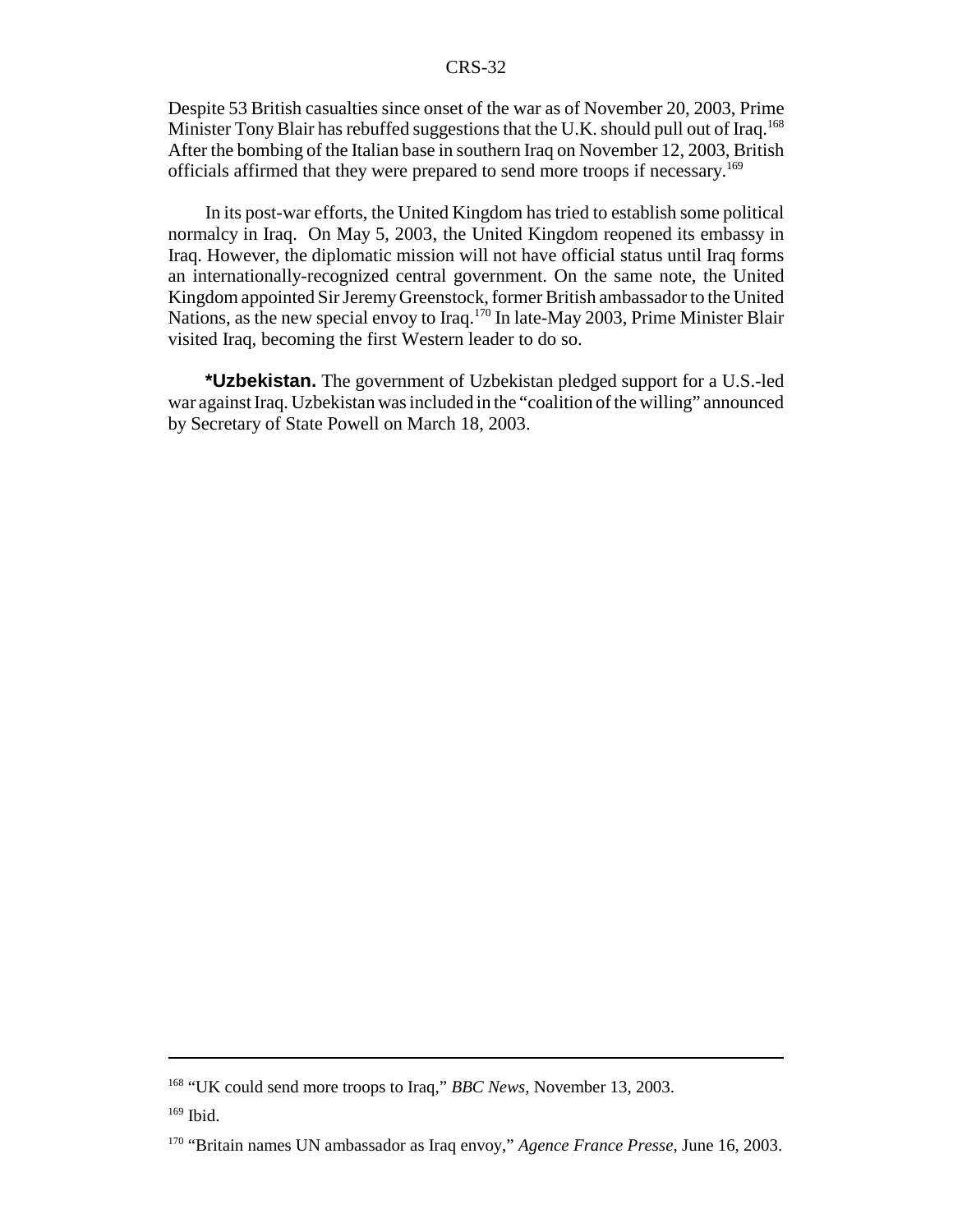Despite 53 British casualties since onset of the war as of November 20, 2003, Prime Minister Tony Blair has rebuffed suggestions that the U.K. should pull out of Iraq.<sup>168</sup> After the bombing of the Italian base in southern Iraq on November 12, 2003, British officials affirmed that they were prepared to send more troops if necessary.169

In its post-war efforts, the United Kingdom has tried to establish some political normalcy in Iraq. On May 5, 2003, the United Kingdom reopened its embassy in Iraq. However, the diplomatic mission will not have official status until Iraq forms an internationally-recognized central government. On the same note, the United Kingdom appointed Sir Jeremy Greenstock, former British ambassador to the United Nations, as the new special envoy to Iraq.<sup>170</sup> In late-May 2003, Prime Minister Blair visited Iraq, becoming the first Western leader to do so.

**\*Uzbekistan.** The government of Uzbekistan pledged support for a U.S.-led war against Iraq. Uzbekistan was included in the "coalition of the willing" announced by Secretary of State Powell on March 18, 2003.

<sup>168 &</sup>quot;UK could send more troops to Iraq," *BBC News,* November 13, 2003.

 $169$  Ibid.

<sup>170 &</sup>quot;Britain names UN ambassador as Iraq envoy," *Agence France Presse*, June 16, 2003.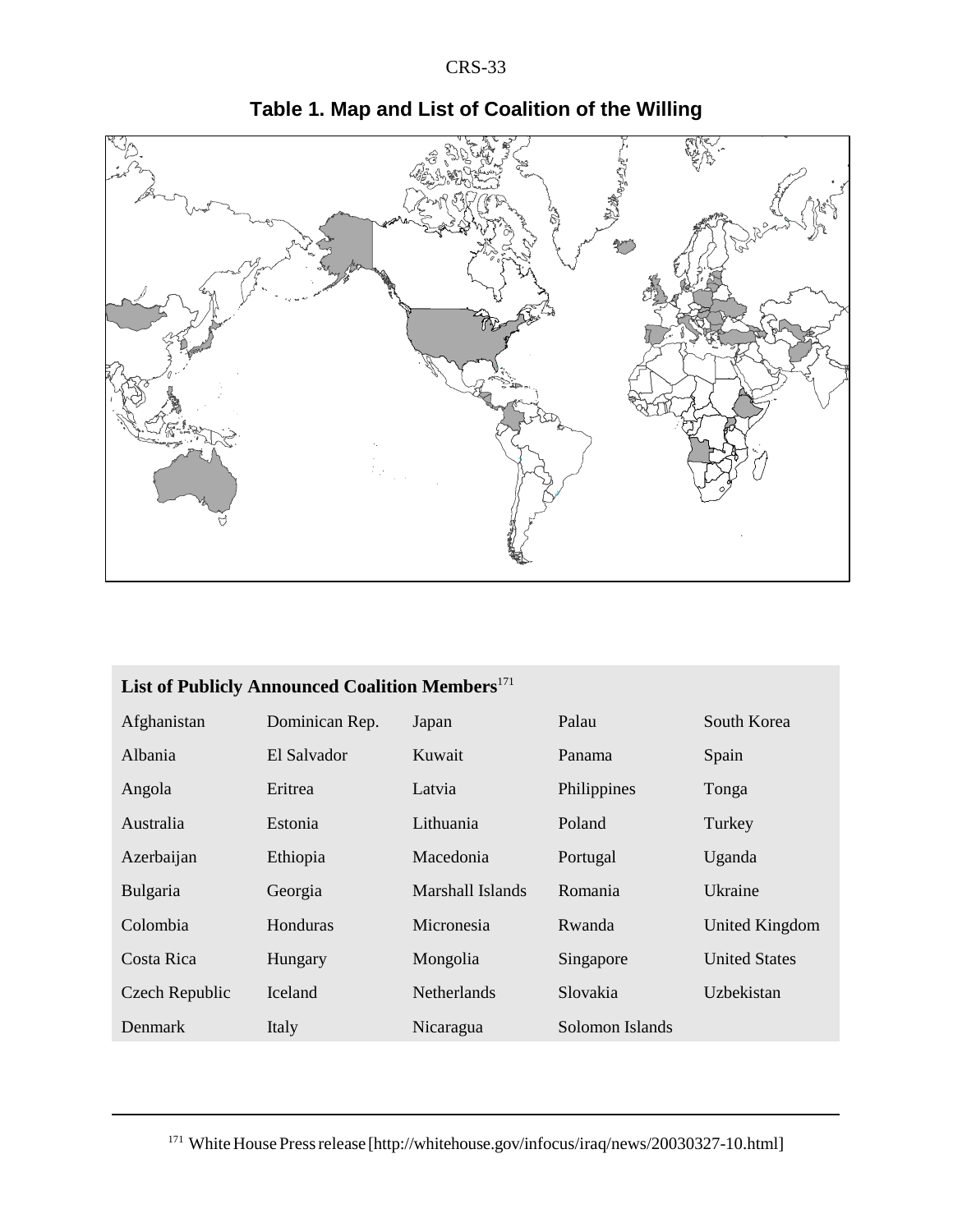

# **Table 1. Map and List of Coalition of the Willing**

| List of Publicly Announced Coalition Members <sup>171</sup> |                |                    |                 |                      |  |
|-------------------------------------------------------------|----------------|--------------------|-----------------|----------------------|--|
| Afghanistan                                                 | Dominican Rep. | Japan              | Palau           | South Korea          |  |
| Albania                                                     | El Salvador    | Kuwait             | Panama          | Spain                |  |
| Angola                                                      | Eritrea        | Latvia             | Philippines     | Tonga                |  |
| Australia                                                   | Estonia        | Lithuania          | Poland          | Turkey               |  |
| Azerbaijan                                                  | Ethiopia       | Macedonia          | Portugal        | Uganda               |  |
| Bulgaria                                                    | Georgia        | Marshall Islands   | Romania         | Ukraine              |  |
| Colombia                                                    | Honduras       | Micronesia         | Rwanda          | United Kingdom       |  |
| Costa Rica                                                  | Hungary        | Mongolia           | Singapore       | <b>United States</b> |  |
| Czech Republic                                              | <b>Iceland</b> | <b>Netherlands</b> | Slovakia        | Uzbekistan           |  |
| Denmark                                                     | Italy          | Nicaragua          | Solomon Islands |                      |  |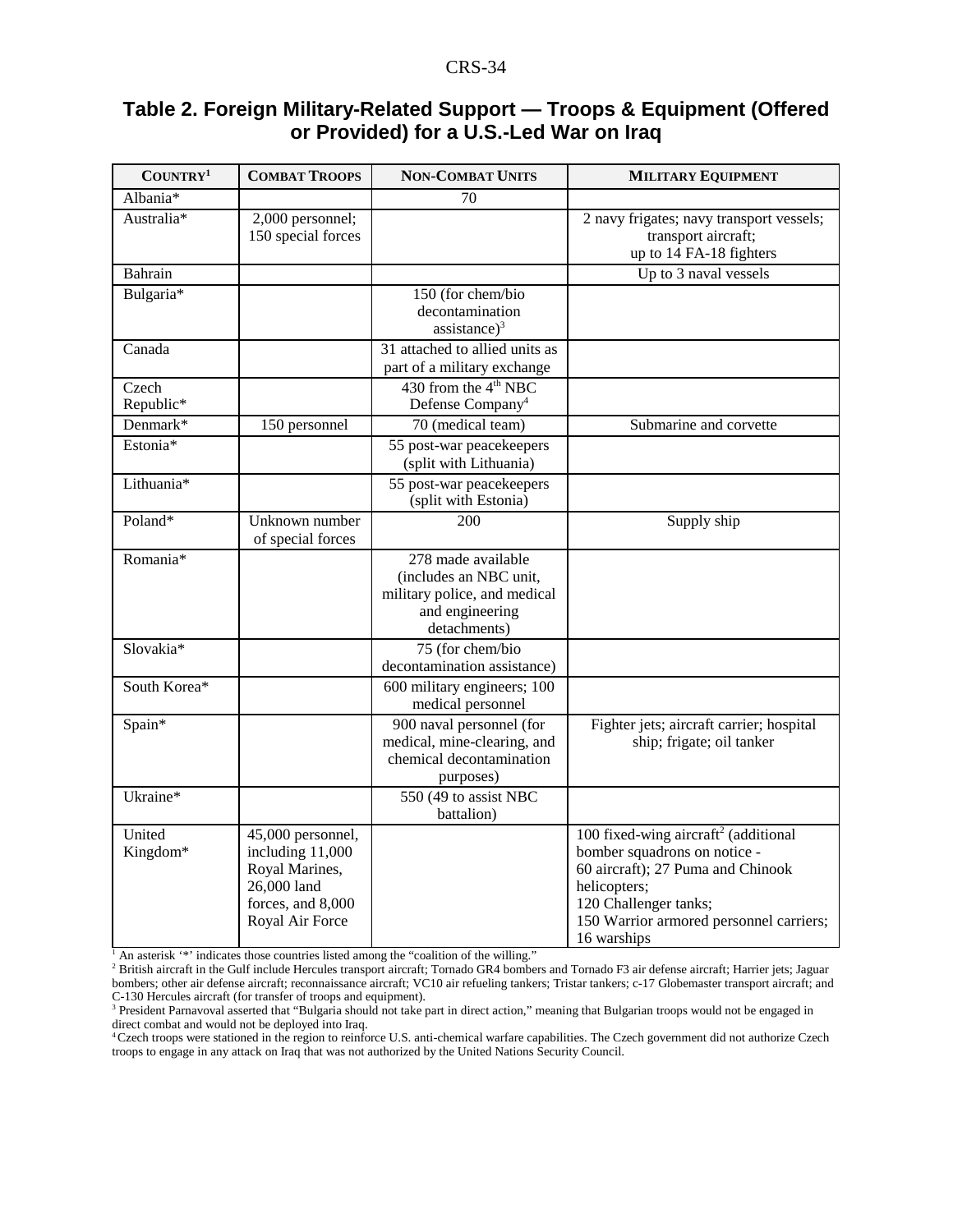### **Table 2. Foreign Military-Related Support — Troops & Equipment (Offered or Provided) for a U.S.-Led War on Iraq**

| COUNTRY <sup>1</sup> | <b>COMBAT TROOPS</b>                                                                                           | <b>NON-COMBAT UNITS</b>                                                                                         | <b>MILITARY EQUIPMENT</b>                                                                                                                                                                                                |
|----------------------|----------------------------------------------------------------------------------------------------------------|-----------------------------------------------------------------------------------------------------------------|--------------------------------------------------------------------------------------------------------------------------------------------------------------------------------------------------------------------------|
| Albania*             |                                                                                                                | 70                                                                                                              |                                                                                                                                                                                                                          |
| Australia*           | 2,000 personnel;<br>150 special forces                                                                         |                                                                                                                 | 2 navy frigates; navy transport vessels;<br>transport aircraft;<br>up to 14 FA-18 fighters                                                                                                                               |
| Bahrain              |                                                                                                                |                                                                                                                 | Up to 3 naval vessels                                                                                                                                                                                                    |
| Bulgaria*            |                                                                                                                | 150 (for chem/bio<br>decontamination<br>$assistance)^3$                                                         |                                                                                                                                                                                                                          |
| Canada               |                                                                                                                | 31 attached to allied units as<br>part of a military exchange                                                   |                                                                                                                                                                                                                          |
| Czech<br>Republic*   |                                                                                                                | 430 from the 4 <sup>th</sup> NBC<br>Defense Company <sup>4</sup>                                                |                                                                                                                                                                                                                          |
| Denmark*             | 150 personnel                                                                                                  | 70 (medical team)                                                                                               | Submarine and corvette                                                                                                                                                                                                   |
| Estonia*             |                                                                                                                | 55 post-war peacekeepers<br>(split with Lithuania)                                                              |                                                                                                                                                                                                                          |
| Lithuania*           |                                                                                                                | 55 post-war peacekeepers<br>(split with Estonia)                                                                |                                                                                                                                                                                                                          |
| Poland*              | Unknown number<br>of special forces                                                                            | 200                                                                                                             | Supply ship                                                                                                                                                                                                              |
| Romania*             |                                                                                                                | 278 made available<br>(includes an NBC unit,<br>military police, and medical<br>and engineering<br>detachments) |                                                                                                                                                                                                                          |
| Slovakia*            |                                                                                                                | 75 (for chem/bio<br>decontamination assistance)                                                                 |                                                                                                                                                                                                                          |
| South Korea*         |                                                                                                                | 600 military engineers; 100<br>medical personnel                                                                |                                                                                                                                                                                                                          |
| Spain*               |                                                                                                                | 900 naval personnel (for<br>medical, mine-clearing, and<br>chemical decontamination<br>purposes)                | Fighter jets; aircraft carrier; hospital<br>ship; frigate; oil tanker                                                                                                                                                    |
| Ukraine*             |                                                                                                                | 550 (49 to assist NBC<br>battalion)                                                                             |                                                                                                                                                                                                                          |
| United<br>Kingdom*   | 45,000 personnel,<br>including 11,000<br>Royal Marines,<br>26,000 land<br>forces, and 8,000<br>Royal Air Force | An asterisk '*' indicates those countries listed among the "coalition of the willing."                          | 100 fixed-wing aircraft <sup>2</sup> (additional<br>bomber squadrons on notice -<br>60 aircraft); 27 Puma and Chinook<br>helicopters;<br>120 Challenger tanks;<br>150 Warrior armored personnel carriers;<br>16 warships |

<sup>2</sup> British aircraft in the Gulf include Hercules transport aircraft; Tornado GR4 bombers and Tornado F3 air defense aircraft; Harrier jets; Jaguar bombers; other air defense aircraft; reconnaissance aircraft; VC10 air refueling tankers; Tristar tankers; c-17 Globemaster transport aircraft; and C-130 Hercules aircraft (for transfer of troops and equipment).

4 Czech troops were stationed in the region to reinforce U.S. anti-chemical warfare capabilities. The Czech government did not authorize Czech troops to engage in any attack on Iraq that was not authorized by the United Nations Security Council.

<sup>&</sup>lt;sup>3</sup> President Parnavoval asserted that "Bulgaria should not take part in direct action," meaning that Bulgarian troops would not be engaged in direct combat and would not be deployed into Iraq.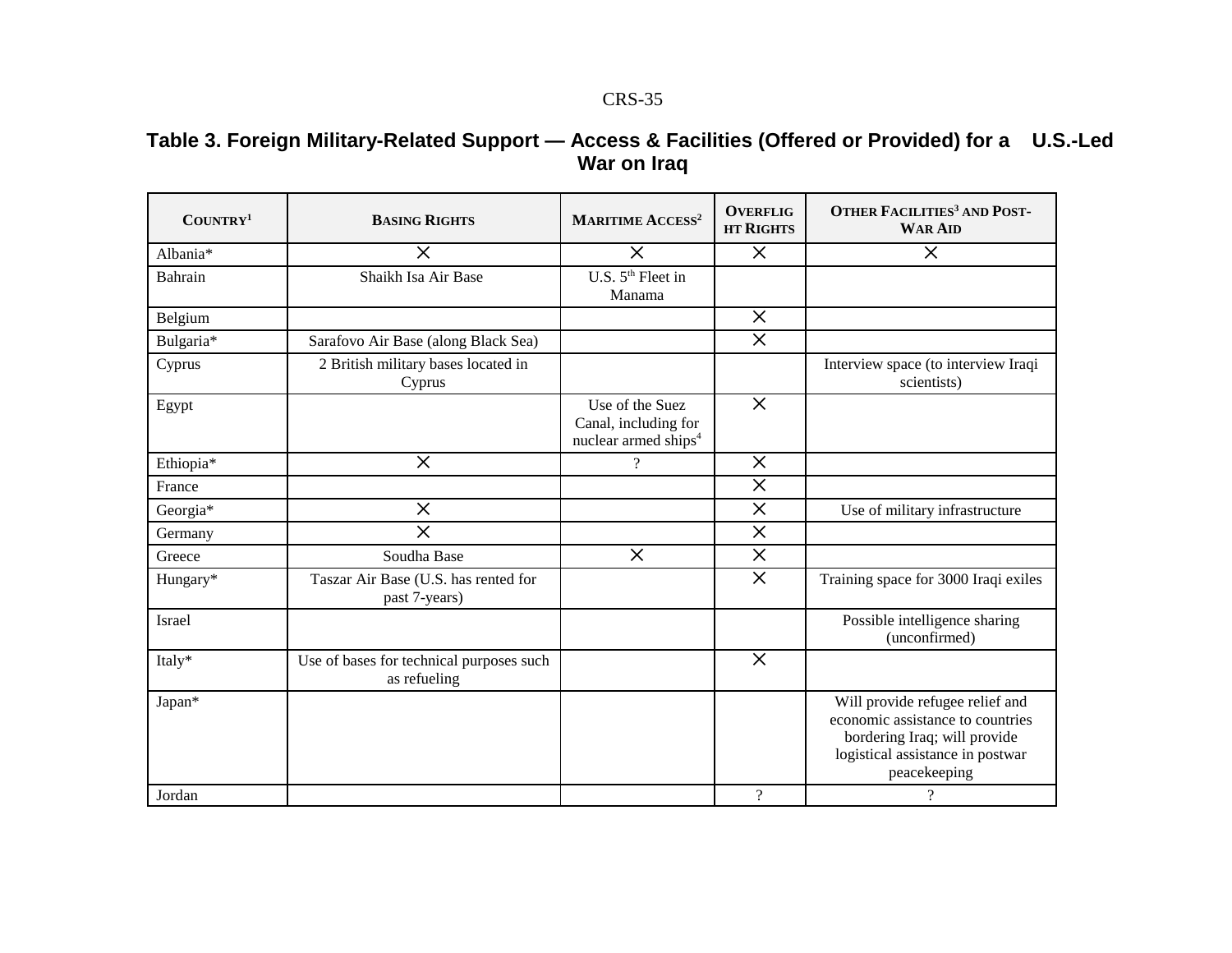### **Table 3. Foreign Military-Related Support — Access & Facilities (Offered or Provided) for a U.S.-Led War on Iraq**

| COUNTRY <sup>1</sup> | <b>BASING RIGHTS</b>                                     | <b>MARITIME ACCESS<sup>2</sup></b>                                          | <b>OVERFLIG</b><br><b>HT RIGHTS</b> | <b>OTHER FACILITIES<sup>3</sup> AND POST-</b><br><b>WAR AID</b>                                                                                                                     |
|----------------------|----------------------------------------------------------|-----------------------------------------------------------------------------|-------------------------------------|-------------------------------------------------------------------------------------------------------------------------------------------------------------------------------------|
| Albania*             | $\times$                                                 | $\times$                                                                    | $\times$                            | $\times$                                                                                                                                                                            |
| Bahrain              | Shaikh Isa Air Base                                      | U.S. 5 <sup>th</sup> Fleet in<br>Manama                                     |                                     |                                                                                                                                                                                     |
| Belgium              |                                                          |                                                                             | $\times$                            |                                                                                                                                                                                     |
| Bulgaria*            | Sarafovo Air Base (along Black Sea)                      |                                                                             | $\times$                            |                                                                                                                                                                                     |
| Cyprus               | 2 British military bases located in<br>Cyprus            |                                                                             |                                     | Interview space (to interview Iraqi<br>scientists)                                                                                                                                  |
| Egypt                |                                                          | Use of the Suez<br>Canal, including for<br>nuclear armed ships <sup>4</sup> | $\times$                            |                                                                                                                                                                                     |
| Ethiopia*            | $\times$                                                 | $\mathcal{P}$                                                               | $\times$                            |                                                                                                                                                                                     |
| France               |                                                          |                                                                             | $\times$                            |                                                                                                                                                                                     |
| Georgia*             | $\times$                                                 |                                                                             | $\times$                            | Use of military infrastructure                                                                                                                                                      |
| Germany              | $\times$                                                 |                                                                             | $\times$                            |                                                                                                                                                                                     |
| Greece               | Soudha Base                                              | $\times$                                                                    | $\times$                            |                                                                                                                                                                                     |
| Hungary*             | Taszar Air Base (U.S. has rented for<br>past 7-years)    |                                                                             | $\times$                            | Training space for 3000 Iraqi exiles                                                                                                                                                |
| Israel               |                                                          |                                                                             |                                     | Possible intelligence sharing<br>(unconfirmed)                                                                                                                                      |
| Italy*               | Use of bases for technical purposes such<br>as refueling |                                                                             | $\times$                            |                                                                                                                                                                                     |
| Japan*<br>Jordan     |                                                          |                                                                             | $\overline{\mathcal{L}}$            | Will provide refugee relief and<br>economic assistance to countries<br>bordering Iraq; will provide<br>logistical assistance in postwar<br>peacekeeping<br>$\overline{\mathcal{L}}$ |
|                      |                                                          |                                                                             |                                     |                                                                                                                                                                                     |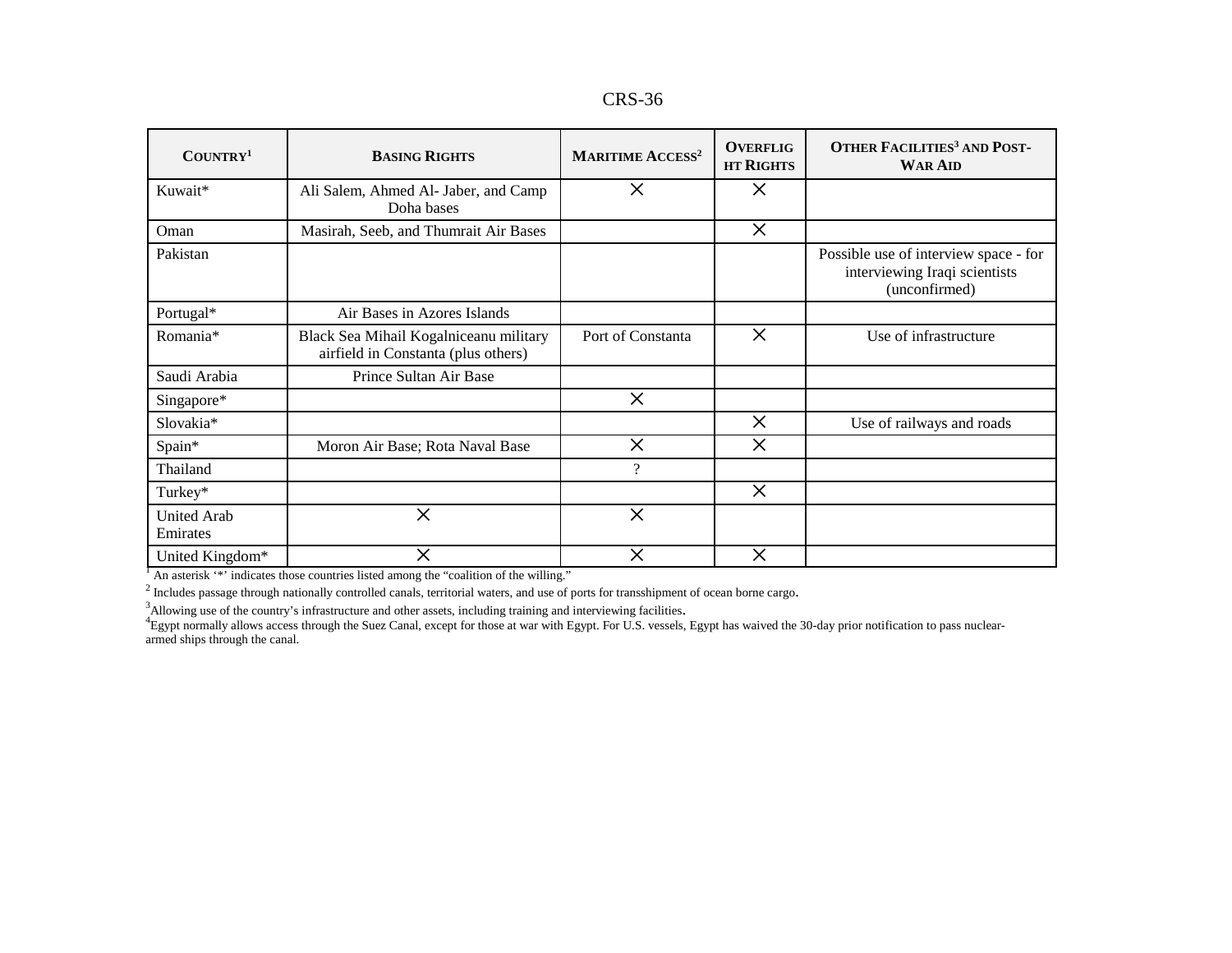| <b>CRS-36</b> |
|---------------|
|---------------|

| COUNTRY <sup>1</sup>           | <b>BASING RIGHTS</b>                                                          | <b>MARITIME ACCESS<sup>2</sup></b> | <b>OVERFLIG</b><br><b>HT RIGHTS</b> | <b>OTHER FACILITIES<sup>3</sup> AND POST-</b><br><b>WAR AID</b>                         |
|--------------------------------|-------------------------------------------------------------------------------|------------------------------------|-------------------------------------|-----------------------------------------------------------------------------------------|
| Kuwait*                        | Ali Salem, Ahmed Al- Jaber, and Camp<br>Doha bases                            | $\times$                           | $\times$                            |                                                                                         |
| Oman                           | Masirah, Seeb, and Thumrait Air Bases                                         |                                    | $\times$                            |                                                                                         |
| Pakistan                       |                                                                               |                                    |                                     | Possible use of interview space - for<br>interviewing Iraqi scientists<br>(unconfirmed) |
| Portugal*                      | Air Bases in Azores Islands                                                   |                                    |                                     |                                                                                         |
| Romania*                       | Black Sea Mihail Kogalniceanu military<br>airfield in Constanta (plus others) | Port of Constanta                  | $\times$                            | Use of infrastructure                                                                   |
| Saudi Arabia                   | Prince Sultan Air Base                                                        |                                    |                                     |                                                                                         |
| Singapore*                     |                                                                               | $\times$                           |                                     |                                                                                         |
| Slovakia*                      |                                                                               |                                    | $\times$                            | Use of railways and roads                                                               |
| Spain*                         | Moron Air Base; Rota Naval Base                                               | $\times$                           | $\times$                            |                                                                                         |
| Thailand                       |                                                                               | $\gamma$                           |                                     |                                                                                         |
| Turkey*                        |                                                                               |                                    | $\times$                            |                                                                                         |
| <b>United Arab</b><br>Emirates | $\times$                                                                      | $\times$                           |                                     |                                                                                         |
| United Kingdom*                | $\times$                                                                      | $\times$                           | $\times$                            |                                                                                         |

 $<sup>1</sup>$  An asterisk '\*' indicates those countries listed among the "coalition of the willing."</sup>

 $<sup>2</sup>$  Includes passage through nationally controlled canals, territorial waters, and use of ports for transshipment of ocean borne cargo.</sup>

<sup>3</sup>Allowing use of the country's infrastructure and other assets, including training and interviewing facilities.<br><sup>4</sup>Egypt normally allows access through the Suez Canal, except for those at war with Egypt. For U.S. vessels armed ships through the canal.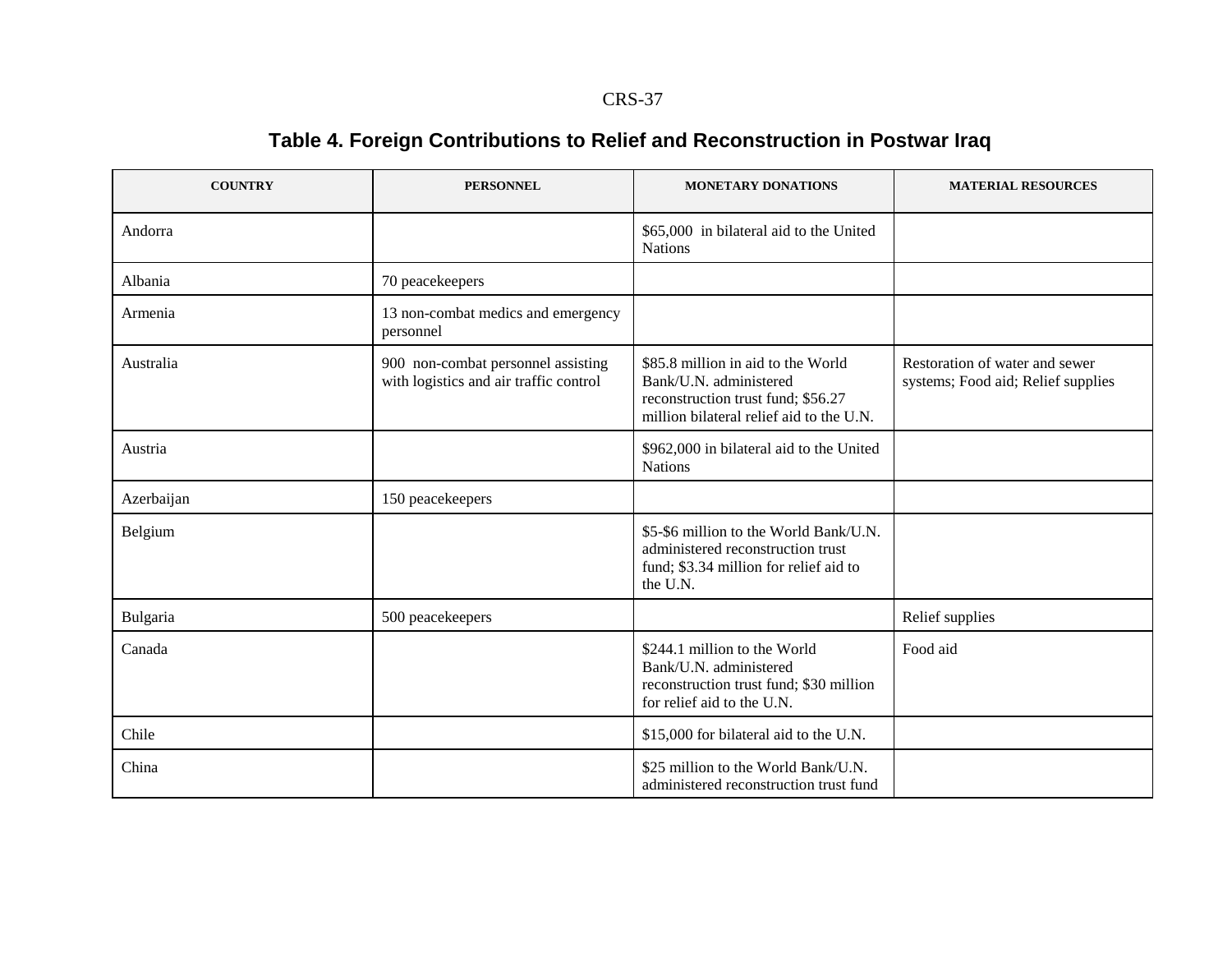# **Table 4. Foreign Contributions to Relief and Reconstruction in Postwar Iraq**

| <b>COUNTRY</b> | <b>PERSONNEL</b>                                                             | <b>MONETARY DONATIONS</b>                                                                                                                      | <b>MATERIAL RESOURCES</b>                                            |
|----------------|------------------------------------------------------------------------------|------------------------------------------------------------------------------------------------------------------------------------------------|----------------------------------------------------------------------|
| Andorra        |                                                                              | \$65,000 in bilateral aid to the United<br><b>Nations</b>                                                                                      |                                                                      |
| Albania        | 70 peacekeepers                                                              |                                                                                                                                                |                                                                      |
| Armenia        | 13 non-combat medics and emergency<br>personnel                              |                                                                                                                                                |                                                                      |
| Australia      | 900 non-combat personnel assisting<br>with logistics and air traffic control | \$85.8 million in aid to the World<br>Bank/U.N. administered<br>reconstruction trust fund; \$56.27<br>million bilateral relief aid to the U.N. | Restoration of water and sewer<br>systems; Food aid; Relief supplies |
| Austria        |                                                                              | \$962,000 in bilateral aid to the United<br><b>Nations</b>                                                                                     |                                                                      |
| Azerbaijan     | 150 peacekeepers                                                             |                                                                                                                                                |                                                                      |
| Belgium        |                                                                              | \$5-\$6 million to the World Bank/U.N.<br>administered reconstruction trust<br>fund; \$3.34 million for relief aid to<br>the U.N.              |                                                                      |
| Bulgaria       | 500 peacekeepers                                                             |                                                                                                                                                | Relief supplies                                                      |
| Canada         |                                                                              | \$244.1 million to the World<br>Bank/U.N. administered<br>reconstruction trust fund; \$30 million<br>for relief aid to the U.N.                | Food aid                                                             |
| Chile          |                                                                              | \$15,000 for bilateral aid to the U.N.                                                                                                         |                                                                      |
| China          |                                                                              | \$25 million to the World Bank/U.N.<br>administered reconstruction trust fund                                                                  |                                                                      |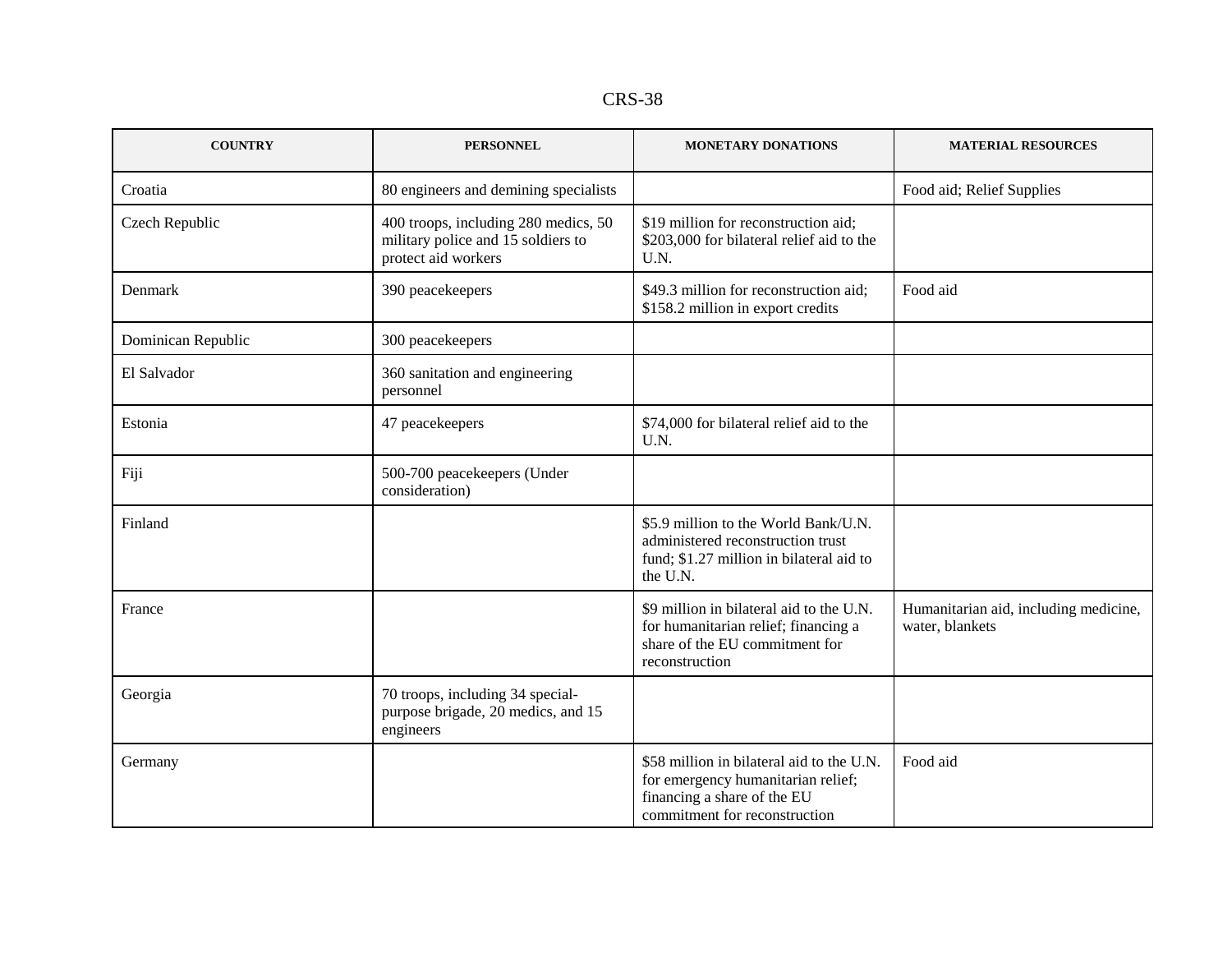| n c<br>. .<br>KS.<br>Λ |
|------------------------|
|------------------------|

| <b>COUNTRY</b>     | <b>PERSONNEL</b>                                                                                  | <b>MONETARY DONATIONS</b>                                                                                                                       | <b>MATERIAL RESOURCES</b>                                |
|--------------------|---------------------------------------------------------------------------------------------------|-------------------------------------------------------------------------------------------------------------------------------------------------|----------------------------------------------------------|
| Croatia            | 80 engineers and demining specialists                                                             |                                                                                                                                                 | Food aid; Relief Supplies                                |
| Czech Republic     | 400 troops, including 280 medics, 50<br>military police and 15 soldiers to<br>protect aid workers | \$19 million for reconstruction aid;<br>\$203,000 for bilateral relief aid to the<br>U.N.                                                       |                                                          |
| Denmark            | 390 peacekeepers                                                                                  | \$49.3 million for reconstruction aid;<br>\$158.2 million in export credits                                                                     | Food aid                                                 |
| Dominican Republic | 300 peacekeepers                                                                                  |                                                                                                                                                 |                                                          |
| El Salvador        | 360 sanitation and engineering<br>personnel                                                       |                                                                                                                                                 |                                                          |
| Estonia            | 47 peacekeepers                                                                                   | \$74,000 for bilateral relief aid to the<br>U.N.                                                                                                |                                                          |
| Fiji               | 500-700 peacekeepers (Under<br>consideration)                                                     |                                                                                                                                                 |                                                          |
| Finland            |                                                                                                   | \$5.9 million to the World Bank/U.N.<br>administered reconstruction trust<br>fund; \$1.27 million in bilateral aid to<br>the U.N.               |                                                          |
| France             |                                                                                                   | \$9 million in bilateral aid to the U.N.<br>for humanitarian relief; financing a<br>share of the EU commitment for<br>reconstruction            | Humanitarian aid, including medicine,<br>water, blankets |
| Georgia            | 70 troops, including 34 special-<br>purpose brigade, 20 medics, and 15<br>engineers               |                                                                                                                                                 |                                                          |
| Germany            |                                                                                                   | \$58 million in bilateral aid to the U.N.<br>for emergency humanitarian relief;<br>financing a share of the EU<br>commitment for reconstruction | Food aid                                                 |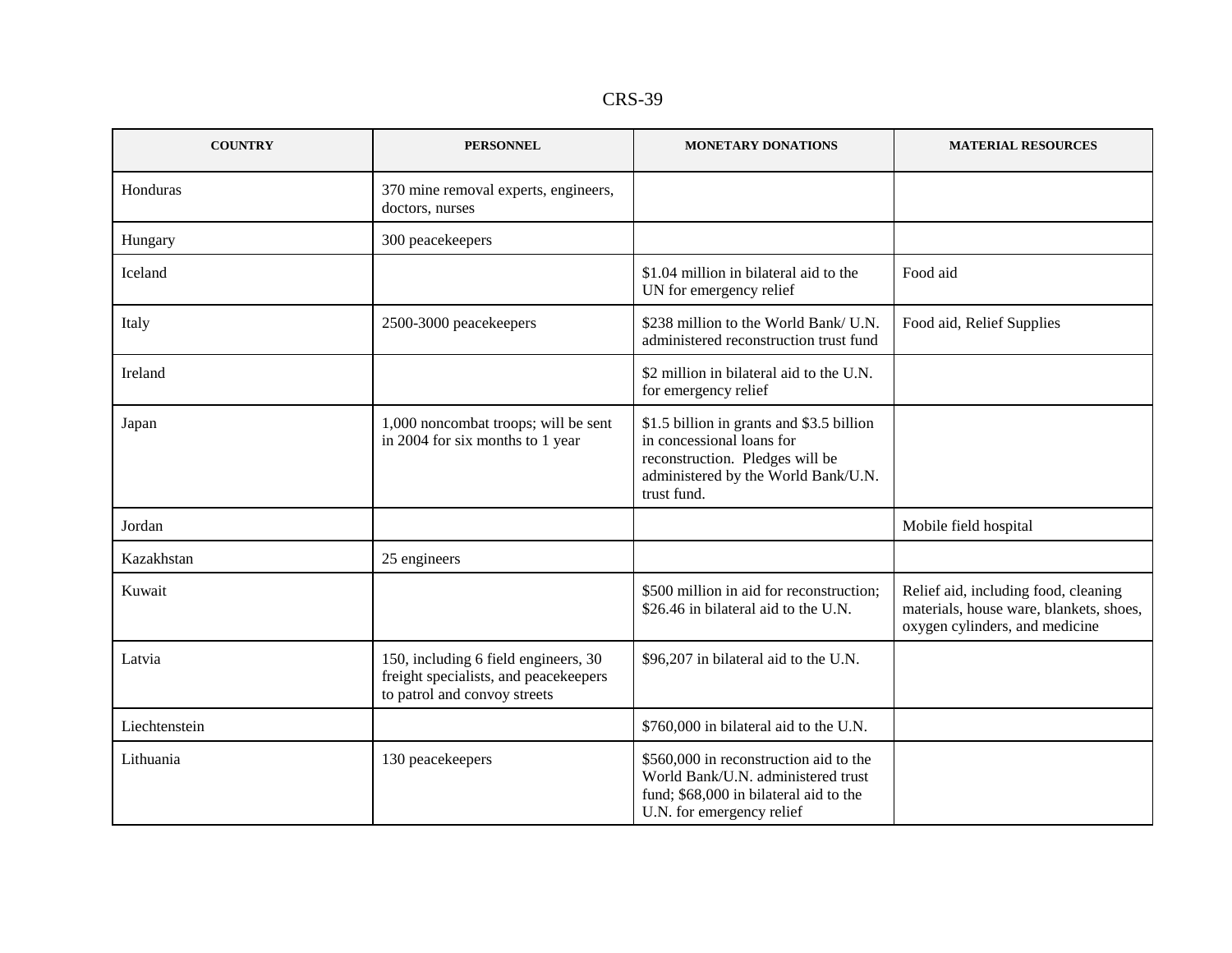| n<br>×.<br>''<br>×. |
|---------------------|
|---------------------|

| <b>COUNTRY</b> | <b>PERSONNEL</b>                                                                                              | <b>MONETARY DONATIONS</b>                                                                                                                                       | <b>MATERIAL RESOURCES</b>                                                                                         |
|----------------|---------------------------------------------------------------------------------------------------------------|-----------------------------------------------------------------------------------------------------------------------------------------------------------------|-------------------------------------------------------------------------------------------------------------------|
| Honduras       | 370 mine removal experts, engineers,<br>doctors, nurses                                                       |                                                                                                                                                                 |                                                                                                                   |
| Hungary        | 300 peacekeepers                                                                                              |                                                                                                                                                                 |                                                                                                                   |
| Iceland        |                                                                                                               | \$1.04 million in bilateral aid to the<br>UN for emergency relief                                                                                               | Food aid                                                                                                          |
| Italy          | 2500-3000 peacekeepers                                                                                        | \$238 million to the World Bank/ U.N.<br>administered reconstruction trust fund                                                                                 | Food aid, Relief Supplies                                                                                         |
| Ireland        |                                                                                                               | \$2 million in bilateral aid to the U.N.<br>for emergency relief                                                                                                |                                                                                                                   |
| Japan          | 1,000 noncombat troops; will be sent<br>in 2004 for six months to 1 year                                      | \$1.5 billion in grants and \$3.5 billion<br>in concessional loans for<br>reconstruction. Pledges will be<br>administered by the World Bank/U.N.<br>trust fund. |                                                                                                                   |
| Jordan         |                                                                                                               |                                                                                                                                                                 | Mobile field hospital                                                                                             |
| Kazakhstan     | 25 engineers                                                                                                  |                                                                                                                                                                 |                                                                                                                   |
| Kuwait         |                                                                                                               | \$500 million in aid for reconstruction;<br>\$26.46 in bilateral aid to the U.N.                                                                                | Relief aid, including food, cleaning<br>materials, house ware, blankets, shoes,<br>oxygen cylinders, and medicine |
| Latvia         | 150, including 6 field engineers, 30<br>freight specialists, and peacekeepers<br>to patrol and convoy streets | \$96,207 in bilateral aid to the U.N.                                                                                                                           |                                                                                                                   |
| Liechtenstein  |                                                                                                               | \$760,000 in bilateral aid to the U.N.                                                                                                                          |                                                                                                                   |
| Lithuania      | 130 peacekeepers                                                                                              | \$560,000 in reconstruction aid to the<br>World Bank/U.N. administered trust<br>fund; \$68,000 in bilateral aid to the<br>U.N. for emergency relief             |                                                                                                                   |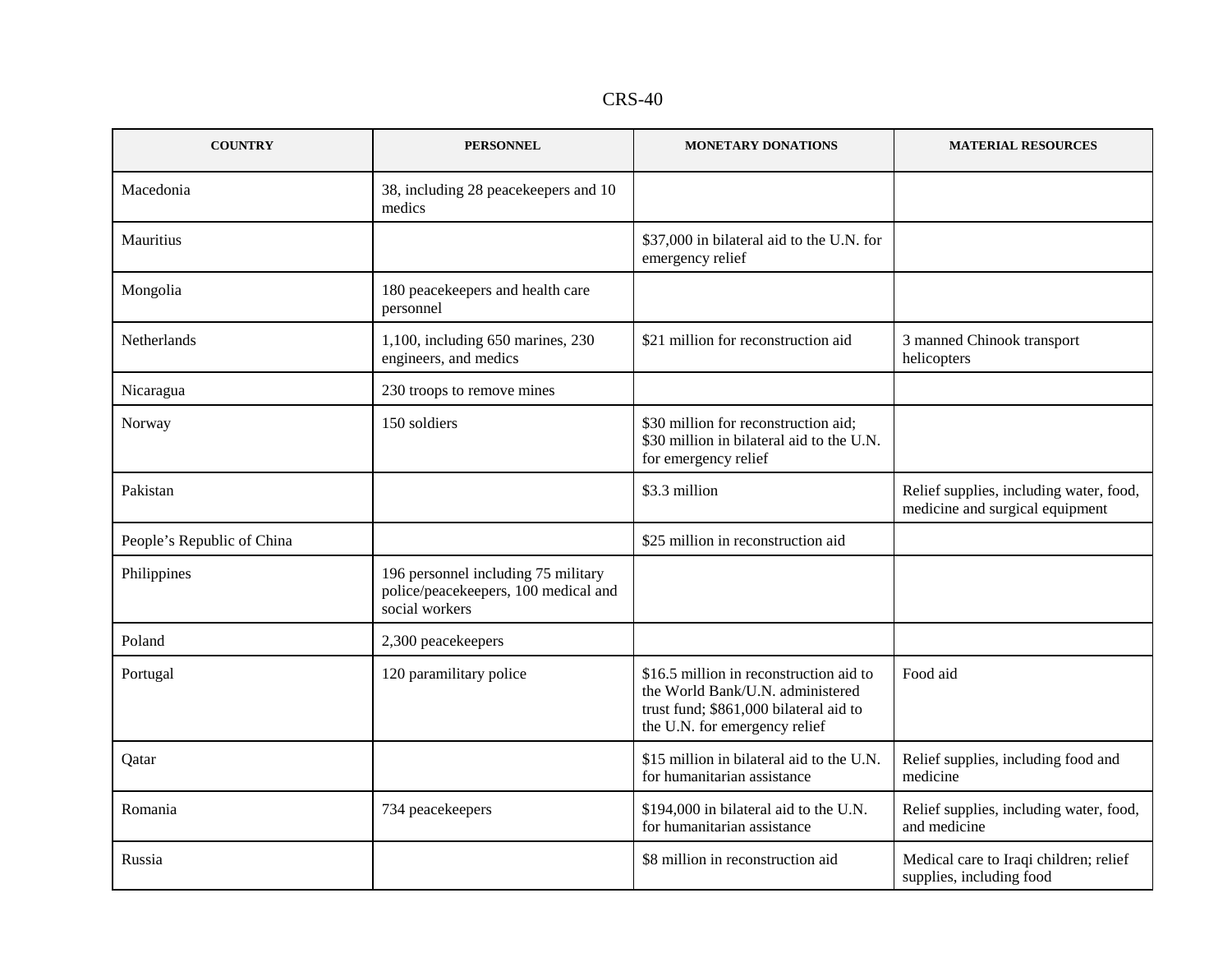| c<br>n<br>40<br>ת ו |  |
|---------------------|--|
|---------------------|--|

| <b>COUNTRY</b>             | <b>PERSONNEL</b>                                                                                  | <b>MONETARY DONATIONS</b>                                                                                                                              | <b>MATERIAL RESOURCES</b>                                                  |  |
|----------------------------|---------------------------------------------------------------------------------------------------|--------------------------------------------------------------------------------------------------------------------------------------------------------|----------------------------------------------------------------------------|--|
| Macedonia                  | 38, including 28 peacekeepers and 10<br>medics                                                    |                                                                                                                                                        |                                                                            |  |
| Mauritius                  |                                                                                                   | \$37,000 in bilateral aid to the U.N. for<br>emergency relief                                                                                          |                                                                            |  |
| Mongolia                   | 180 peacekeepers and health care<br>personnel                                                     |                                                                                                                                                        |                                                                            |  |
| Netherlands                | 1,100, including 650 marines, 230<br>\$21 million for reconstruction aid<br>engineers, and medics |                                                                                                                                                        | 3 manned Chinook transport<br>helicopters                                  |  |
| Nicaragua                  | 230 troops to remove mines                                                                        |                                                                                                                                                        |                                                                            |  |
| Norway                     | 150 soldiers                                                                                      | \$30 million for reconstruction aid;<br>\$30 million in bilateral aid to the U.N.<br>for emergency relief                                              |                                                                            |  |
| Pakistan                   |                                                                                                   | \$3.3 million                                                                                                                                          | Relief supplies, including water, food,<br>medicine and surgical equipment |  |
| People's Republic of China |                                                                                                   | \$25 million in reconstruction aid                                                                                                                     |                                                                            |  |
| Philippines                | 196 personnel including 75 military<br>police/peacekeepers, 100 medical and<br>social workers     |                                                                                                                                                        |                                                                            |  |
| Poland                     | 2,300 peacekeepers                                                                                |                                                                                                                                                        |                                                                            |  |
| Portugal                   | 120 paramilitary police                                                                           | \$16.5 million in reconstruction aid to<br>the World Bank/U.N. administered<br>trust fund; \$861,000 bilateral aid to<br>the U.N. for emergency relief | Food aid                                                                   |  |
| Qatar                      |                                                                                                   | \$15 million in bilateral aid to the U.N.<br>for humanitarian assistance                                                                               | Relief supplies, including food and<br>medicine                            |  |
| Romania                    | 734 peacekeepers                                                                                  | \$194,000 in bilateral aid to the U.N.<br>for humanitarian assistance                                                                                  | Relief supplies, including water, food,<br>and medicine                    |  |
| Russia                     |                                                                                                   | \$8 million in reconstruction aid                                                                                                                      | Medical care to Iraqi children; relief<br>supplies, including food         |  |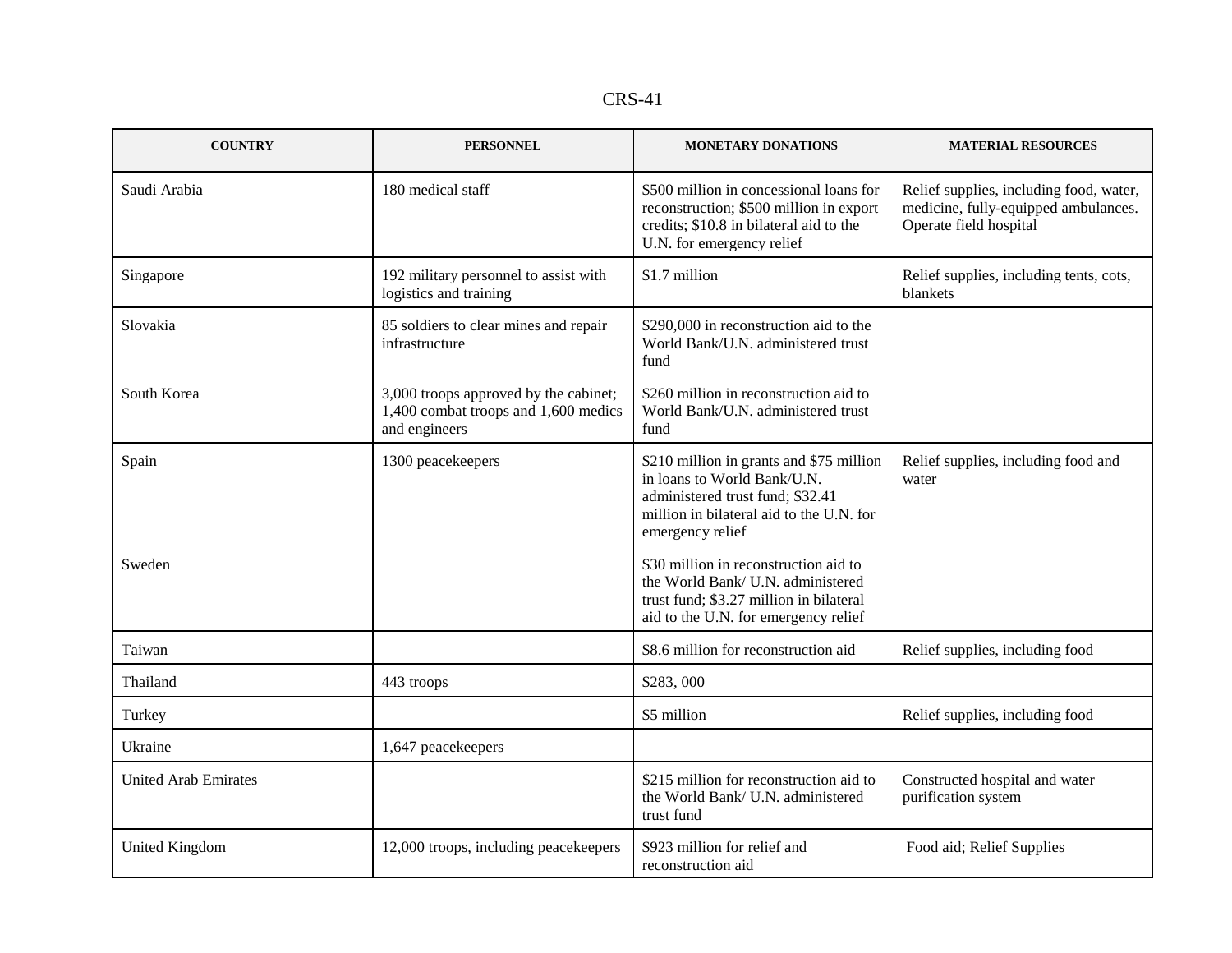| n<br>×.<br>ı V<br>۰. |
|----------------------|
|----------------------|

| <b>COUNTRY</b>              | <b>PERSONNEL</b>                                                                               | MONETARY DONATIONS                                                                                                                                                          | <b>MATERIAL RESOURCES</b>                                                                                 |  |
|-----------------------------|------------------------------------------------------------------------------------------------|-----------------------------------------------------------------------------------------------------------------------------------------------------------------------------|-----------------------------------------------------------------------------------------------------------|--|
| Saudi Arabia                | 180 medical staff                                                                              | \$500 million in concessional loans for<br>reconstruction; \$500 million in export<br>credits; \$10.8 in bilateral aid to the<br>U.N. for emergency relief                  | Relief supplies, including food, water,<br>medicine, fully-equipped ambulances.<br>Operate field hospital |  |
| Singapore                   | 192 military personnel to assist with<br>logistics and training                                | \$1.7 million                                                                                                                                                               | Relief supplies, including tents, cots,<br>blankets                                                       |  |
| Slovakia                    | 85 soldiers to clear mines and repair<br>infrastructure                                        | \$290,000 in reconstruction aid to the<br>World Bank/U.N. administered trust<br>fund                                                                                        |                                                                                                           |  |
| South Korea                 | 3,000 troops approved by the cabinet;<br>1,400 combat troops and 1,600 medics<br>and engineers | \$260 million in reconstruction aid to<br>World Bank/U.N. administered trust<br>fund                                                                                        |                                                                                                           |  |
| Spain                       | 1300 peacekeepers                                                                              | \$210 million in grants and \$75 million<br>in loans to World Bank/U.N.<br>administered trust fund; \$32.41<br>million in bilateral aid to the U.N. for<br>emergency relief | Relief supplies, including food and<br>water                                                              |  |
| Sweden                      |                                                                                                | \$30 million in reconstruction aid to<br>the World Bank/ U.N. administered<br>trust fund; \$3.27 million in bilateral<br>aid to the U.N. for emergency relief               |                                                                                                           |  |
| Taiwan                      |                                                                                                | \$8.6 million for reconstruction aid                                                                                                                                        | Relief supplies, including food                                                                           |  |
| Thailand                    | 443 troops                                                                                     | \$283,000                                                                                                                                                                   |                                                                                                           |  |
| Turkey                      |                                                                                                | \$5 million                                                                                                                                                                 | Relief supplies, including food                                                                           |  |
| Ukraine                     | 1,647 peacekeepers                                                                             |                                                                                                                                                                             |                                                                                                           |  |
| <b>United Arab Emirates</b> |                                                                                                | \$215 million for reconstruction aid to<br>the World Bank/ U.N. administered<br>trust fund                                                                                  | Constructed hospital and water<br>purification system                                                     |  |
| <b>United Kingdom</b>       | 12,000 troops, including peacekeepers                                                          | \$923 million for relief and<br>reconstruction aid                                                                                                                          | Food aid; Relief Supplies                                                                                 |  |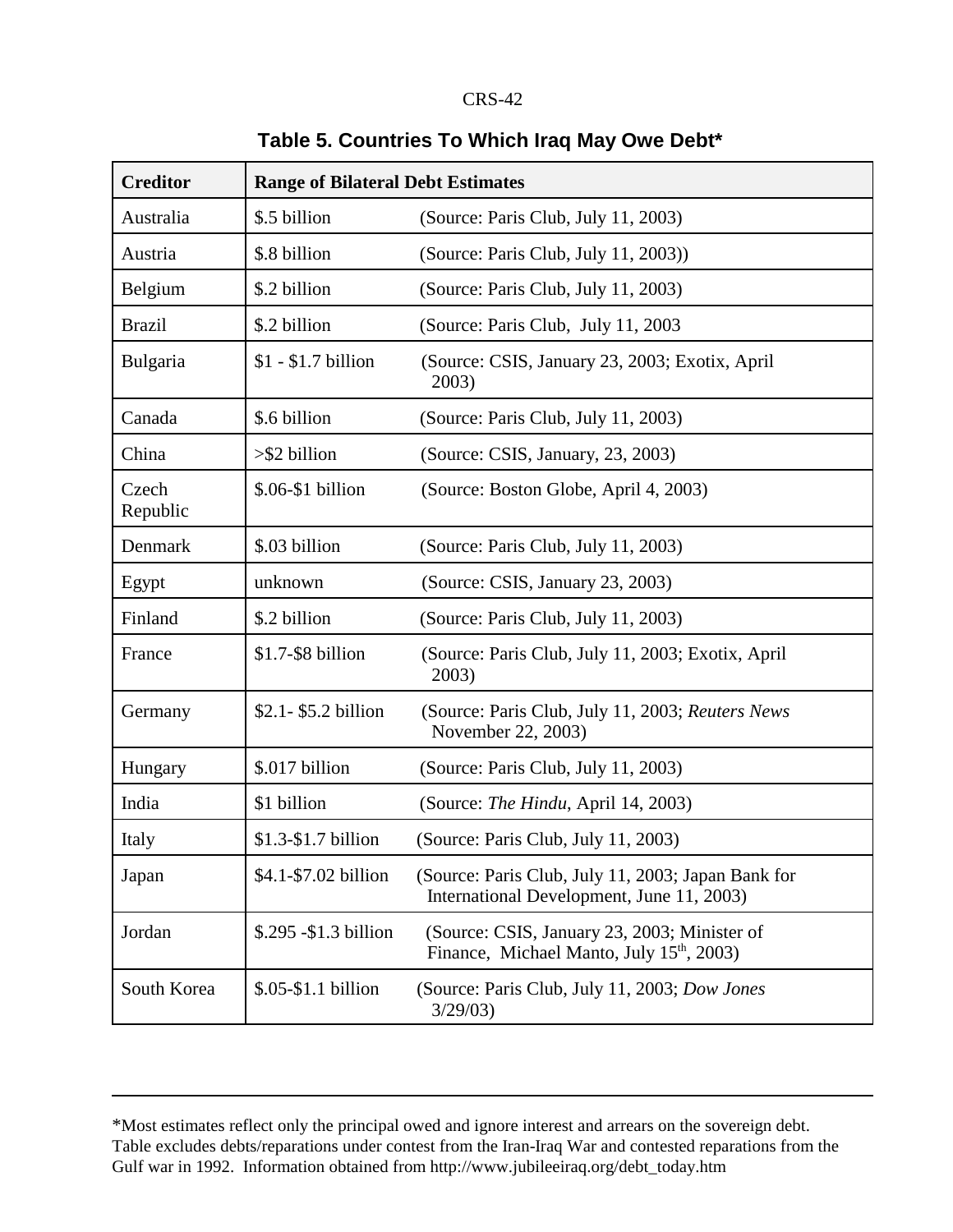| <b>Creditor</b>   | <b>Range of Bilateral Debt Estimates</b> |                                                                                                       |  |  |
|-------------------|------------------------------------------|-------------------------------------------------------------------------------------------------------|--|--|
| Australia         | \$.5 billion                             | (Source: Paris Club, July 11, 2003)                                                                   |  |  |
| Austria           | \$.8 billion                             | (Source: Paris Club, July 11, 2003))                                                                  |  |  |
| Belgium           | \$.2 billion                             | (Source: Paris Club, July 11, 2003)                                                                   |  |  |
| <b>Brazil</b>     | \$.2 billion                             | (Source: Paris Club, July 11, 2003)                                                                   |  |  |
| Bulgaria          | $$1 - $1.7$ billion                      | (Source: CSIS, January 23, 2003; Exotix, April<br>2003)                                               |  |  |
| Canada            | \$.6 billion                             | (Source: Paris Club, July 11, 2003)                                                                   |  |  |
| China             | $>\$ 2 billion                           | (Source: CSIS, January, 23, 2003)                                                                     |  |  |
| Czech<br>Republic | $$.06-S1 billion$                        | (Source: Boston Globe, April 4, 2003)                                                                 |  |  |
| Denmark           | \$.03 billion                            | (Source: Paris Club, July 11, 2003)                                                                   |  |  |
| Egypt             | unknown                                  | (Source: CSIS, January 23, 2003)                                                                      |  |  |
| Finland           | \$.2 billion                             | (Source: Paris Club, July 11, 2003)                                                                   |  |  |
| France            | \$1.7-\$8 billion                        | (Source: Paris Club, July 11, 2003; Exotix, April<br>2003)                                            |  |  |
| Germany           | $$2.1 - $5.2$ billion                    | (Source: Paris Club, July 11, 2003; Reuters News<br>November 22, 2003)                                |  |  |
| Hungary           | \$.017 billion                           | (Source: Paris Club, July 11, 2003)                                                                   |  |  |
| India             | \$1 billion                              | (Source: The Hindu, April 14, 2003)                                                                   |  |  |
| Italy             | \$1.3-\$1.7 billion                      | (Source: Paris Club, July 11, 2003)                                                                   |  |  |
| Japan             | \$4.1-\$7.02 billion                     | (Source: Paris Club, July 11, 2003; Japan Bank for<br>International Development, June 11, 2003)       |  |  |
| Jordan            | \$.295 - \$1.3 billion                   | (Source: CSIS, January 23, 2003; Minister of<br>Finance, Michael Manto, July 15 <sup>th</sup> , 2003) |  |  |
| South Korea       | \$.05-\$1.1 billion                      | (Source: Paris Club, July 11, 2003; Dow Jones<br>3/29/03                                              |  |  |

# Table 5. Countries To Which Iraq May Owe Debt\*

<sup>\*</sup>Most estimates reflect only the principal owed and ignore interest and arrears on the sovereign debt. Table excludes debts/reparations under contest from the Iran-Iraq War and contested reparations from the Gulf war in 1992. Information obtained from http://www.jubileeiraq.org/debt\_today.htm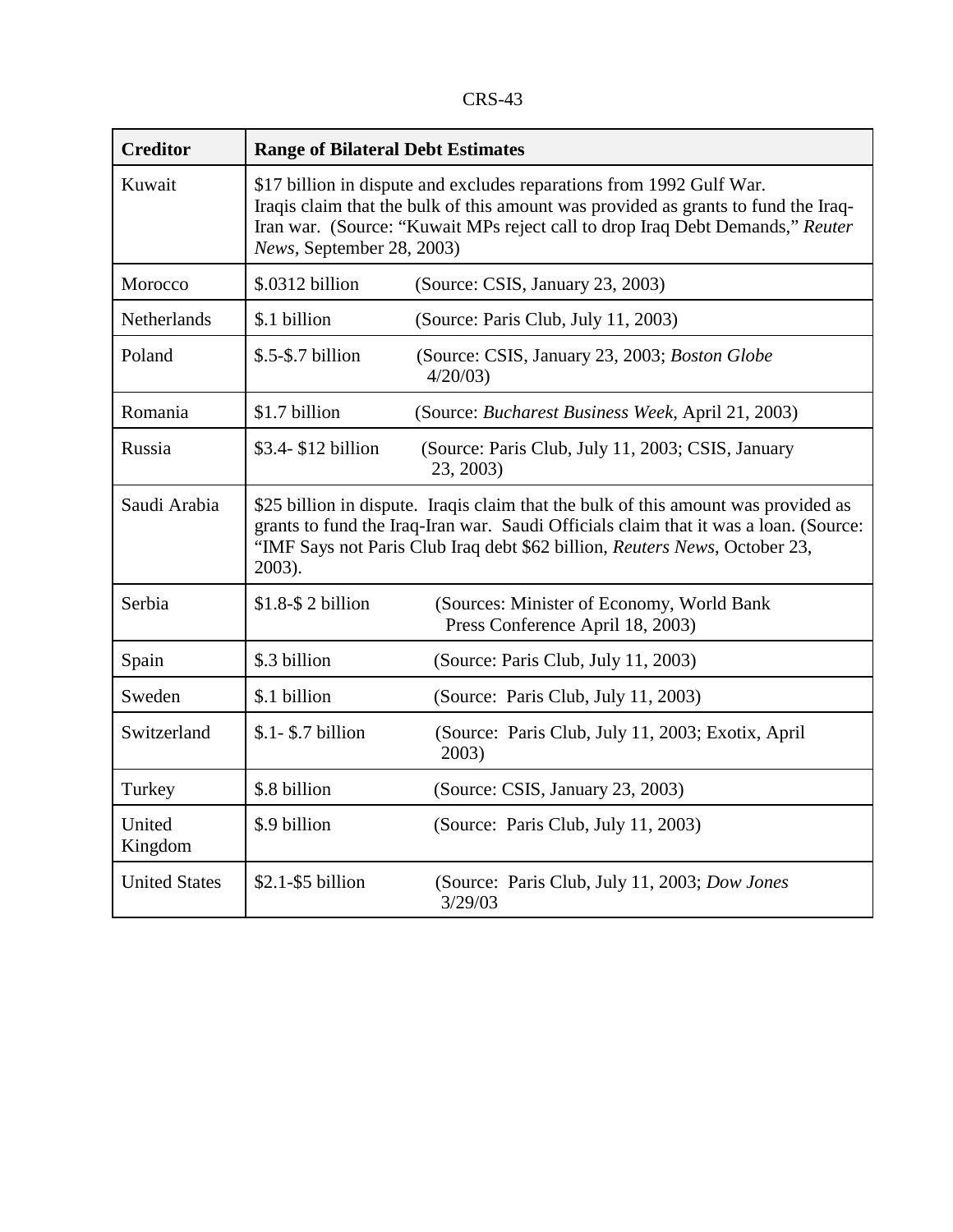CRS-43

| <b>Creditor</b>      | <b>Range of Bilateral Debt Estimates</b>                                                                                                                                                                                                                                 |                                                                |  |  |
|----------------------|--------------------------------------------------------------------------------------------------------------------------------------------------------------------------------------------------------------------------------------------------------------------------|----------------------------------------------------------------|--|--|
| Kuwait               | \$17 billion in dispute and excludes reparations from 1992 Gulf War.<br>Iraqis claim that the bulk of this amount was provided as grants to fund the Iraq-<br>Iran war. (Source: "Kuwait MPs reject call to drop Iraq Debt Demands," Reuter<br>News, September 28, 2003) |                                                                |  |  |
| Morocco              | \$.0312 billion                                                                                                                                                                                                                                                          | (Source: CSIS, January 23, 2003)                               |  |  |
| <b>Netherlands</b>   | \$.1 billion                                                                                                                                                                                                                                                             | (Source: Paris Club, July 11, 2003)                            |  |  |
| Poland               | $$.5-$.7 billion$                                                                                                                                                                                                                                                        | (Source: CSIS, January 23, 2003; Boston Globe<br>4/20/03       |  |  |
| Romania              | \$1.7 billion<br>(Source: Bucharest Business Week, April 21, 2003)                                                                                                                                                                                                       |                                                                |  |  |
| Russia               | \$3.4-\$12 billion                                                                                                                                                                                                                                                       | (Source: Paris Club, July 11, 2003; CSIS, January<br>23, 2003) |  |  |
| Saudi Arabia         | \$25 billion in dispute. Iraqis claim that the bulk of this amount was provided as<br>grants to fund the Iraq-Iran war. Saudi Officials claim that it was a loan. (Source:<br>"IMF Says not Paris Club Iraq debt \$62 billion, Reuters News, October 23,<br>2003).       |                                                                |  |  |
| Serbia               | $$1.8-S$ 2 billion<br>(Sources: Minister of Economy, World Bank<br>Press Conference April 18, 2003)                                                                                                                                                                      |                                                                |  |  |
| Spain                | \$.3 billion                                                                                                                                                                                                                                                             | (Source: Paris Club, July 11, 2003)                            |  |  |
| Sweden               | \$.1 billion                                                                                                                                                                                                                                                             | (Source: Paris Club, July 11, 2003)                            |  |  |
| Switzerland          | $$.1 - $.7$ billion                                                                                                                                                                                                                                                      | (Source: Paris Club, July 11, 2003; Exotix, April<br>2003)     |  |  |
| Turkey               | \$.8 billion                                                                                                                                                                                                                                                             | (Source: CSIS, January 23, 2003)                               |  |  |
| United<br>Kingdom    | \$.9 billion                                                                                                                                                                                                                                                             | (Source: Paris Club, July 11, 2003)                            |  |  |
| <b>United States</b> | $$2.1-\$5$ billion                                                                                                                                                                                                                                                       | (Source: Paris Club, July 11, 2003; Dow Jones<br>3/29/03       |  |  |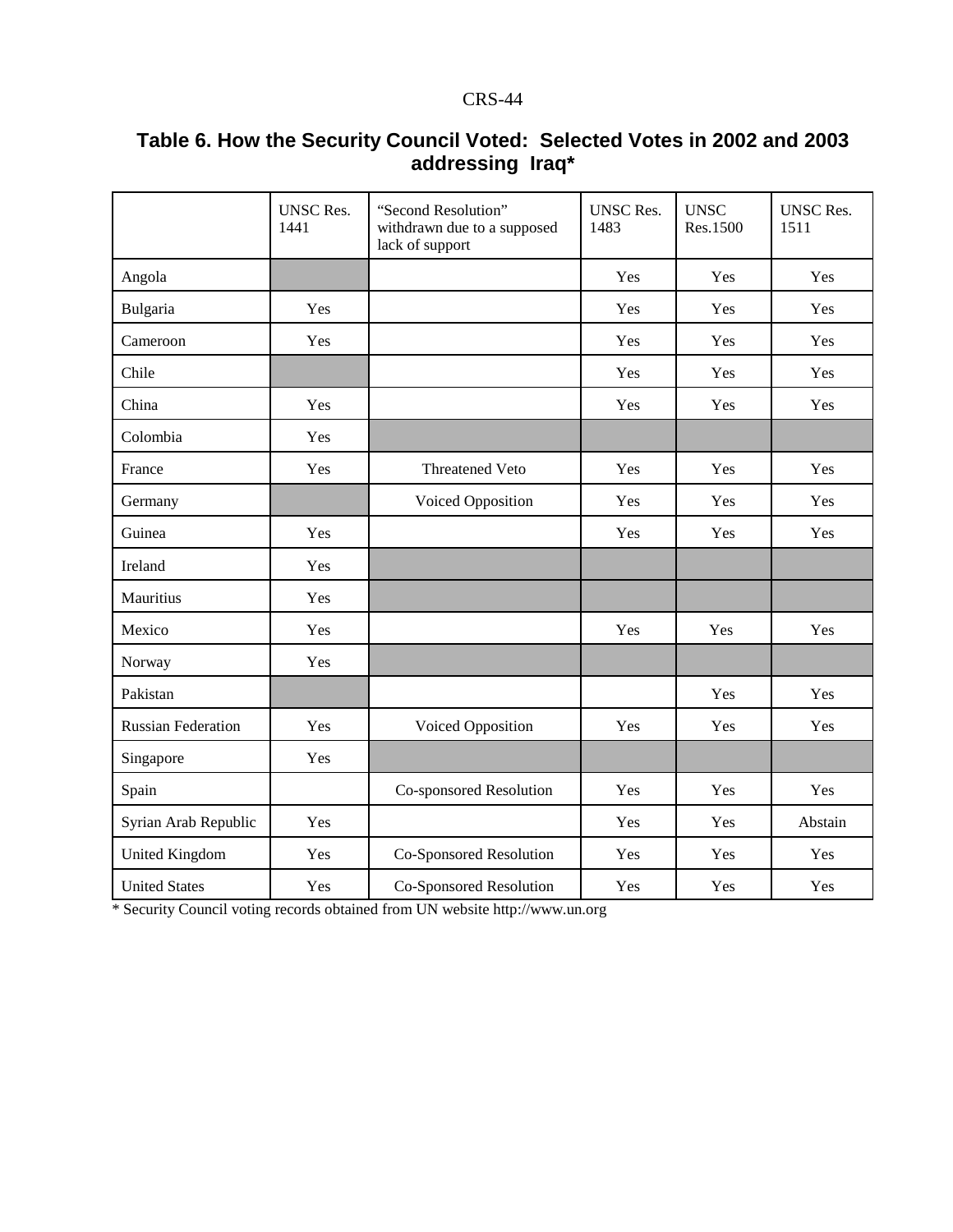|                           | <b>UNSC Res.</b><br>1441 | "Second Resolution"<br>withdrawn due to a supposed<br>lack of support | <b>UNSC Res.</b><br>1483 | <b>UNSC</b><br>Res.1500 | <b>UNSC Res.</b><br>1511 |
|---------------------------|--------------------------|-----------------------------------------------------------------------|--------------------------|-------------------------|--------------------------|
| Angola                    |                          |                                                                       | Yes                      | Yes                     | Yes                      |
| Bulgaria                  | Yes                      |                                                                       | Yes                      | Yes                     | Yes                      |
| Cameroon                  | Yes                      |                                                                       | Yes                      | Yes                     | Yes                      |
| Chile                     |                          |                                                                       | Yes                      | Yes                     | Yes                      |
| China                     | Yes                      |                                                                       | Yes                      | Yes                     | Yes                      |
| Colombia                  | Yes                      |                                                                       |                          |                         |                          |
| France                    | Yes                      | Threatened Veto                                                       | Yes                      | Yes                     | Yes                      |
| Germany                   |                          | Voiced Opposition                                                     | Yes                      | Yes                     | Yes                      |
| Guinea                    | Yes                      |                                                                       | Yes                      | Yes                     | Yes                      |
| Ireland                   | Yes                      |                                                                       |                          |                         |                          |
| Mauritius                 | Yes                      |                                                                       |                          |                         |                          |
| Mexico                    | Yes                      |                                                                       | Yes                      | Yes                     | Yes                      |
| Norway                    | Yes                      |                                                                       |                          |                         |                          |
| Pakistan                  |                          |                                                                       |                          | Yes                     | Yes                      |
| <b>Russian Federation</b> | Yes                      | Voiced Opposition                                                     | Yes                      | Yes                     | Yes                      |
| Singapore                 | Yes                      |                                                                       |                          |                         |                          |
| Spain                     |                          | Co-sponsored Resolution                                               | Yes                      | Yes                     | Yes                      |
| Syrian Arab Republic      | Yes                      |                                                                       | Yes                      | Yes                     | Abstain                  |
| United Kingdom            | Yes                      | Co-Sponsored Resolution                                               | Yes                      | Yes                     | Yes                      |
| <b>United States</b>      | Yes                      | Co-Sponsored Resolution                                               | Yes                      | Yes                     | Yes                      |

# **Table 6. How the Security Council Voted: Selected Votes in 2002 and 2003 addressing Iraq\***

\* Security Council voting records obtained from UN website http://www.un.org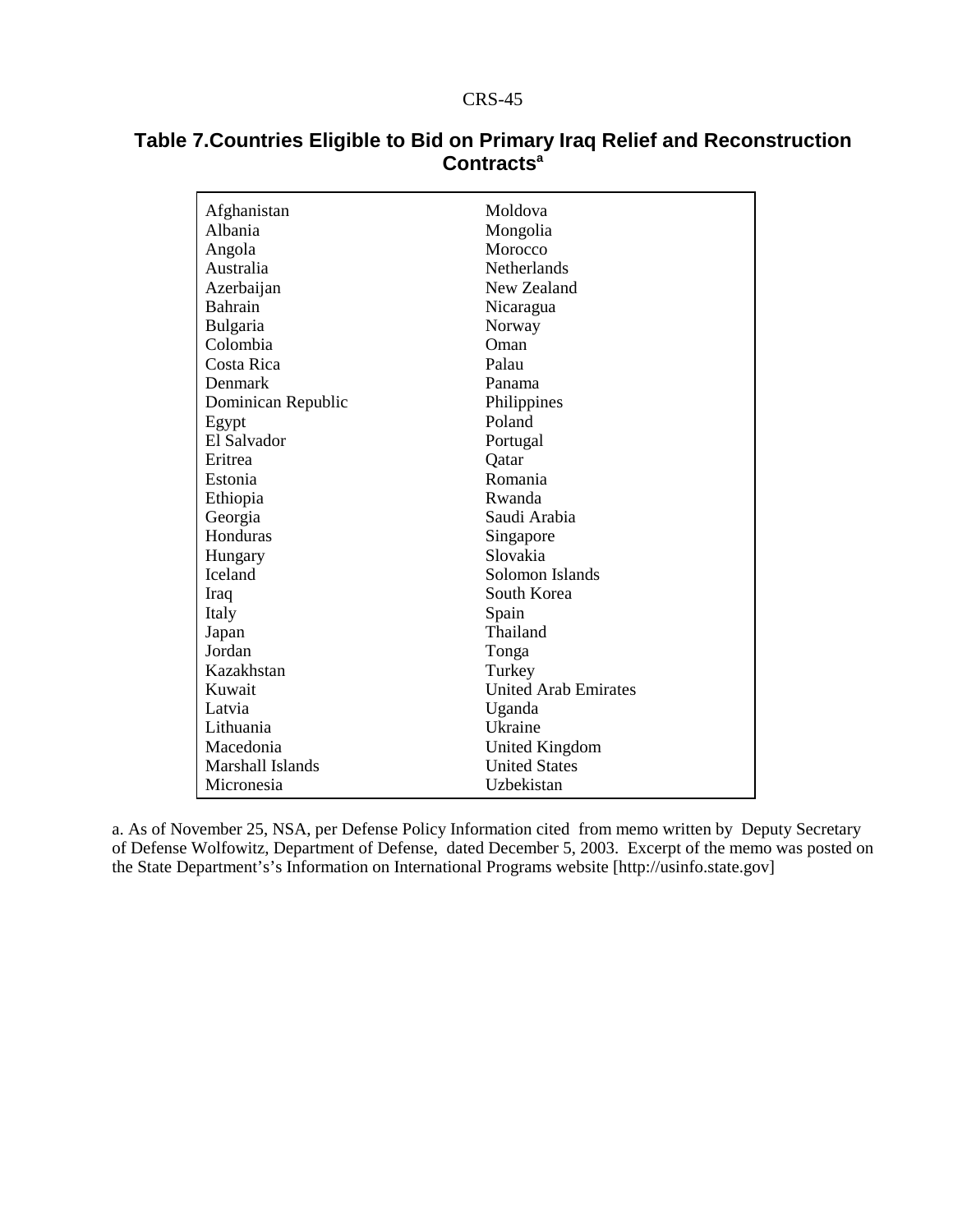| Afghanistan        | Moldova                     |
|--------------------|-----------------------------|
| Albania            | Mongolia                    |
| Angola             | Morocco                     |
| Australia          | <b>Netherlands</b>          |
| Azerbaijan         | New Zealand                 |
| <b>Bahrain</b>     | Nicaragua                   |
| <b>Bulgaria</b>    | Norway                      |
| Colombia           | Oman                        |
| Costa Rica         | Palau                       |
| Denmark            | Panama                      |
| Dominican Republic | Philippines                 |
| Egypt              | Poland                      |
| El Salvador        | Portugal                    |
| Eritrea            | Qatar                       |
| Estonia            | Romania                     |
| Ethiopia           | Rwanda                      |
| Georgia            | Saudi Arabia                |
| Honduras           | Singapore                   |
| Hungary            | Slovakia                    |
| <b>Iceland</b>     | Solomon Islands             |
| Iraq               | South Korea                 |
| Italy              | Spain                       |
| Japan              | Thailand                    |
| Jordan             | Tonga                       |
| Kazakhstan         | Turkey                      |
| Kuwait             | <b>United Arab Emirates</b> |
| Latvia             | Uganda                      |
| Lithuania          | Ukraine                     |
| Macedonia          | United Kingdom              |
| Marshall Islands   | <b>United States</b>        |
| Micronesia         | Uzbekistan                  |

# **Table 7.Countries Eligible to Bid on Primary Iraq Relief and Reconstruction Contractsa**

a. As of November 25, NSA, per Defense Policy Information cited from memo written by Deputy Secretary of Defense Wolfowitz, Department of Defense, dated December 5, 2003. Excerpt of the memo was posted on the State Department's's Information on International Programs website [http://usinfo.state.gov]